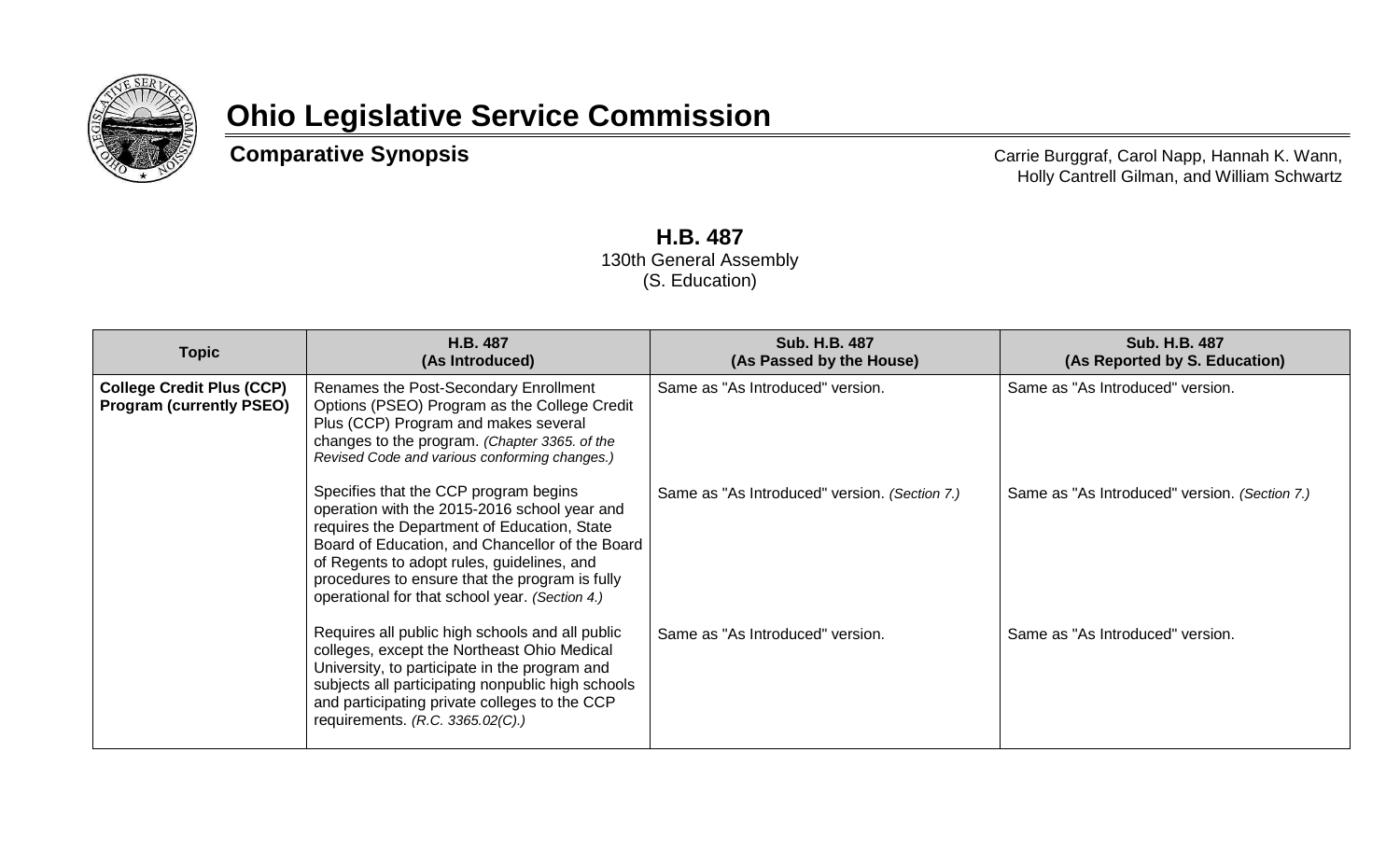

## **Ohio Legislative Service Commission**

**Comparative Synopsis** Comparative Synopsis Carrie Burggraf, Carol Napp, Hannah K. Wann, Holly Cantrell Gilman, and William Schwartz

> **H.B. 487** 130th General Assembly (S. Education)

| <b>Topic</b>                                                        | H.B. 487<br>(As Introduced)                                                                                                                                                                                                                                                                                                               | <b>Sub. H.B. 487</b><br>(As Passed by the House) | <b>Sub. H.B. 487</b><br>(As Reported by S. Education) |
|---------------------------------------------------------------------|-------------------------------------------------------------------------------------------------------------------------------------------------------------------------------------------------------------------------------------------------------------------------------------------------------------------------------------------|--------------------------------------------------|-------------------------------------------------------|
| <b>College Credit Plus (CCP)</b><br><b>Program (currently PSEO)</b> | Renames the Post-Secondary Enrollment<br>Options (PSEO) Program as the College Credit<br>Plus (CCP) Program and makes several<br>changes to the program. (Chapter 3365. of the<br>Revised Code and various conforming changes.)                                                                                                           | Same as "As Introduced" version.                 | Same as "As Introduced" version.                      |
|                                                                     | Specifies that the CCP program begins<br>operation with the 2015-2016 school year and<br>requires the Department of Education, State<br>Board of Education, and Chancellor of the Board<br>of Regents to adopt rules, guidelines, and<br>procedures to ensure that the program is fully<br>operational for that school year. (Section 4.) | Same as "As Introduced" version. (Section 7.)    | Same as "As Introduced" version. (Section 7.)         |
|                                                                     | Requires all public high schools and all public<br>colleges, except the Northeast Ohio Medical<br>University, to participate in the program and<br>subjects all participating nonpublic high schools<br>and participating private colleges to the CCP<br>requirements. (R.C. 3365.02(C).)                                                 | Same as "As Introduced" version.                 | Same as "As Introduced" version.                      |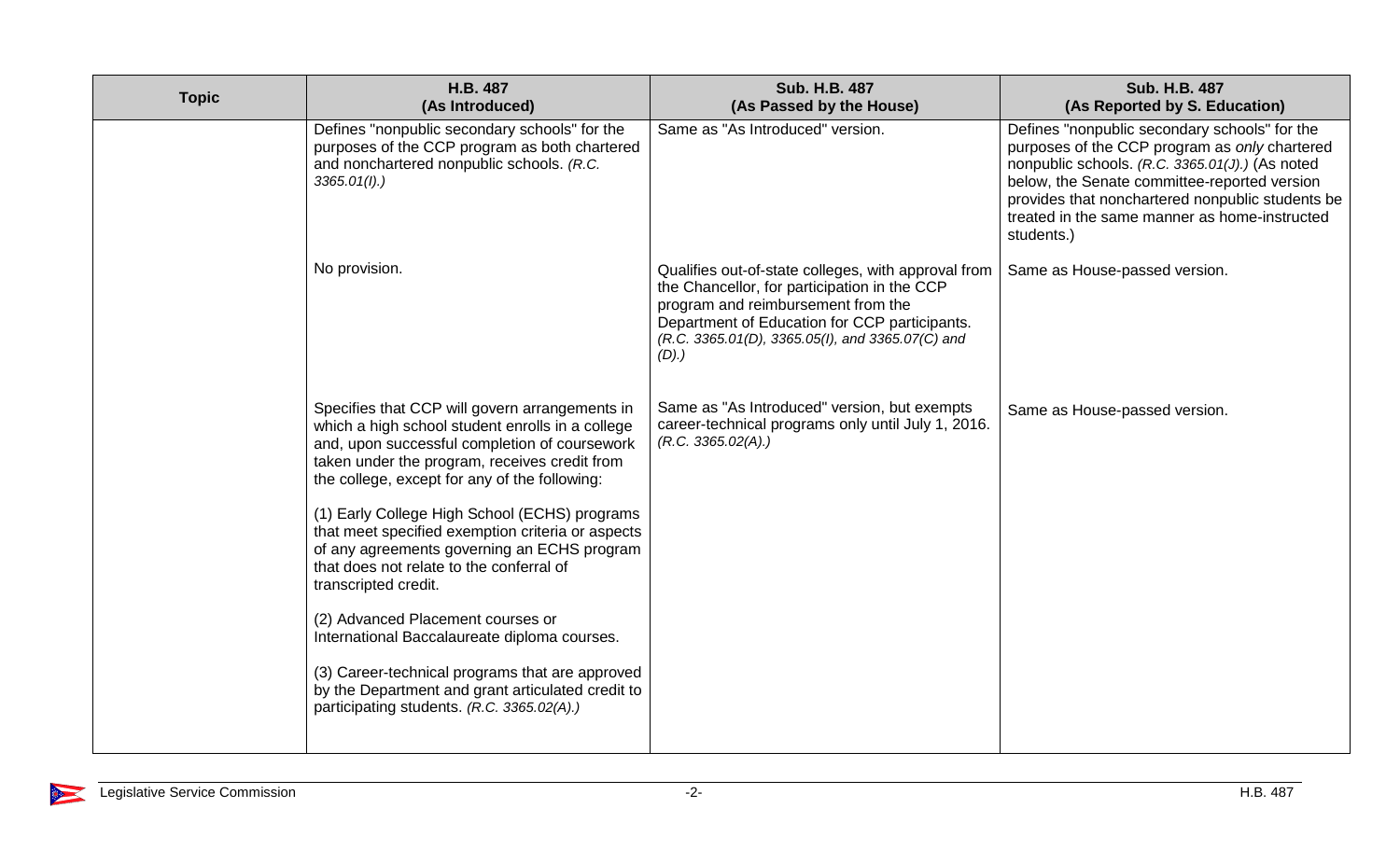| <b>Topic</b> | H.B. 487<br>(As Introduced)                                                                                                                                                                                                                           | <b>Sub. H.B. 487</b><br>(As Passed by the House)                                                                                                                                                                                                       | <b>Sub. H.B. 487</b><br>(As Reported by S. Education)                                                                                                                                                                                                                                                                |
|--------------|-------------------------------------------------------------------------------------------------------------------------------------------------------------------------------------------------------------------------------------------------------|--------------------------------------------------------------------------------------------------------------------------------------------------------------------------------------------------------------------------------------------------------|----------------------------------------------------------------------------------------------------------------------------------------------------------------------------------------------------------------------------------------------------------------------------------------------------------------------|
|              | Defines "nonpublic secondary schools" for the<br>purposes of the CCP program as both chartered<br>and nonchartered nonpublic schools. (R.C.<br>3365.01(l).                                                                                            | Same as "As Introduced" version.                                                                                                                                                                                                                       | Defines "nonpublic secondary schools" for the<br>purposes of the CCP program as only chartered<br>nonpublic schools. (R.C. 3365.01(J).) (As noted<br>below, the Senate committee-reported version<br>provides that nonchartered nonpublic students be<br>treated in the same manner as home-instructed<br>students.) |
|              | No provision.                                                                                                                                                                                                                                         | Qualifies out-of-state colleges, with approval from<br>the Chancellor, for participation in the CCP<br>program and reimbursement from the<br>Department of Education for CCP participants.<br>(R.C. 3365.01(D), 3365.05(I), and 3365.07(C) and<br>(D). | Same as House-passed version.                                                                                                                                                                                                                                                                                        |
|              | Specifies that CCP will govern arrangements in<br>which a high school student enrolls in a college<br>and, upon successful completion of coursework<br>taken under the program, receives credit from<br>the college, except for any of the following: | Same as "As Introduced" version, but exempts<br>career-technical programs only until July 1, 2016.<br>(R.C. 3365.02(A))                                                                                                                                | Same as House-passed version.                                                                                                                                                                                                                                                                                        |
|              | (1) Early College High School (ECHS) programs<br>that meet specified exemption criteria or aspects<br>of any agreements governing an ECHS program<br>that does not relate to the conferral of<br>transcripted credit.                                 |                                                                                                                                                                                                                                                        |                                                                                                                                                                                                                                                                                                                      |
|              | (2) Advanced Placement courses or<br>International Baccalaureate diploma courses.                                                                                                                                                                     |                                                                                                                                                                                                                                                        |                                                                                                                                                                                                                                                                                                                      |
|              | (3) Career-technical programs that are approved<br>by the Department and grant articulated credit to<br>participating students. (R.C. 3365.02(A).)                                                                                                    |                                                                                                                                                                                                                                                        |                                                                                                                                                                                                                                                                                                                      |

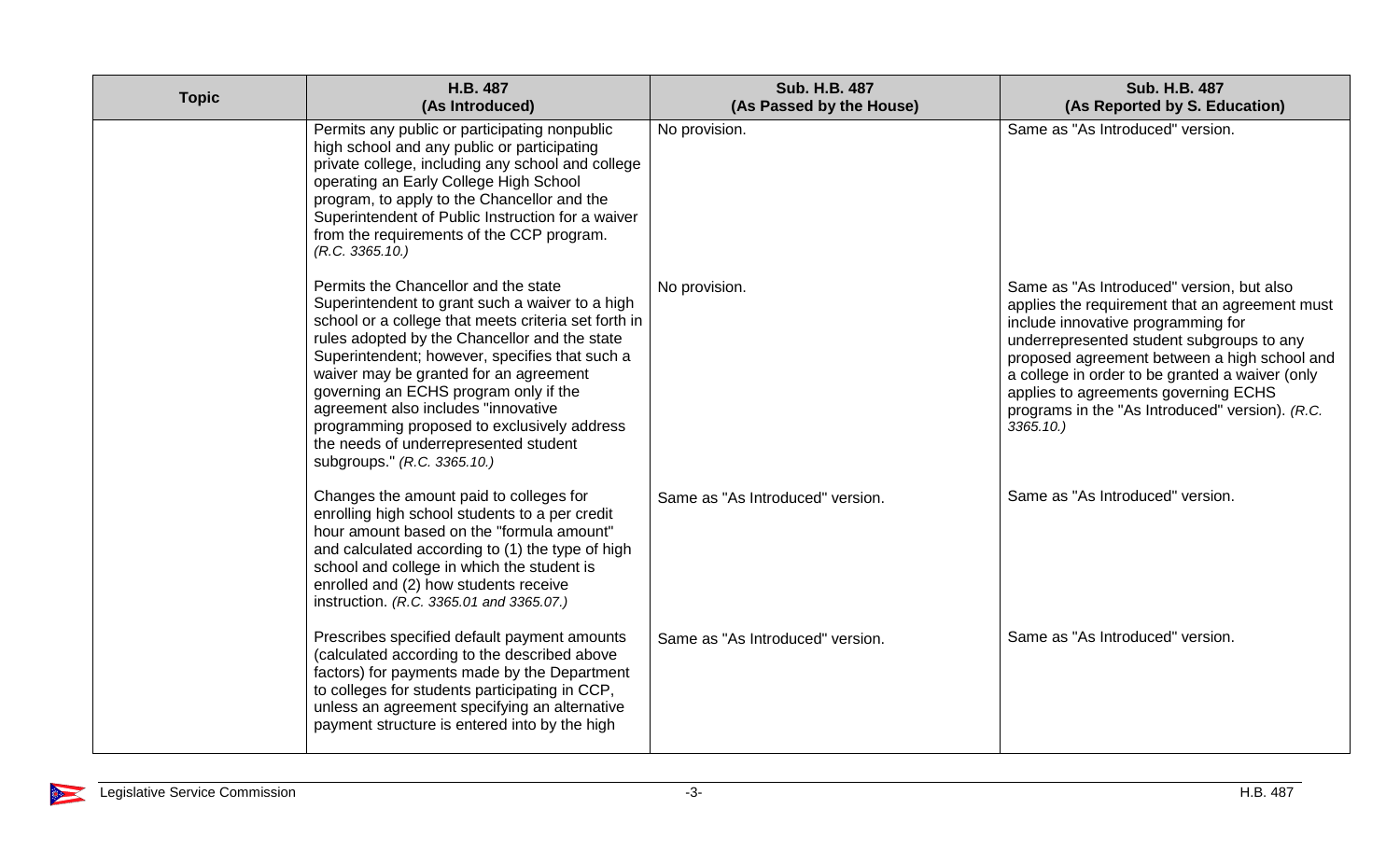| <b>Topic</b> | H.B. 487<br>(As Introduced)                                                                                                                                                                                                                                                                                                                                                                                                                                                                         | <b>Sub. H.B. 487</b><br>(As Passed by the House) | <b>Sub. H.B. 487</b><br>(As Reported by S. Education)                                                                                                                                                                                                                                                                                                                                        |
|--------------|-----------------------------------------------------------------------------------------------------------------------------------------------------------------------------------------------------------------------------------------------------------------------------------------------------------------------------------------------------------------------------------------------------------------------------------------------------------------------------------------------------|--------------------------------------------------|----------------------------------------------------------------------------------------------------------------------------------------------------------------------------------------------------------------------------------------------------------------------------------------------------------------------------------------------------------------------------------------------|
|              | Permits any public or participating nonpublic<br>high school and any public or participating<br>private college, including any school and college<br>operating an Early College High School<br>program, to apply to the Chancellor and the<br>Superintendent of Public Instruction for a waiver<br>from the requirements of the CCP program.<br>(R.C. 3365.10.)                                                                                                                                     | No provision.                                    | Same as "As Introduced" version.                                                                                                                                                                                                                                                                                                                                                             |
|              | Permits the Chancellor and the state<br>Superintendent to grant such a waiver to a high<br>school or a college that meets criteria set forth in<br>rules adopted by the Chancellor and the state<br>Superintendent; however, specifies that such a<br>waiver may be granted for an agreement<br>governing an ECHS program only if the<br>agreement also includes "innovative<br>programming proposed to exclusively address<br>the needs of underrepresented student<br>subgroups." (R.C. 3365.10.) | No provision.                                    | Same as "As Introduced" version, but also<br>applies the requirement that an agreement must<br>include innovative programming for<br>underrepresented student subgroups to any<br>proposed agreement between a high school and<br>a college in order to be granted a waiver (only<br>applies to agreements governing ECHS<br>programs in the "As Introduced" version). (R.C.<br>$3365.10.$ ) |
|              | Changes the amount paid to colleges for<br>enrolling high school students to a per credit<br>hour amount based on the "formula amount"<br>and calculated according to (1) the type of high<br>school and college in which the student is<br>enrolled and (2) how students receive<br>instruction. (R.C. 3365.01 and 3365.07.)                                                                                                                                                                       | Same as "As Introduced" version.                 | Same as "As Introduced" version.                                                                                                                                                                                                                                                                                                                                                             |
|              | Prescribes specified default payment amounts<br>(calculated according to the described above<br>factors) for payments made by the Department<br>to colleges for students participating in CCP,<br>unless an agreement specifying an alternative<br>payment structure is entered into by the high                                                                                                                                                                                                    | Same as "As Introduced" version.                 | Same as "As Introduced" version.                                                                                                                                                                                                                                                                                                                                                             |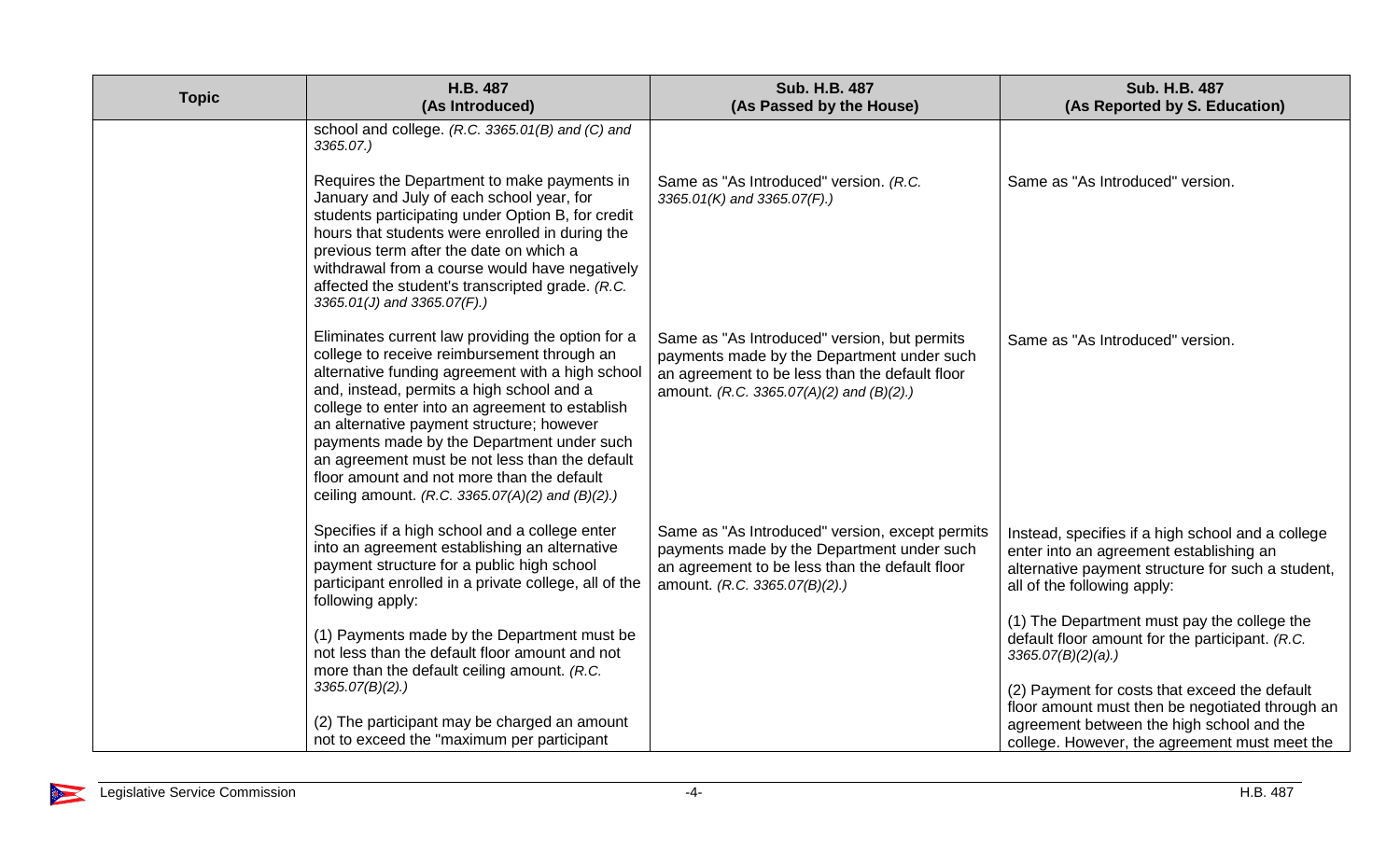| <b>Topic</b> | H.B. 487<br>(As Introduced)                                                                                                                                                                                                                                                                                                                                                                                                                                                                                                        | <b>Sub. H.B. 487</b><br>(As Passed by the House)                                                                                                                                         | <b>Sub. H.B. 487</b><br>(As Reported by S. Education)                                                                                                                                                                                                                                                                                                        |
|--------------|------------------------------------------------------------------------------------------------------------------------------------------------------------------------------------------------------------------------------------------------------------------------------------------------------------------------------------------------------------------------------------------------------------------------------------------------------------------------------------------------------------------------------------|------------------------------------------------------------------------------------------------------------------------------------------------------------------------------------------|--------------------------------------------------------------------------------------------------------------------------------------------------------------------------------------------------------------------------------------------------------------------------------------------------------------------------------------------------------------|
|              | school and college. (R.C. 3365.01(B) and (C) and<br>3365.07.)<br>Requires the Department to make payments in<br>January and July of each school year, for<br>students participating under Option B, for credit<br>hours that students were enrolled in during the<br>previous term after the date on which a<br>withdrawal from a course would have negatively<br>affected the student's transcripted grade. (R.C.                                                                                                                 | Same as "As Introduced" version. (R.C.<br>3365.01(K) and 3365.07(F).)                                                                                                                    | Same as "As Introduced" version.                                                                                                                                                                                                                                                                                                                             |
|              | 3365.01(J) and 3365.07(F).)<br>Eliminates current law providing the option for a<br>college to receive reimbursement through an<br>alternative funding agreement with a high school<br>and, instead, permits a high school and a<br>college to enter into an agreement to establish<br>an alternative payment structure; however<br>payments made by the Department under such<br>an agreement must be not less than the default<br>floor amount and not more than the default<br>ceiling amount. (R.C. 3365.07(A)(2) and (B)(2).) | Same as "As Introduced" version, but permits<br>payments made by the Department under such<br>an agreement to be less than the default floor<br>amount. (R.C. 3365.07(A)(2) and (B)(2).) | Same as "As Introduced" version.                                                                                                                                                                                                                                                                                                                             |
|              | Specifies if a high school and a college enter<br>into an agreement establishing an alternative<br>payment structure for a public high school<br>participant enrolled in a private college, all of the<br>following apply:<br>(1) Payments made by the Department must be<br>not less than the default floor amount and not<br>more than the default ceiling amount. (R.C.<br>3365.07(B)(2).                                                                                                                                       | Same as "As Introduced" version, except permits<br>payments made by the Department under such<br>an agreement to be less than the default floor<br>amount. (R.C. 3365.07(B)(2).)         | Instead, specifies if a high school and a college<br>enter into an agreement establishing an<br>alternative payment structure for such a student,<br>all of the following apply:<br>(1) The Department must pay the college the<br>default floor amount for the participant. (R.C.<br>$3365.07(B)(2)(a)$ .)<br>(2) Payment for costs that exceed the default |
|              | (2) The participant may be charged an amount<br>not to exceed the "maximum per participant                                                                                                                                                                                                                                                                                                                                                                                                                                         |                                                                                                                                                                                          | floor amount must then be negotiated through an<br>agreement between the high school and the<br>college. However, the agreement must meet the                                                                                                                                                                                                                |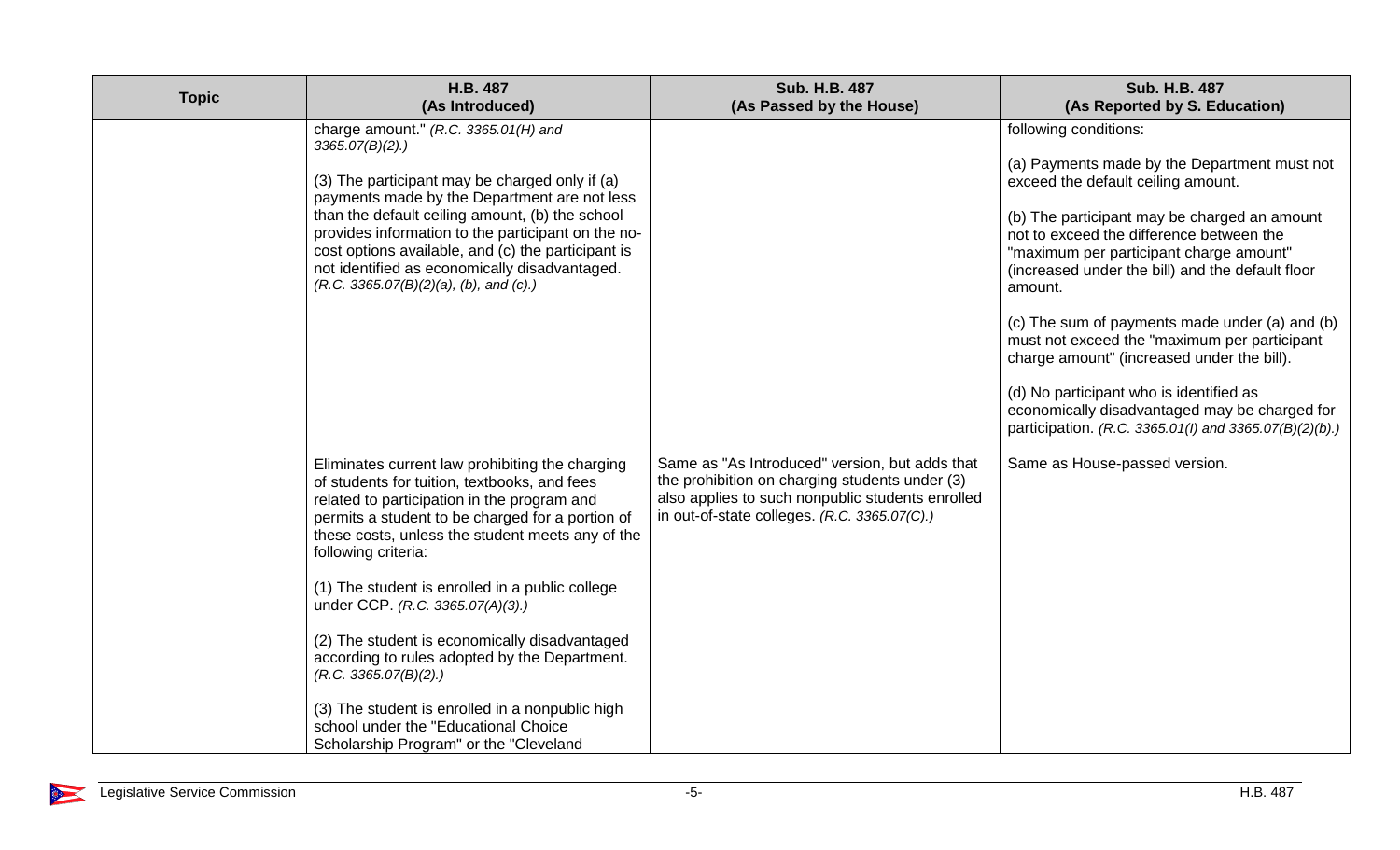| <b>Topic</b> | H.B. 487<br>(As Introduced)                                                                                                                                                                                                                                                                                                                                                                                                                                                                                                                                                                                                          | <b>Sub. H.B. 487</b><br>(As Passed by the House)                                                                                                                                                     | <b>Sub. H.B. 487</b><br>(As Reported by S. Education)                                                                                                                                                                                                                                                                                                                                                                                                                                                                                                                                                                   |
|--------------|--------------------------------------------------------------------------------------------------------------------------------------------------------------------------------------------------------------------------------------------------------------------------------------------------------------------------------------------------------------------------------------------------------------------------------------------------------------------------------------------------------------------------------------------------------------------------------------------------------------------------------------|------------------------------------------------------------------------------------------------------------------------------------------------------------------------------------------------------|-------------------------------------------------------------------------------------------------------------------------------------------------------------------------------------------------------------------------------------------------------------------------------------------------------------------------------------------------------------------------------------------------------------------------------------------------------------------------------------------------------------------------------------------------------------------------------------------------------------------------|
|              | charge amount." $(R.C. 3365.01(H)$ and<br>3365.07(B)(2).<br>(3) The participant may be charged only if (a)<br>payments made by the Department are not less<br>than the default ceiling amount, (b) the school<br>provides information to the participant on the no-<br>cost options available, and (c) the participant is<br>not identified as economically disadvantaged.<br>$(R.C. 3365.07(B)(2)(a), (b), and (c).)$                                                                                                                                                                                                               |                                                                                                                                                                                                      | following conditions:<br>(a) Payments made by the Department must not<br>exceed the default ceiling amount.<br>(b) The participant may be charged an amount<br>not to exceed the difference between the<br>"maximum per participant charge amount"<br>(increased under the bill) and the default floor<br>amount.<br>(c) The sum of payments made under (a) and (b)<br>must not exceed the "maximum per participant<br>charge amount" (increased under the bill).<br>(d) No participant who is identified as<br>economically disadvantaged may be charged for<br>participation. (R.C. 3365.01(I) and 3365.07(B)(2)(b).) |
|              | Eliminates current law prohibiting the charging<br>of students for tuition, textbooks, and fees<br>related to participation in the program and<br>permits a student to be charged for a portion of<br>these costs, unless the student meets any of the<br>following criteria:<br>(1) The student is enrolled in a public college<br>under CCP. (R.C. 3365.07(A)(3).)<br>(2) The student is economically disadvantaged<br>according to rules adopted by the Department.<br>(R.C. 3365.07(B)(2).)<br>(3) The student is enrolled in a nonpublic high<br>school under the "Educational Choice<br>Scholarship Program" or the "Cleveland | Same as "As Introduced" version, but adds that<br>the prohibition on charging students under (3)<br>also applies to such nonpublic students enrolled<br>in out-of-state colleges. (R.C. 3365.07(C).) | Same as House-passed version.                                                                                                                                                                                                                                                                                                                                                                                                                                                                                                                                                                                           |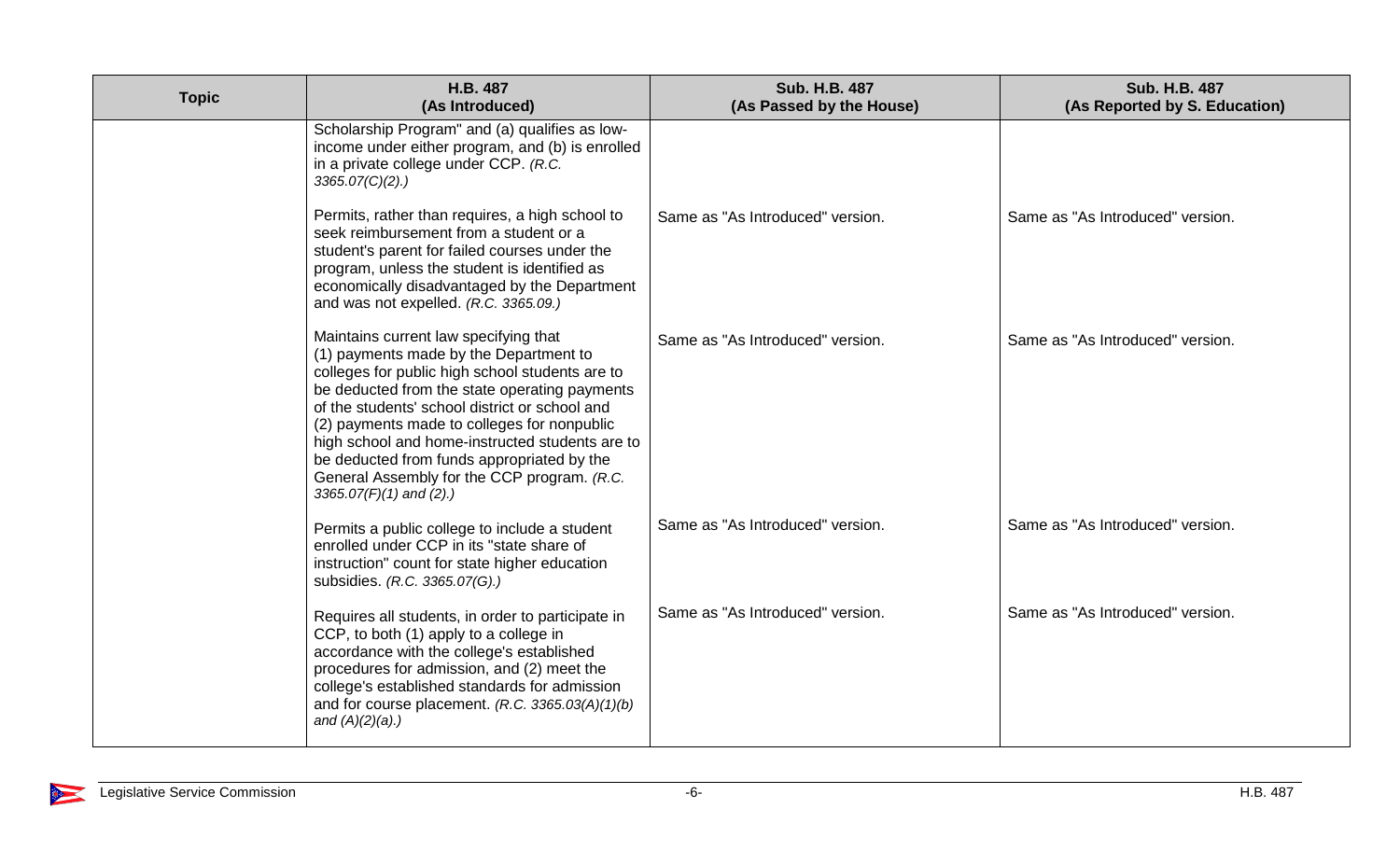| <b>Topic</b> | H.B. 487<br>(As Introduced)                                                                                                                                                                                                                                                                                                                                                                                                                                       | Sub. H.B. 487<br>(As Passed by the House) | <b>Sub. H.B. 487</b><br>(As Reported by S. Education) |
|--------------|-------------------------------------------------------------------------------------------------------------------------------------------------------------------------------------------------------------------------------------------------------------------------------------------------------------------------------------------------------------------------------------------------------------------------------------------------------------------|-------------------------------------------|-------------------------------------------------------|
|              | Scholarship Program" and (a) qualifies as low-<br>income under either program, and (b) is enrolled<br>in a private college under CCP. (R.C.<br>$3365.07(C)(2)$ .)                                                                                                                                                                                                                                                                                                 |                                           |                                                       |
|              | Permits, rather than requires, a high school to<br>seek reimbursement from a student or a<br>student's parent for failed courses under the<br>program, unless the student is identified as<br>economically disadvantaged by the Department<br>and was not expelled. (R.C. 3365.09.)                                                                                                                                                                               | Same as "As Introduced" version.          | Same as "As Introduced" version.                      |
|              | Maintains current law specifying that<br>(1) payments made by the Department to<br>colleges for public high school students are to<br>be deducted from the state operating payments<br>of the students' school district or school and<br>(2) payments made to colleges for nonpublic<br>high school and home-instructed students are to<br>be deducted from funds appropriated by the<br>General Assembly for the CCP program. (R.C.<br>$3365.07(F)(1)$ and (2).) | Same as "As Introduced" version.          | Same as "As Introduced" version.                      |
|              | Permits a public college to include a student<br>enrolled under CCP in its "state share of<br>instruction" count for state higher education<br>subsidies. (R.C. 3365.07(G).)                                                                                                                                                                                                                                                                                      | Same as "As Introduced" version.          | Same as "As Introduced" version.                      |
|              | Requires all students, in order to participate in<br>CCP, to both (1) apply to a college in<br>accordance with the college's established<br>procedures for admission, and (2) meet the<br>college's established standards for admission<br>and for course placement. $(R.C. 3365.03(A)(1)(b))$<br>and $(A)(2)(a)$ .)                                                                                                                                              | Same as "As Introduced" version.          | Same as "As Introduced" version.                      |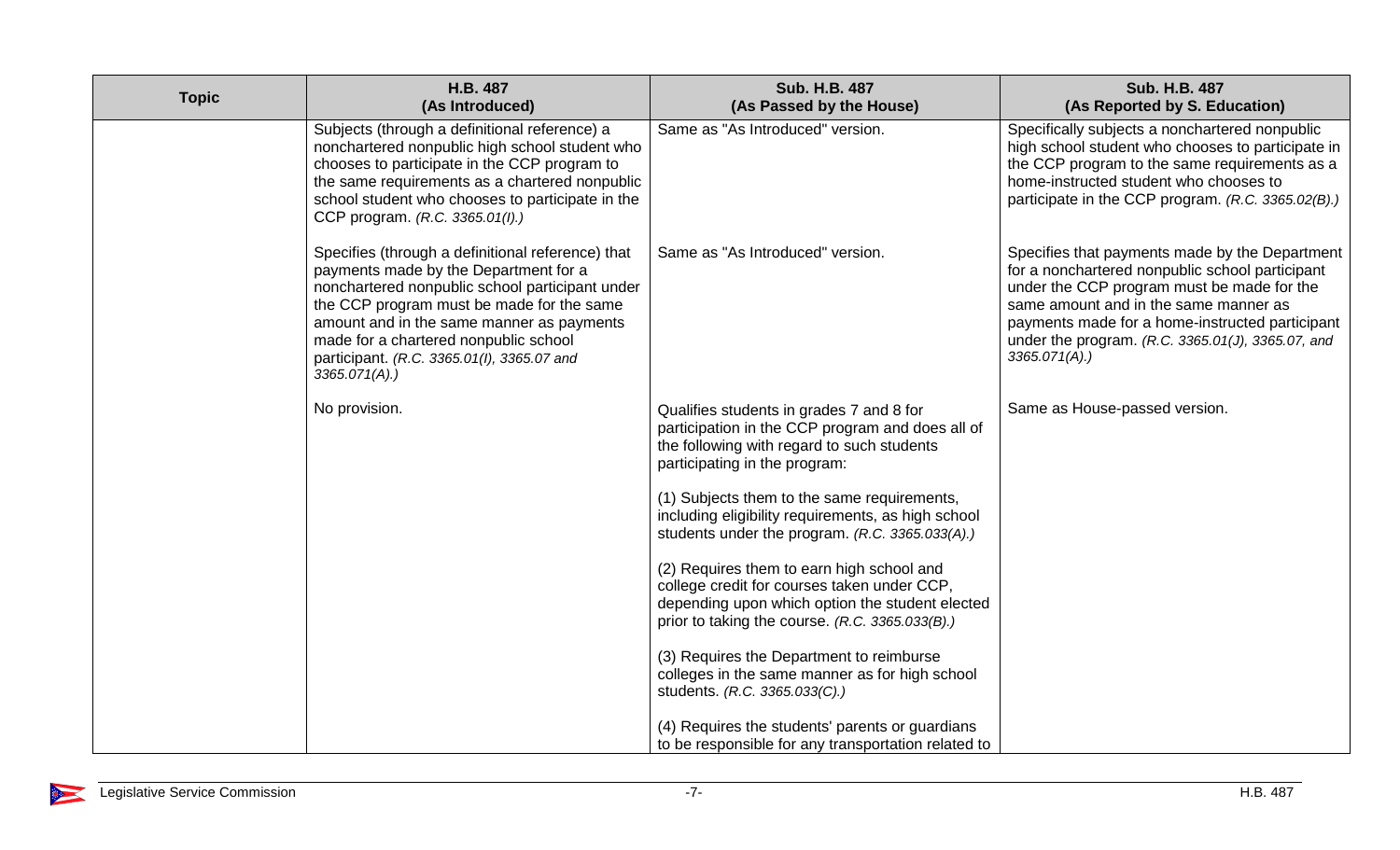| <b>Topic</b> | H.B. 487<br>(As Introduced)                                                                                                                                                                                                                                                                                                                        | <b>Sub. H.B. 487</b><br>(As Passed by the House)                                                                                                                                               | <b>Sub. H.B. 487</b><br>(As Reported by S. Education)                                                                                                                                                                                                                                                                |
|--------------|----------------------------------------------------------------------------------------------------------------------------------------------------------------------------------------------------------------------------------------------------------------------------------------------------------------------------------------------------|------------------------------------------------------------------------------------------------------------------------------------------------------------------------------------------------|----------------------------------------------------------------------------------------------------------------------------------------------------------------------------------------------------------------------------------------------------------------------------------------------------------------------|
|              | Subjects (through a definitional reference) a<br>nonchartered nonpublic high school student who<br>chooses to participate in the CCP program to<br>the same requirements as a chartered nonpublic<br>school student who chooses to participate in the<br>CCP program. (R.C. 3365.01(I).)                                                           | Same as "As Introduced" version.                                                                                                                                                               | Specifically subjects a nonchartered nonpublic<br>high school student who chooses to participate in<br>the CCP program to the same requirements as a<br>home-instructed student who chooses to<br>participate in the CCP program. (R.C. 3365.02(B).)                                                                 |
|              | Specifies (through a definitional reference) that<br>payments made by the Department for a<br>nonchartered nonpublic school participant under<br>the CCP program must be made for the same<br>amount and in the same manner as payments<br>made for a chartered nonpublic school<br>participant. (R.C. 3365.01(I), 3365.07 and<br>$3365.071(A)$ .) | Same as "As Introduced" version.                                                                                                                                                               | Specifies that payments made by the Department<br>for a nonchartered nonpublic school participant<br>under the CCP program must be made for the<br>same amount and in the same manner as<br>payments made for a home-instructed participant<br>under the program. (R.C. 3365.01(J), 3365.07, and<br>$3365.071(A)$ .) |
|              | No provision.                                                                                                                                                                                                                                                                                                                                      | Qualifies students in grades 7 and 8 for<br>participation in the CCP program and does all of<br>the following with regard to such students<br>participating in the program:                    | Same as House-passed version.                                                                                                                                                                                                                                                                                        |
|              |                                                                                                                                                                                                                                                                                                                                                    | (1) Subjects them to the same requirements,<br>including eligibility requirements, as high school<br>students under the program. (R.C. 3365.033(A).)                                           |                                                                                                                                                                                                                                                                                                                      |
|              |                                                                                                                                                                                                                                                                                                                                                    | (2) Requires them to earn high school and<br>college credit for courses taken under CCP,<br>depending upon which option the student elected<br>prior to taking the course. (R.C. 3365.033(B).) |                                                                                                                                                                                                                                                                                                                      |
|              |                                                                                                                                                                                                                                                                                                                                                    | (3) Requires the Department to reimburse<br>colleges in the same manner as for high school<br>students. (R.C. 3365.033(C).)                                                                    |                                                                                                                                                                                                                                                                                                                      |
|              |                                                                                                                                                                                                                                                                                                                                                    | (4) Requires the students' parents or guardians<br>to be responsible for any transportation related to                                                                                         |                                                                                                                                                                                                                                                                                                                      |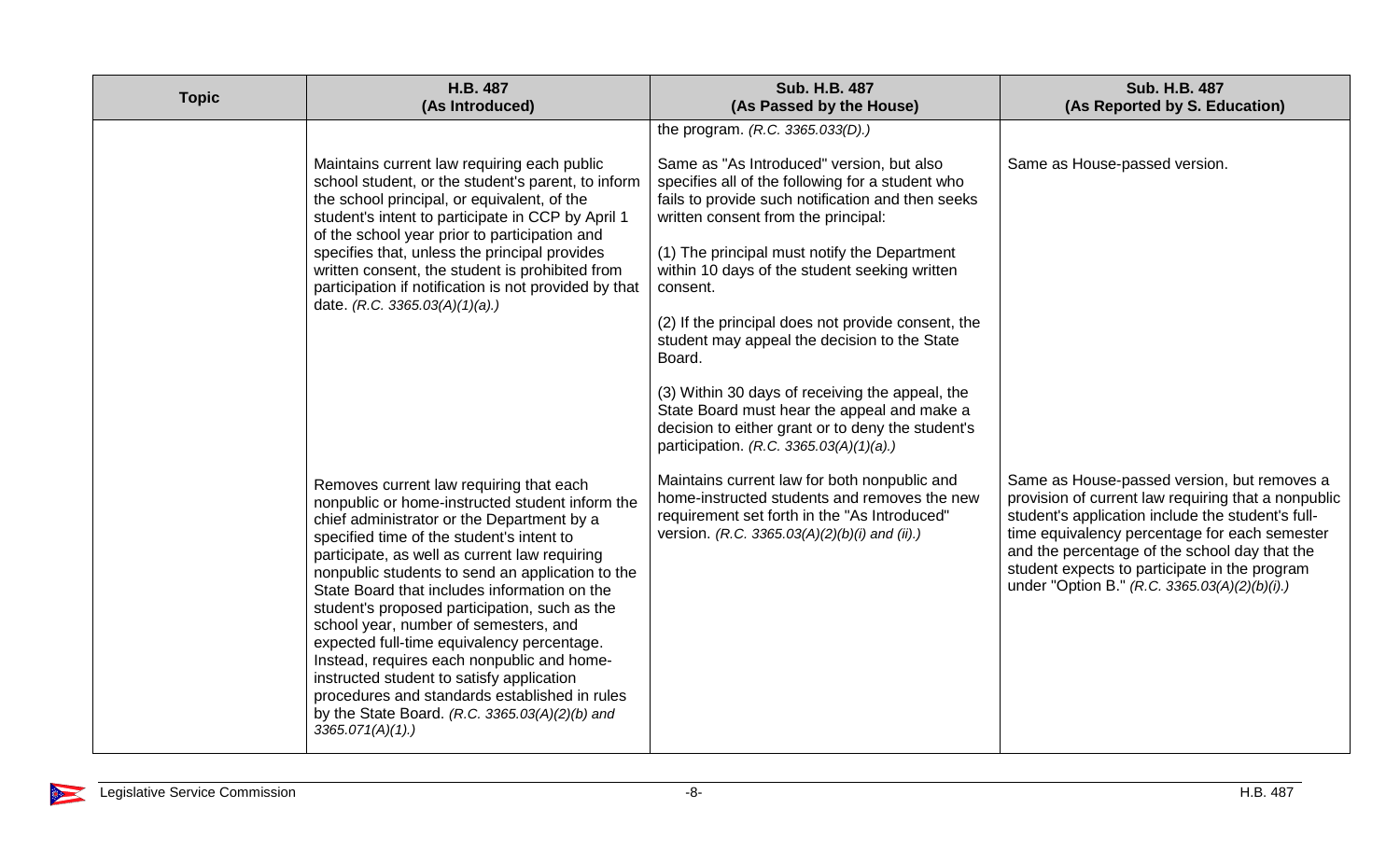| <b>Topic</b> | H.B. 487<br>(As Introduced)                                                                                                                                                                                                                                                                                                                                                                                                                                                                                                                                                                                                                                                                         | <b>Sub. H.B. 487</b><br>(As Passed by the House)                                                                                                                                                                                                                                                                                                                                                                                                                                                                                                                                                                                                             | <b>Sub. H.B. 487</b><br>(As Reported by S. Education)                                                                                                                                                                                                                                                                                                       |
|--------------|-----------------------------------------------------------------------------------------------------------------------------------------------------------------------------------------------------------------------------------------------------------------------------------------------------------------------------------------------------------------------------------------------------------------------------------------------------------------------------------------------------------------------------------------------------------------------------------------------------------------------------------------------------------------------------------------------------|--------------------------------------------------------------------------------------------------------------------------------------------------------------------------------------------------------------------------------------------------------------------------------------------------------------------------------------------------------------------------------------------------------------------------------------------------------------------------------------------------------------------------------------------------------------------------------------------------------------------------------------------------------------|-------------------------------------------------------------------------------------------------------------------------------------------------------------------------------------------------------------------------------------------------------------------------------------------------------------------------------------------------------------|
|              | Maintains current law requiring each public<br>school student, or the student's parent, to inform<br>the school principal, or equivalent, of the<br>student's intent to participate in CCP by April 1<br>of the school year prior to participation and<br>specifies that, unless the principal provides<br>written consent, the student is prohibited from<br>participation if notification is not provided by that<br>date. (R.C. 3365.03(A)(1)(a).)                                                                                                                                                                                                                                               | the program. (R.C. 3365.033(D).)<br>Same as "As Introduced" version, but also<br>specifies all of the following for a student who<br>fails to provide such notification and then seeks<br>written consent from the principal:<br>(1) The principal must notify the Department<br>within 10 days of the student seeking written<br>consent.<br>(2) If the principal does not provide consent, the<br>student may appeal the decision to the State<br>Board.<br>(3) Within 30 days of receiving the appeal, the<br>State Board must hear the appeal and make a<br>decision to either grant or to deny the student's<br>participation. (R.C. 3365.03(A)(1)(a).) | Same as House-passed version.                                                                                                                                                                                                                                                                                                                               |
|              | Removes current law requiring that each<br>nonpublic or home-instructed student inform the<br>chief administrator or the Department by a<br>specified time of the student's intent to<br>participate, as well as current law requiring<br>nonpublic students to send an application to the<br>State Board that includes information on the<br>student's proposed participation, such as the<br>school year, number of semesters, and<br>expected full-time equivalency percentage.<br>Instead, requires each nonpublic and home-<br>instructed student to satisfy application<br>procedures and standards established in rules<br>by the State Board. (R.C. 3365.03(A)(2)(b) and<br>3365.071(A)(1). | Maintains current law for both nonpublic and<br>home-instructed students and removes the new<br>requirement set forth in the "As Introduced"<br>version. (R.C. 3365.03(A)(2)(b)(i) and (ii).)                                                                                                                                                                                                                                                                                                                                                                                                                                                                | Same as House-passed version, but removes a<br>provision of current law requiring that a nonpublic<br>student's application include the student's full-<br>time equivalency percentage for each semester<br>and the percentage of the school day that the<br>student expects to participate in the program<br>under "Option B." (R.C. 3365.03(A)(2)(b)(i).) |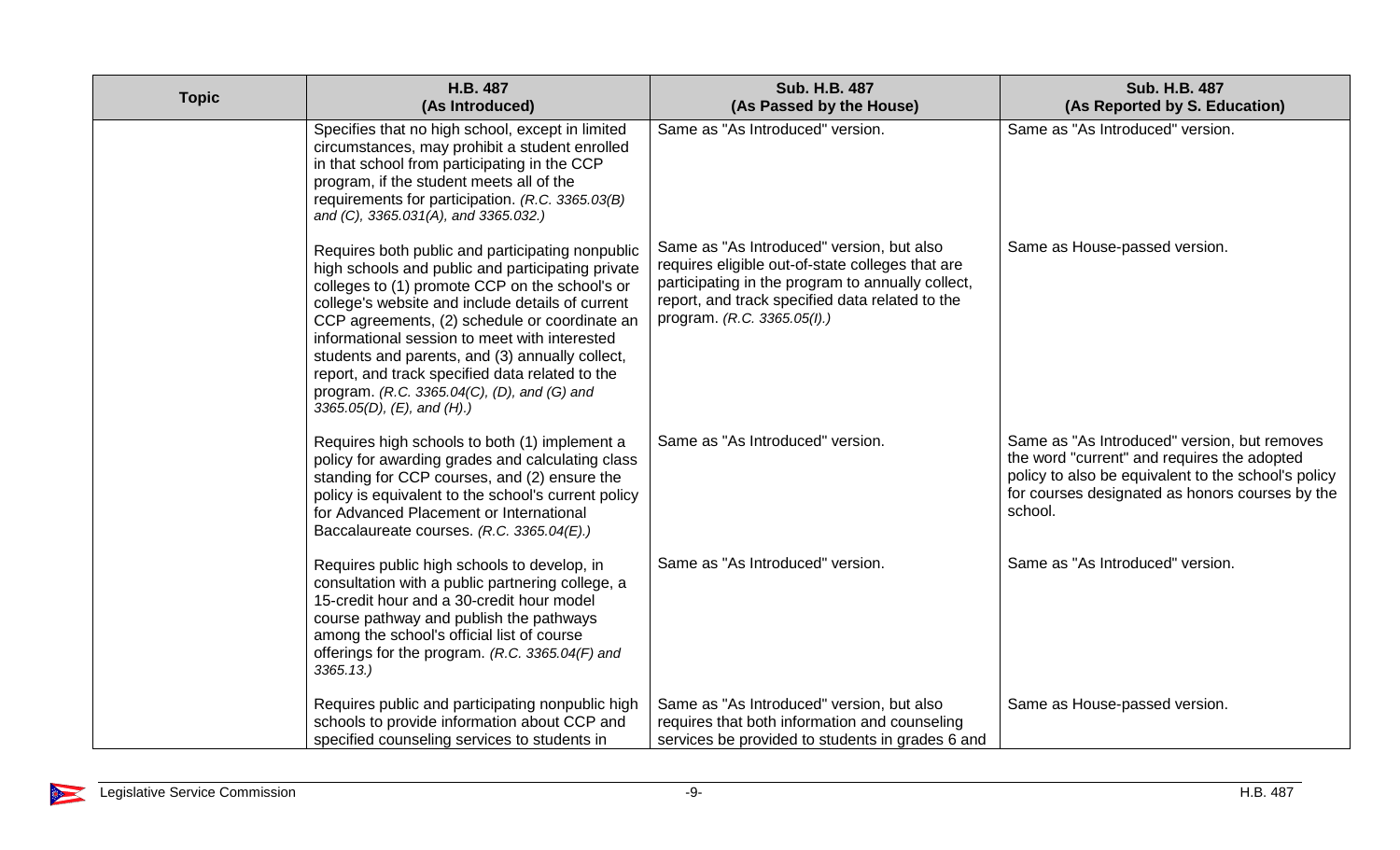| <b>Topic</b> | H.B. 487<br>(As Introduced)                                                                                                                                                                                                                                                                                                                                                                                                                                                                            | <b>Sub. H.B. 487</b><br>(As Passed by the House)                                                                                                                                                                                     | <b>Sub. H.B. 487</b><br>(As Reported by S. Education)                                                                                                                                                            |
|--------------|--------------------------------------------------------------------------------------------------------------------------------------------------------------------------------------------------------------------------------------------------------------------------------------------------------------------------------------------------------------------------------------------------------------------------------------------------------------------------------------------------------|--------------------------------------------------------------------------------------------------------------------------------------------------------------------------------------------------------------------------------------|------------------------------------------------------------------------------------------------------------------------------------------------------------------------------------------------------------------|
|              | Specifies that no high school, except in limited<br>circumstances, may prohibit a student enrolled<br>in that school from participating in the CCP<br>program, if the student meets all of the<br>requirements for participation. (R.C. 3365.03(B)<br>and (C), 3365.031(A), and 3365.032.)                                                                                                                                                                                                             | Same as "As Introduced" version.                                                                                                                                                                                                     | Same as "As Introduced" version.                                                                                                                                                                                 |
|              | Requires both public and participating nonpublic<br>high schools and public and participating private<br>colleges to (1) promote CCP on the school's or<br>college's website and include details of current<br>CCP agreements, (2) schedule or coordinate an<br>informational session to meet with interested<br>students and parents, and (3) annually collect,<br>report, and track specified data related to the<br>program. (R.C. 3365.04(C), (D), and (G) and<br>3365.05(D), $(E)$ , and $(H)$ .) | Same as "As Introduced" version, but also<br>requires eligible out-of-state colleges that are<br>participating in the program to annually collect,<br>report, and track specified data related to the<br>program. (R.C. 3365.05(I).) | Same as House-passed version.                                                                                                                                                                                    |
|              | Requires high schools to both (1) implement a<br>policy for awarding grades and calculating class<br>standing for CCP courses, and (2) ensure the<br>policy is equivalent to the school's current policy<br>for Advanced Placement or International<br>Baccalaureate courses. (R.C. 3365.04(E).)                                                                                                                                                                                                       | Same as "As Introduced" version.                                                                                                                                                                                                     | Same as "As Introduced" version, but removes<br>the word "current" and requires the adopted<br>policy to also be equivalent to the school's policy<br>for courses designated as honors courses by the<br>school. |
|              | Requires public high schools to develop, in<br>consultation with a public partnering college, a<br>15-credit hour and a 30-credit hour model<br>course pathway and publish the pathways<br>among the school's official list of course<br>offerings for the program. (R.C. 3365.04(F) and<br>3365.13.                                                                                                                                                                                                   | Same as "As Introduced" version.                                                                                                                                                                                                     | Same as "As Introduced" version.                                                                                                                                                                                 |
|              | Requires public and participating nonpublic high<br>schools to provide information about CCP and<br>specified counseling services to students in                                                                                                                                                                                                                                                                                                                                                       | Same as "As Introduced" version, but also<br>requires that both information and counseling<br>services be provided to students in grades 6 and                                                                                       | Same as House-passed version.                                                                                                                                                                                    |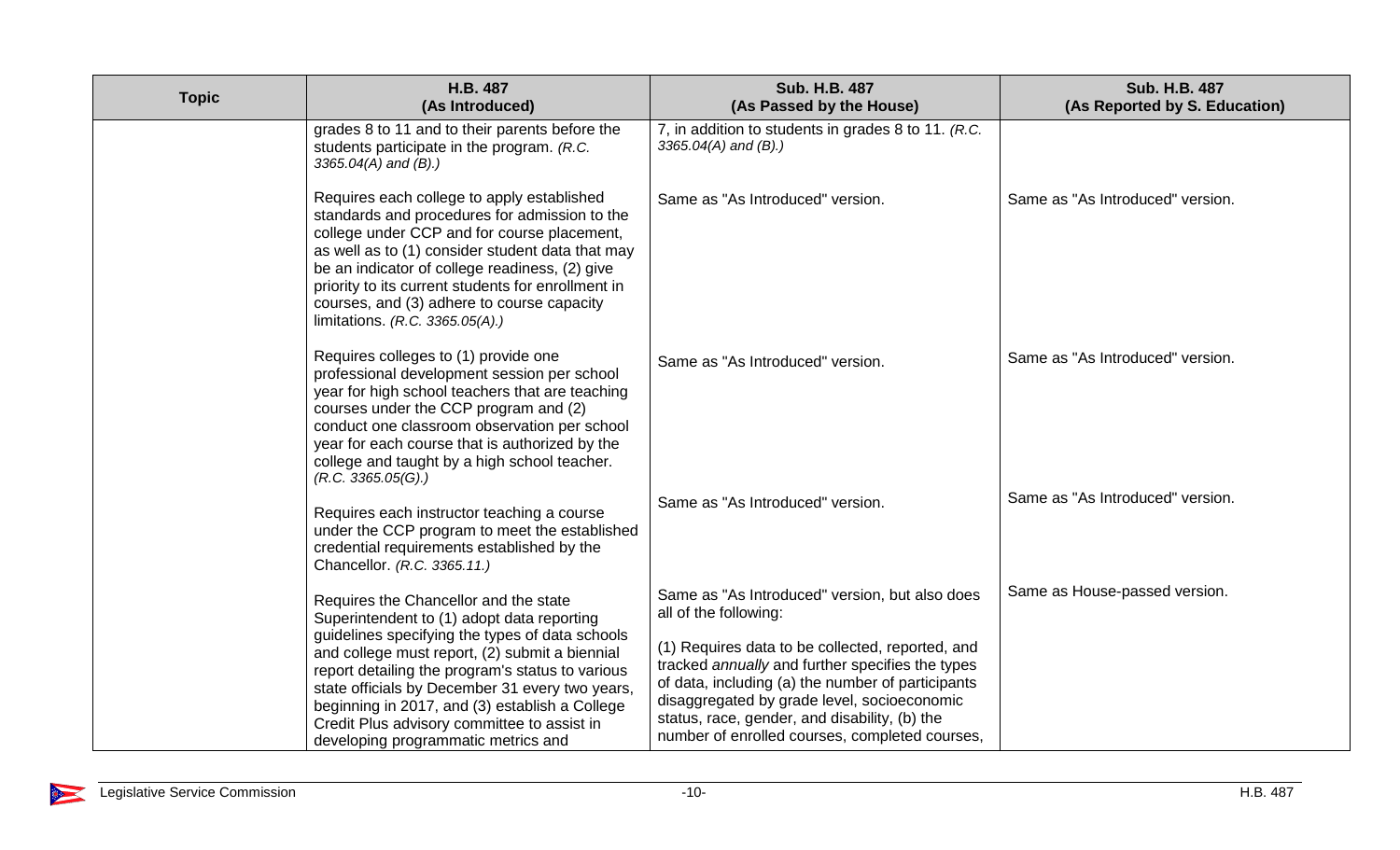| <b>Topic</b> | H.B. 487<br>(As Introduced)                                                                                                                                                                                                                                                                                                                                                                      | <b>Sub. H.B. 487</b><br>(As Passed by the House)                                                                                                                                                                                                                                                                                     | <b>Sub. H.B. 487</b><br>(As Reported by S. Education) |
|--------------|--------------------------------------------------------------------------------------------------------------------------------------------------------------------------------------------------------------------------------------------------------------------------------------------------------------------------------------------------------------------------------------------------|--------------------------------------------------------------------------------------------------------------------------------------------------------------------------------------------------------------------------------------------------------------------------------------------------------------------------------------|-------------------------------------------------------|
|              | grades 8 to 11 and to their parents before the<br>students participate in the program. (R.C.<br>3365.04(A) and (B).)                                                                                                                                                                                                                                                                             | 7, in addition to students in grades 8 to 11. (R.C.<br>$3365.04(A)$ and (B).)                                                                                                                                                                                                                                                        |                                                       |
|              | Requires each college to apply established<br>standards and procedures for admission to the<br>college under CCP and for course placement,<br>as well as to (1) consider student data that may<br>be an indicator of college readiness, (2) give<br>priority to its current students for enrollment in<br>courses, and (3) adhere to course capacity<br>limitations. (R.C. 3365.05(A).)          | Same as "As Introduced" version.                                                                                                                                                                                                                                                                                                     | Same as "As Introduced" version.                      |
|              | Requires colleges to (1) provide one<br>professional development session per school<br>year for high school teachers that are teaching<br>courses under the CCP program and (2)<br>conduct one classroom observation per school<br>year for each course that is authorized by the<br>college and taught by a high school teacher.<br>(R.C. 3365.05(G).)                                          | Same as "As Introduced" version.                                                                                                                                                                                                                                                                                                     | Same as "As Introduced" version.                      |
|              | Requires each instructor teaching a course<br>under the CCP program to meet the established<br>credential requirements established by the<br>Chancellor. (R.C. 3365.11.)                                                                                                                                                                                                                         | Same as "As Introduced" version.                                                                                                                                                                                                                                                                                                     | Same as "As Introduced" version.                      |
|              | Requires the Chancellor and the state<br>Superintendent to (1) adopt data reporting<br>guidelines specifying the types of data schools<br>and college must report, (2) submit a biennial<br>report detailing the program's status to various<br>state officials by December 31 every two years,<br>beginning in 2017, and (3) establish a College<br>Credit Plus advisory committee to assist in | Same as "As Introduced" version, but also does<br>all of the following:<br>(1) Requires data to be collected, reported, and<br>tracked annually and further specifies the types<br>of data, including (a) the number of participants<br>disaggregated by grade level, socioeconomic<br>status, race, gender, and disability, (b) the | Same as House-passed version.                         |
|              | developing programmatic metrics and                                                                                                                                                                                                                                                                                                                                                              | number of enrolled courses, completed courses,                                                                                                                                                                                                                                                                                       |                                                       |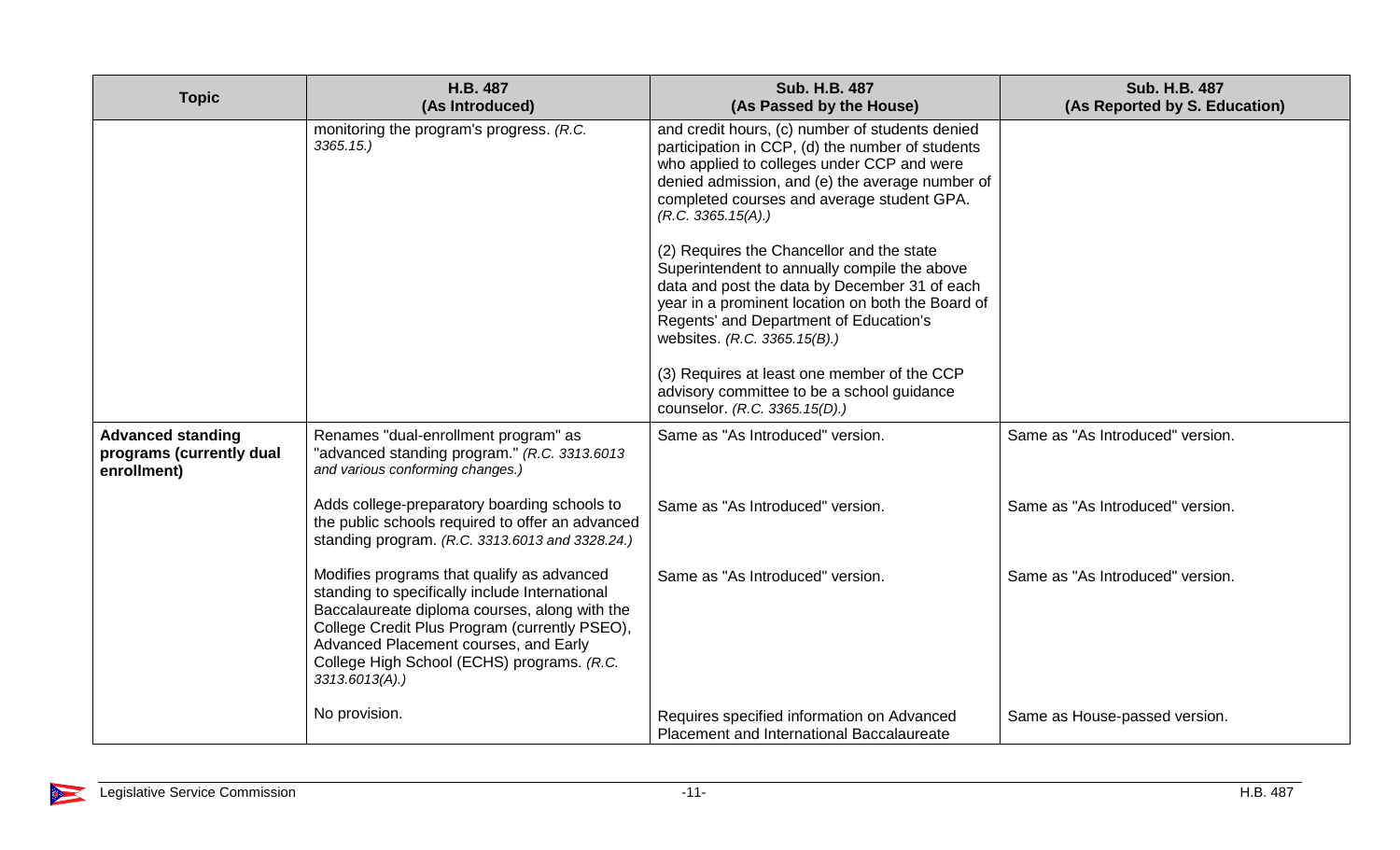| <b>Topic</b>                                                        | H.B. 487<br>(As Introduced)                                                                                                                                                                                                                                                                                | <b>Sub. H.B. 487</b><br>(As Passed by the House)                                                                                                                                                                                                                                                                     | <b>Sub. H.B. 487</b><br>(As Reported by S. Education) |
|---------------------------------------------------------------------|------------------------------------------------------------------------------------------------------------------------------------------------------------------------------------------------------------------------------------------------------------------------------------------------------------|----------------------------------------------------------------------------------------------------------------------------------------------------------------------------------------------------------------------------------------------------------------------------------------------------------------------|-------------------------------------------------------|
|                                                                     | monitoring the program's progress. (R.C.<br>3365.15.                                                                                                                                                                                                                                                       | and credit hours, (c) number of students denied<br>participation in CCP, (d) the number of students<br>who applied to colleges under CCP and were<br>denied admission, and (e) the average number of<br>completed courses and average student GPA.<br>(R.C. 3365.15(A))<br>(2) Requires the Chancellor and the state |                                                       |
|                                                                     |                                                                                                                                                                                                                                                                                                            | Superintendent to annually compile the above<br>data and post the data by December 31 of each<br>year in a prominent location on both the Board of<br>Regents' and Department of Education's<br>websites. (R.C. 3365.15(B).)                                                                                         |                                                       |
|                                                                     |                                                                                                                                                                                                                                                                                                            | (3) Requires at least one member of the CCP<br>advisory committee to be a school guidance<br>counselor. (R.C. 3365.15(D).)                                                                                                                                                                                           |                                                       |
| <b>Advanced standing</b><br>programs (currently dual<br>enrollment) | Renames "dual-enrollment program" as<br>"advanced standing program." (R.C. 3313.6013<br>and various conforming changes.)                                                                                                                                                                                   | Same as "As Introduced" version.                                                                                                                                                                                                                                                                                     | Same as "As Introduced" version.                      |
|                                                                     | Adds college-preparatory boarding schools to<br>the public schools required to offer an advanced<br>standing program. (R.C. 3313.6013 and 3328.24.)                                                                                                                                                        | Same as "As Introduced" version.                                                                                                                                                                                                                                                                                     | Same as "As Introduced" version.                      |
|                                                                     | Modifies programs that qualify as advanced<br>standing to specifically include International<br>Baccalaureate diploma courses, along with the<br>College Credit Plus Program (currently PSEO),<br>Advanced Placement courses, and Early<br>College High School (ECHS) programs. (R.C.<br>$3313.6013(A)$ .) | Same as "As Introduced" version.                                                                                                                                                                                                                                                                                     | Same as "As Introduced" version.                      |
|                                                                     | No provision.                                                                                                                                                                                                                                                                                              | Requires specified information on Advanced<br>Placement and International Baccalaureate                                                                                                                                                                                                                              | Same as House-passed version.                         |

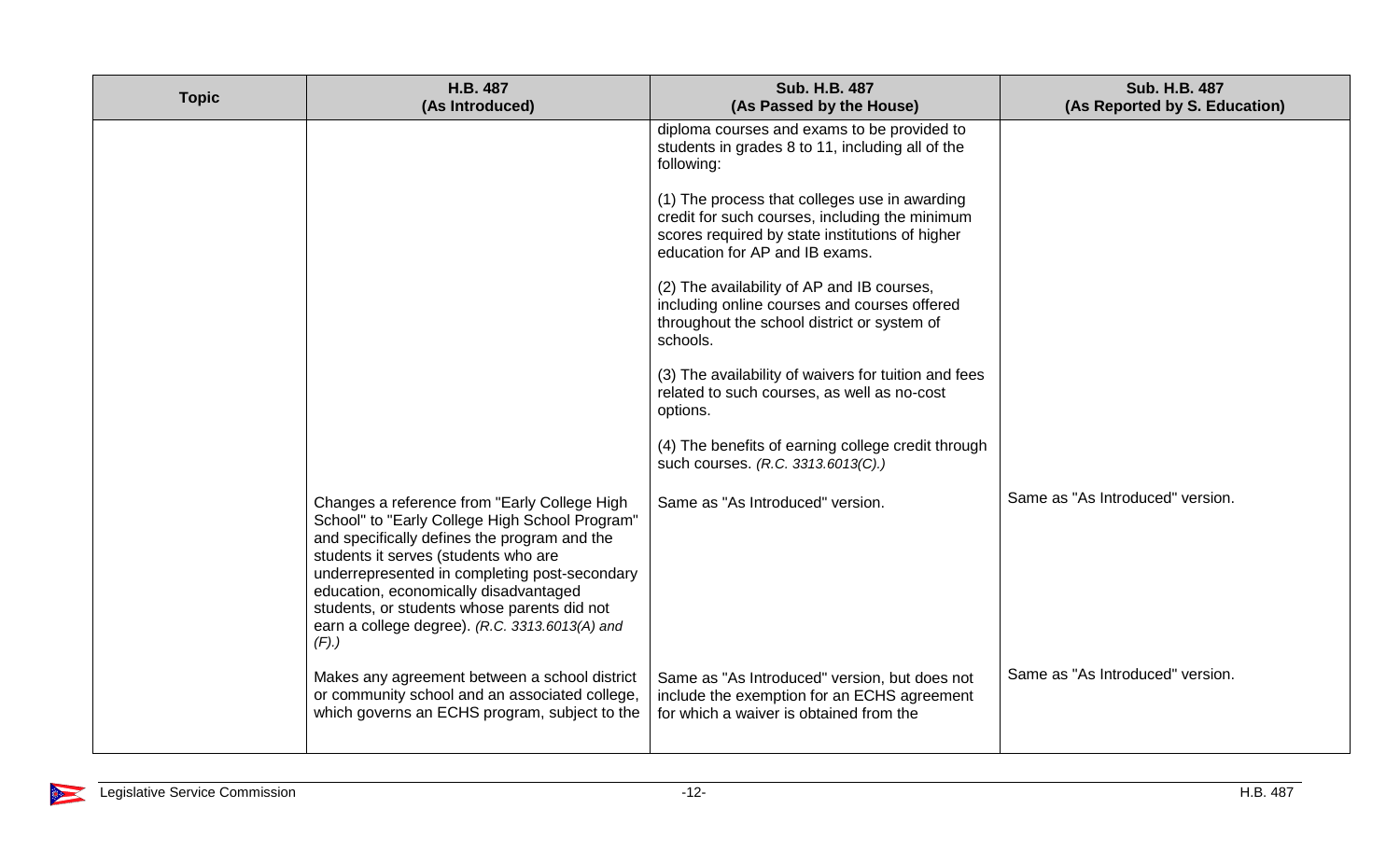| <b>Topic</b> | H.B. 487<br>(As Introduced)                                                                                                                                                                                                                                                                                                                                                               | <b>Sub. H.B. 487</b><br>(As Passed by the House)                                                                                                                                     | <b>Sub. H.B. 487</b><br>(As Reported by S. Education) |
|--------------|-------------------------------------------------------------------------------------------------------------------------------------------------------------------------------------------------------------------------------------------------------------------------------------------------------------------------------------------------------------------------------------------|--------------------------------------------------------------------------------------------------------------------------------------------------------------------------------------|-------------------------------------------------------|
|              |                                                                                                                                                                                                                                                                                                                                                                                           | diploma courses and exams to be provided to<br>students in grades 8 to 11, including all of the<br>following:                                                                        |                                                       |
|              |                                                                                                                                                                                                                                                                                                                                                                                           | (1) The process that colleges use in awarding<br>credit for such courses, including the minimum<br>scores required by state institutions of higher<br>education for AP and IB exams. |                                                       |
|              |                                                                                                                                                                                                                                                                                                                                                                                           | (2) The availability of AP and IB courses,<br>including online courses and courses offered<br>throughout the school district or system of<br>schools.                                |                                                       |
|              |                                                                                                                                                                                                                                                                                                                                                                                           | (3) The availability of waivers for tuition and fees<br>related to such courses, as well as no-cost<br>options.                                                                      |                                                       |
|              |                                                                                                                                                                                                                                                                                                                                                                                           | (4) The benefits of earning college credit through<br>such courses. (R.C. 3313.6013(C).)                                                                                             |                                                       |
|              | Changes a reference from "Early College High<br>School" to "Early College High School Program"<br>and specifically defines the program and the<br>students it serves (students who are<br>underrepresented in completing post-secondary<br>education, economically disadvantaged<br>students, or students whose parents did not<br>earn a college degree). (R.C. 3313.6013(A) and<br>(F). | Same as "As Introduced" version.                                                                                                                                                     | Same as "As Introduced" version.                      |
|              | Makes any agreement between a school district<br>or community school and an associated college,<br>which governs an ECHS program, subject to the                                                                                                                                                                                                                                          | Same as "As Introduced" version, but does not<br>include the exemption for an ECHS agreement<br>for which a waiver is obtained from the                                              | Same as "As Introduced" version.                      |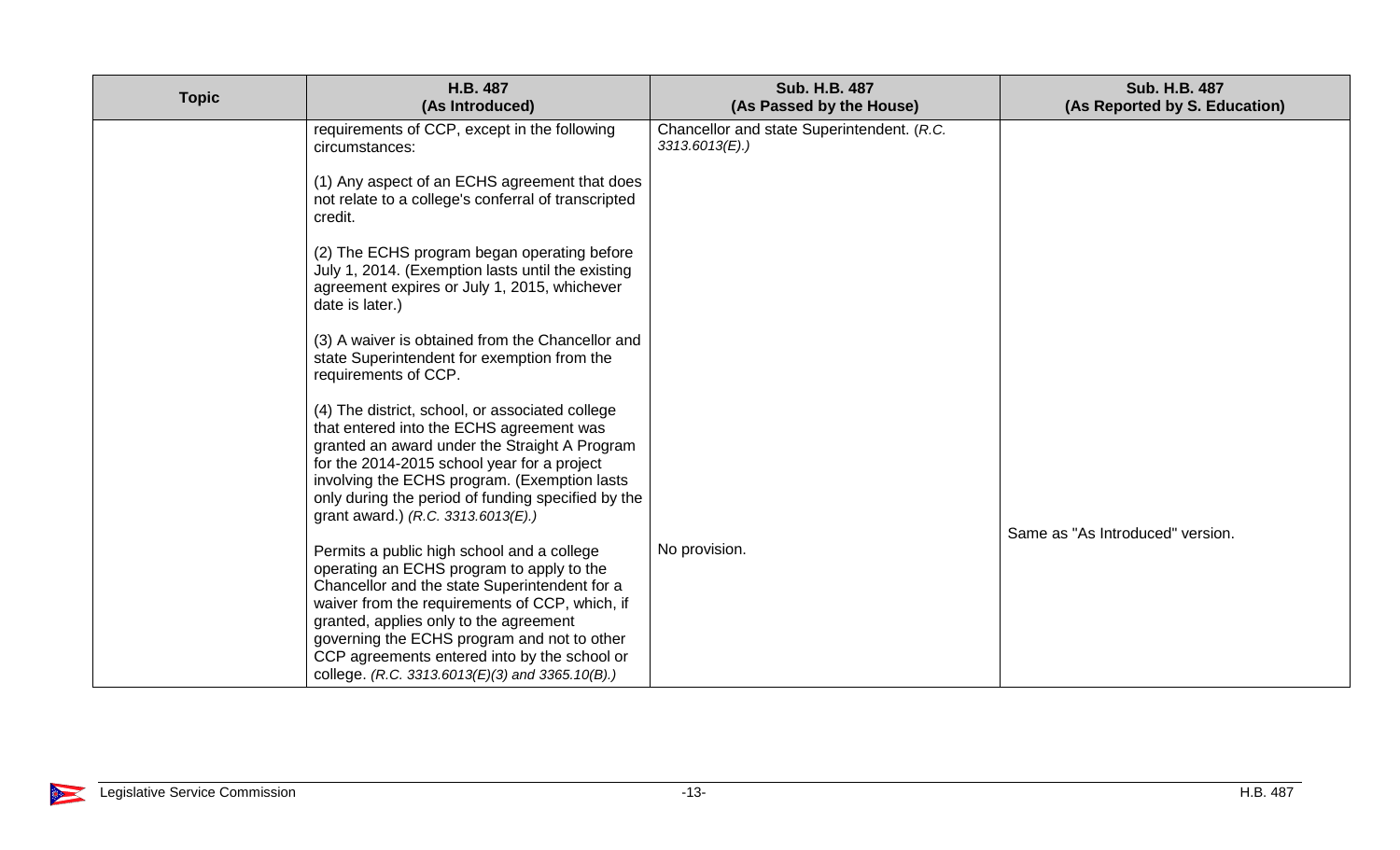| <b>Topic</b> | H.B. 487<br>(As Introduced)                                                                                                                                                                                                                                                                                                                                                            | <b>Sub. H.B. 487</b><br>(As Passed by the House)                | <b>Sub. H.B. 487</b><br>(As Reported by S. Education) |
|--------------|----------------------------------------------------------------------------------------------------------------------------------------------------------------------------------------------------------------------------------------------------------------------------------------------------------------------------------------------------------------------------------------|-----------------------------------------------------------------|-------------------------------------------------------|
|              | requirements of CCP, except in the following<br>circumstances:                                                                                                                                                                                                                                                                                                                         | Chancellor and state Superintendent. (R.C.<br>$3313.6013(E)$ .) |                                                       |
|              | (1) Any aspect of an ECHS agreement that does<br>not relate to a college's conferral of transcripted<br>credit.                                                                                                                                                                                                                                                                        |                                                                 |                                                       |
|              | (2) The ECHS program began operating before<br>July 1, 2014. (Exemption lasts until the existing<br>agreement expires or July 1, 2015, whichever<br>date is later.)                                                                                                                                                                                                                    |                                                                 |                                                       |
|              | (3) A waiver is obtained from the Chancellor and<br>state Superintendent for exemption from the<br>requirements of CCP.                                                                                                                                                                                                                                                                |                                                                 |                                                       |
|              | (4) The district, school, or associated college<br>that entered into the ECHS agreement was<br>granted an award under the Straight A Program<br>for the 2014-2015 school year for a project<br>involving the ECHS program. (Exemption lasts<br>only during the period of funding specified by the<br>grant award.) (R.C. 3313.6013(E).)                                                |                                                                 | Same as "As Introduced" version.                      |
|              | Permits a public high school and a college<br>operating an ECHS program to apply to the<br>Chancellor and the state Superintendent for a<br>waiver from the requirements of CCP, which, if<br>granted, applies only to the agreement<br>governing the ECHS program and not to other<br>CCP agreements entered into by the school or<br>college. (R.C. 3313.6013(E)(3) and 3365.10(B).) | No provision.                                                   |                                                       |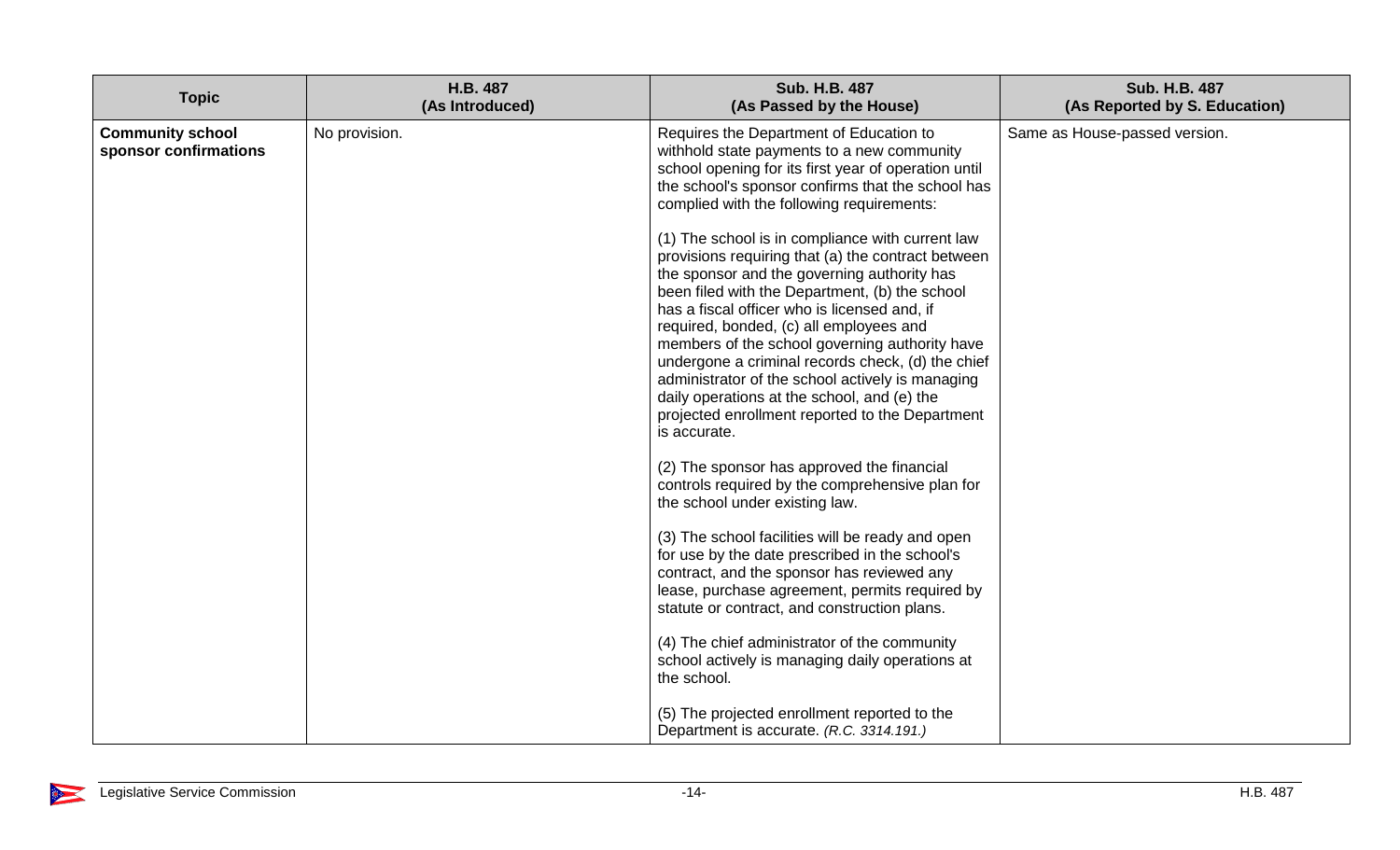| <b>Topic</b><br>(As Introduced)<br>(As Passed by the House)<br>(As Reported by S. Education)                                                                                                                                                                                                                                                                                                                                                                                                                                                                                                                                                                                                                                                                                                                                                                                                                                                                                                                                                                                                                                                                                                                                                                                                                                                                                                                                                                                                                                                    |  |
|-------------------------------------------------------------------------------------------------------------------------------------------------------------------------------------------------------------------------------------------------------------------------------------------------------------------------------------------------------------------------------------------------------------------------------------------------------------------------------------------------------------------------------------------------------------------------------------------------------------------------------------------------------------------------------------------------------------------------------------------------------------------------------------------------------------------------------------------------------------------------------------------------------------------------------------------------------------------------------------------------------------------------------------------------------------------------------------------------------------------------------------------------------------------------------------------------------------------------------------------------------------------------------------------------------------------------------------------------------------------------------------------------------------------------------------------------------------------------------------------------------------------------------------------------|--|
| <b>Community school</b><br>No provision.<br>Requires the Department of Education to<br>Same as House-passed version.<br>sponsor confirmations<br>withhold state payments to a new community<br>school opening for its first year of operation until<br>the school's sponsor confirms that the school has<br>complied with the following requirements:<br>(1) The school is in compliance with current law<br>provisions requiring that (a) the contract between<br>the sponsor and the governing authority has<br>been filed with the Department, (b) the school<br>has a fiscal officer who is licensed and, if<br>required, bonded, (c) all employees and<br>members of the school governing authority have<br>undergone a criminal records check, (d) the chief<br>administrator of the school actively is managing<br>daily operations at the school, and (e) the<br>projected enrollment reported to the Department<br>is accurate.<br>(2) The sponsor has approved the financial<br>controls required by the comprehensive plan for<br>the school under existing law.<br>(3) The school facilities will be ready and open<br>for use by the date prescribed in the school's<br>contract, and the sponsor has reviewed any<br>lease, purchase agreement, permits required by<br>statute or contract, and construction plans.<br>(4) The chief administrator of the community<br>school actively is managing daily operations at<br>the school.<br>(5) The projected enrollment reported to the<br>Department is accurate. (R.C. 3314.191.) |  |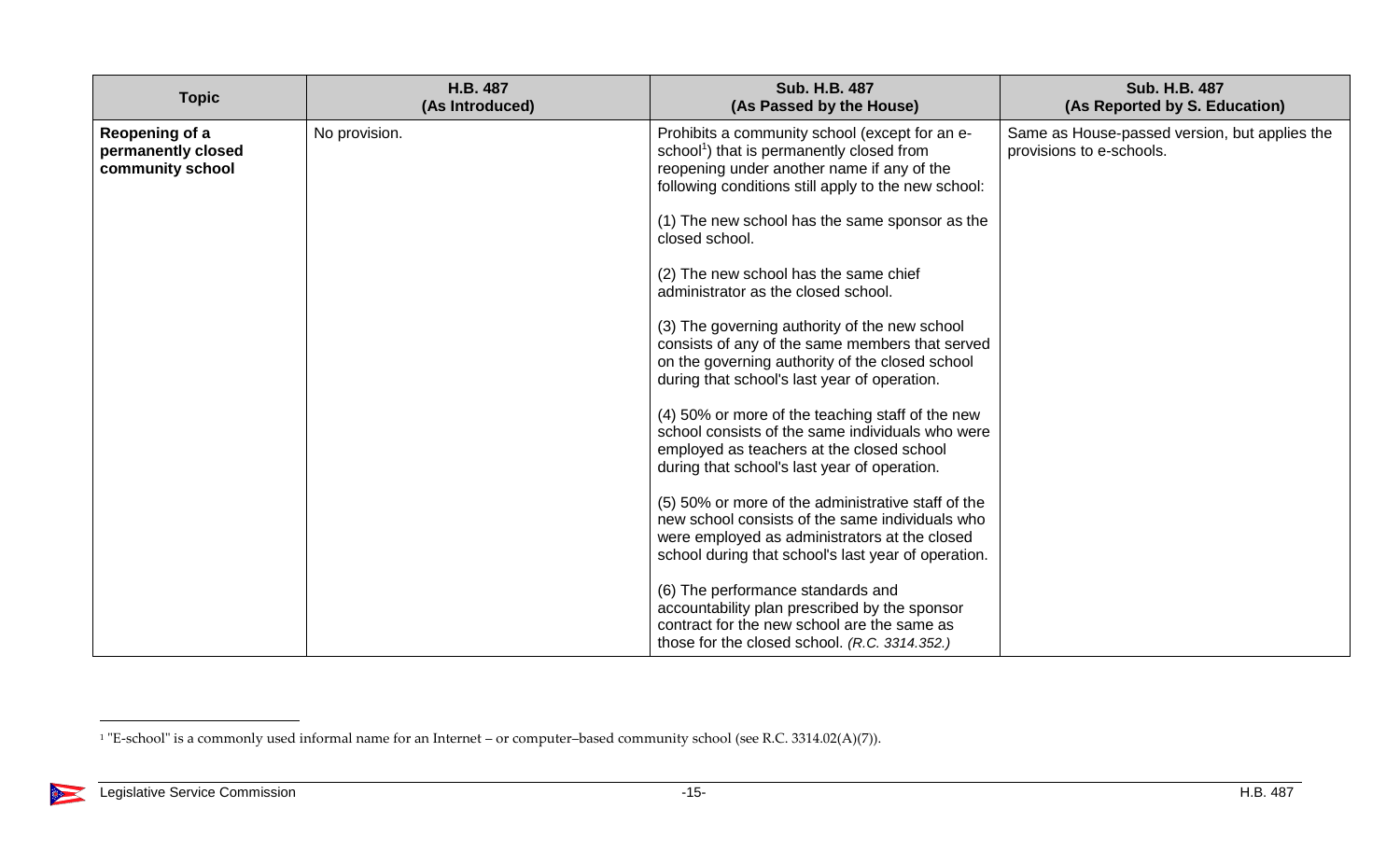| <b>Topic</b>                                             | H.B. 487<br>(As Introduced) | <b>Sub. H.B. 487</b><br>(As Passed by the House)                                                                                                                                                              | <b>Sub. H.B. 487</b><br>(As Reported by S. Education)                     |
|----------------------------------------------------------|-----------------------------|---------------------------------------------------------------------------------------------------------------------------------------------------------------------------------------------------------------|---------------------------------------------------------------------------|
| Reopening of a<br>permanently closed<br>community school | No provision.               | Prohibits a community school (except for an e-<br>school <sup>1</sup> ) that is permanently closed from<br>reopening under another name if any of the<br>following conditions still apply to the new school:  | Same as House-passed version, but applies the<br>provisions to e-schools. |
|                                                          |                             | (1) The new school has the same sponsor as the<br>closed school.                                                                                                                                              |                                                                           |
|                                                          |                             | (2) The new school has the same chief<br>administrator as the closed school.                                                                                                                                  |                                                                           |
|                                                          |                             | (3) The governing authority of the new school<br>consists of any of the same members that served<br>on the governing authority of the closed school<br>during that school's last year of operation.           |                                                                           |
|                                                          |                             | (4) 50% or more of the teaching staff of the new<br>school consists of the same individuals who were<br>employed as teachers at the closed school<br>during that school's last year of operation.             |                                                                           |
|                                                          |                             | (5) 50% or more of the administrative staff of the<br>new school consists of the same individuals who<br>were employed as administrators at the closed<br>school during that school's last year of operation. |                                                                           |
|                                                          |                             | (6) The performance standards and<br>accountability plan prescribed by the sponsor<br>contract for the new school are the same as<br>those for the closed school. (R.C. 3314.352.)                            |                                                                           |

 $\overline{a}$ 

X

<sup>1</sup> "E-school" is a commonly used informal name for an Internet – or computer–based community school (see R.C. 3314.02(A)(7)).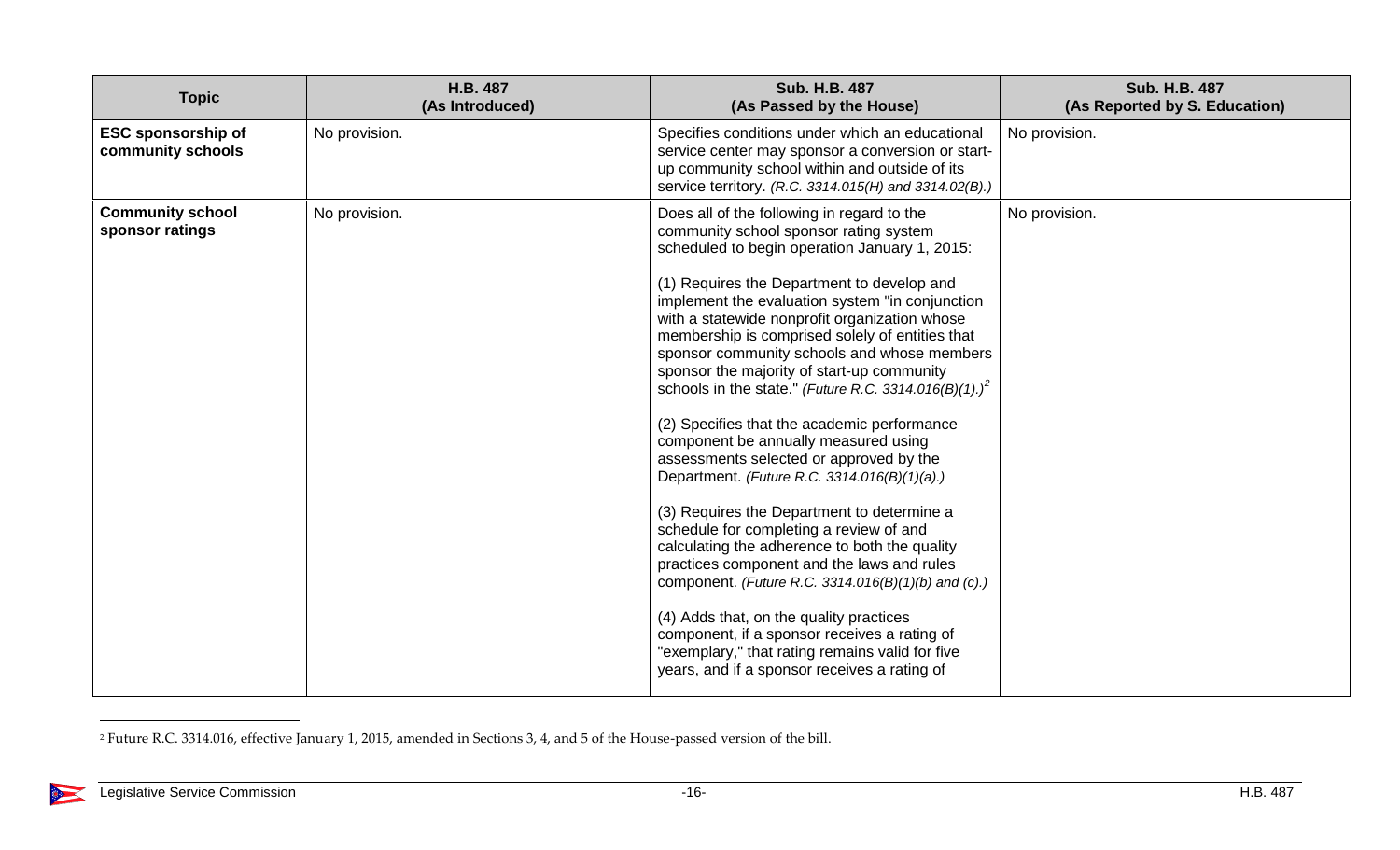| <b>Topic</b>                                   | H.B. 487<br>(As Introduced) | Sub. H.B. 487<br>(As Passed by the House)                                                                                                                                                                                                                                                                                                                                                                                                                                                                                                                                                                                                                                                                                                                                                                                                                                                                                                                                                                                                                                                                                                   | Sub. H.B. 487<br>(As Reported by S. Education) |
|------------------------------------------------|-----------------------------|---------------------------------------------------------------------------------------------------------------------------------------------------------------------------------------------------------------------------------------------------------------------------------------------------------------------------------------------------------------------------------------------------------------------------------------------------------------------------------------------------------------------------------------------------------------------------------------------------------------------------------------------------------------------------------------------------------------------------------------------------------------------------------------------------------------------------------------------------------------------------------------------------------------------------------------------------------------------------------------------------------------------------------------------------------------------------------------------------------------------------------------------|------------------------------------------------|
| <b>ESC sponsorship of</b><br>community schools | No provision.               | Specifies conditions under which an educational<br>service center may sponsor a conversion or start-<br>up community school within and outside of its<br>service territory. (R.C. 3314.015(H) and 3314.02(B).)                                                                                                                                                                                                                                                                                                                                                                                                                                                                                                                                                                                                                                                                                                                                                                                                                                                                                                                              | No provision.                                  |
| <b>Community school</b><br>sponsor ratings     | No provision.               | Does all of the following in regard to the<br>community school sponsor rating system<br>scheduled to begin operation January 1, 2015:<br>(1) Requires the Department to develop and<br>implement the evaluation system "in conjunction<br>with a statewide nonprofit organization whose<br>membership is comprised solely of entities that<br>sponsor community schools and whose members<br>sponsor the majority of start-up community<br>schools in the state." (Future R.C. 3314.016(B)(1).) <sup>2</sup><br>(2) Specifies that the academic performance<br>component be annually measured using<br>assessments selected or approved by the<br>Department. (Future R.C. 3314.016(B)(1)(a).)<br>(3) Requires the Department to determine a<br>schedule for completing a review of and<br>calculating the adherence to both the quality<br>practices component and the laws and rules<br>component. (Future R.C. 3314.016(B)(1)(b) and (c).)<br>(4) Adds that, on the quality practices<br>component, if a sponsor receives a rating of<br>"exemplary," that rating remains valid for five<br>years, and if a sponsor receives a rating of | No provision.                                  |

<sup>2</sup> Future R.C. 3314.016, effective January 1, 2015, amended in Sections 3, 4, and 5 of the House-passed version of the bill.

 $\overline{a}$ 

X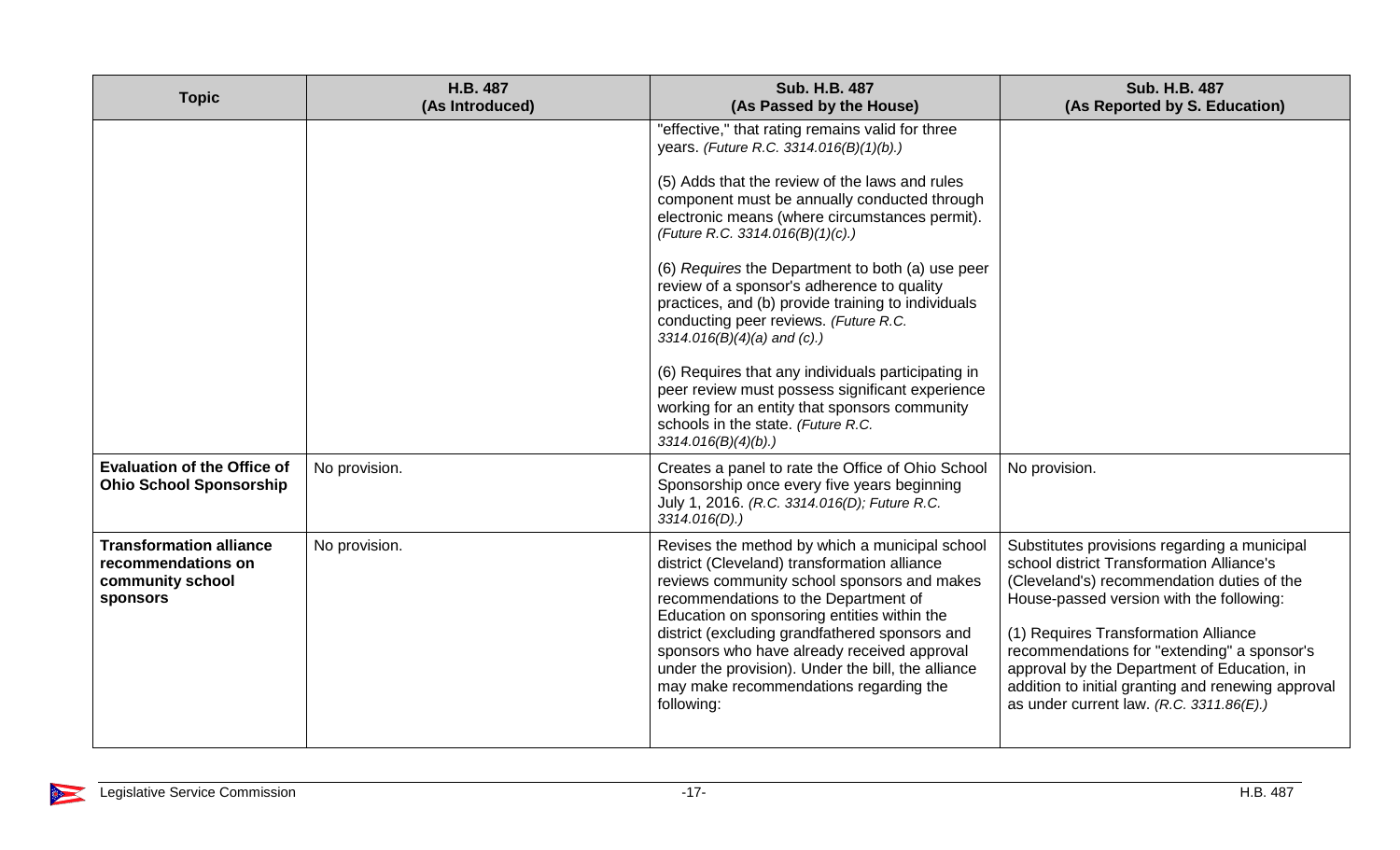| <b>Topic</b>                                                                         | H.B. 487<br>(As Introduced) | <b>Sub. H.B. 487</b><br>(As Passed by the House)                                                                                                                                                                                                                                                                                                                                                                                                    | <b>Sub. H.B. 487</b><br>(As Reported by S. Education)                                                                                                                                                                                                                                                                                                                                                                        |
|--------------------------------------------------------------------------------------|-----------------------------|-----------------------------------------------------------------------------------------------------------------------------------------------------------------------------------------------------------------------------------------------------------------------------------------------------------------------------------------------------------------------------------------------------------------------------------------------------|------------------------------------------------------------------------------------------------------------------------------------------------------------------------------------------------------------------------------------------------------------------------------------------------------------------------------------------------------------------------------------------------------------------------------|
|                                                                                      |                             | "effective," that rating remains valid for three<br>years. (Future R.C. 3314.016(B)(1)(b).)                                                                                                                                                                                                                                                                                                                                                         |                                                                                                                                                                                                                                                                                                                                                                                                                              |
|                                                                                      |                             | (5) Adds that the review of the laws and rules<br>component must be annually conducted through<br>electronic means (where circumstances permit).<br>(Future R.C. 3314.016(B)(1)(c).)                                                                                                                                                                                                                                                                |                                                                                                                                                                                                                                                                                                                                                                                                                              |
|                                                                                      |                             | (6) Requires the Department to both (a) use peer<br>review of a sponsor's adherence to quality<br>practices, and (b) provide training to individuals<br>conducting peer reviews. (Future R.C.<br>$3314.016(B)(4)(a)$ and (c).)                                                                                                                                                                                                                      |                                                                                                                                                                                                                                                                                                                                                                                                                              |
|                                                                                      |                             | (6) Requires that any individuals participating in<br>peer review must possess significant experience<br>working for an entity that sponsors community<br>schools in the state. (Future R.C.<br>3314.016(B)(4)(b).                                                                                                                                                                                                                                  |                                                                                                                                                                                                                                                                                                                                                                                                                              |
| <b>Evaluation of the Office of</b><br><b>Ohio School Sponsorship</b>                 | No provision.               | Creates a panel to rate the Office of Ohio School<br>Sponsorship once every five years beginning<br>July 1, 2016. (R.C. 3314.016(D); Future R.C.<br>$3314.016(D)$ .)                                                                                                                                                                                                                                                                                | No provision.                                                                                                                                                                                                                                                                                                                                                                                                                |
| <b>Transformation alliance</b><br>recommendations on<br>community school<br>sponsors | No provision.               | Revises the method by which a municipal school<br>district (Cleveland) transformation alliance<br>reviews community school sponsors and makes<br>recommendations to the Department of<br>Education on sponsoring entities within the<br>district (excluding grandfathered sponsors and<br>sponsors who have already received approval<br>under the provision). Under the bill, the alliance<br>may make recommendations regarding the<br>following: | Substitutes provisions regarding a municipal<br>school district Transformation Alliance's<br>(Cleveland's) recommendation duties of the<br>House-passed version with the following:<br>(1) Requires Transformation Alliance<br>recommendations for "extending" a sponsor's<br>approval by the Department of Education, in<br>addition to initial granting and renewing approval<br>as under current law. $(R.C. 3311.86(E))$ |

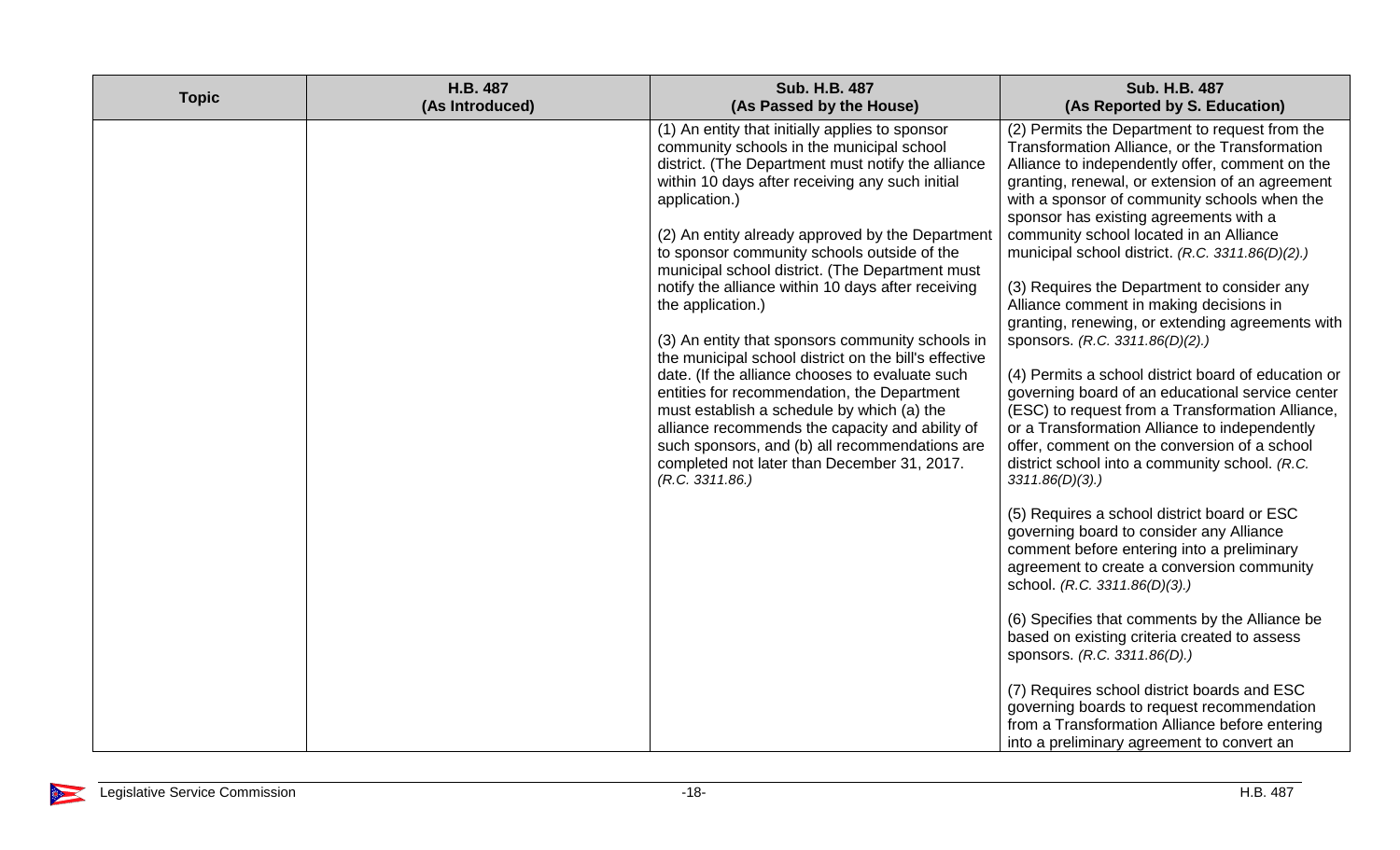| <b>Topic</b> | H.B. 487<br>(As Introduced) | <b>Sub. H.B. 487</b><br>(As Passed by the House)                                                                                                                                                                                                                                                                                                                                                                                                                                                                                                                                                                                                                                                                                                                                                                                                                                            | <b>Sub. H.B. 487</b><br>(As Reported by S. Education)                                                                                                                                                                                                                                                                                                                                                                                                                                                                                                                                                                                                                                                                                                                                                                                                                                                                                                                                                                                                                                                                                                                                          |
|--------------|-----------------------------|---------------------------------------------------------------------------------------------------------------------------------------------------------------------------------------------------------------------------------------------------------------------------------------------------------------------------------------------------------------------------------------------------------------------------------------------------------------------------------------------------------------------------------------------------------------------------------------------------------------------------------------------------------------------------------------------------------------------------------------------------------------------------------------------------------------------------------------------------------------------------------------------|------------------------------------------------------------------------------------------------------------------------------------------------------------------------------------------------------------------------------------------------------------------------------------------------------------------------------------------------------------------------------------------------------------------------------------------------------------------------------------------------------------------------------------------------------------------------------------------------------------------------------------------------------------------------------------------------------------------------------------------------------------------------------------------------------------------------------------------------------------------------------------------------------------------------------------------------------------------------------------------------------------------------------------------------------------------------------------------------------------------------------------------------------------------------------------------------|
|              |                             | (1) An entity that initially applies to sponsor<br>community schools in the municipal school<br>district. (The Department must notify the alliance<br>within 10 days after receiving any such initial<br>application.)<br>(2) An entity already approved by the Department<br>to sponsor community schools outside of the<br>municipal school district. (The Department must<br>notify the alliance within 10 days after receiving<br>the application.)<br>(3) An entity that sponsors community schools in<br>the municipal school district on the bill's effective<br>date. (If the alliance chooses to evaluate such<br>entities for recommendation, the Department<br>must establish a schedule by which (a) the<br>alliance recommends the capacity and ability of<br>such sponsors, and (b) all recommendations are<br>completed not later than December 31, 2017.<br>(R.C. 3311.86.) | (2) Permits the Department to request from the<br>Transformation Alliance, or the Transformation<br>Alliance to independently offer, comment on the<br>granting, renewal, or extension of an agreement<br>with a sponsor of community schools when the<br>sponsor has existing agreements with a<br>community school located in an Alliance<br>municipal school district. (R.C. 3311.86(D)(2).)<br>(3) Requires the Department to consider any<br>Alliance comment in making decisions in<br>granting, renewing, or extending agreements with<br>sponsors. (R.C. 3311.86(D)(2).)<br>(4) Permits a school district board of education or<br>governing board of an educational service center<br>(ESC) to request from a Transformation Alliance,<br>or a Transformation Alliance to independently<br>offer, comment on the conversion of a school<br>district school into a community school. (R.C.<br>3311.86(D)(3).<br>(5) Requires a school district board or ESC<br>governing board to consider any Alliance<br>comment before entering into a preliminary<br>agreement to create a conversion community<br>school. (R.C. 3311.86(D)(3).)<br>(6) Specifies that comments by the Alliance be |
|              |                             |                                                                                                                                                                                                                                                                                                                                                                                                                                                                                                                                                                                                                                                                                                                                                                                                                                                                                             | based on existing criteria created to assess<br>sponsors. (R.C. 3311.86(D).)                                                                                                                                                                                                                                                                                                                                                                                                                                                                                                                                                                                                                                                                                                                                                                                                                                                                                                                                                                                                                                                                                                                   |
|              |                             |                                                                                                                                                                                                                                                                                                                                                                                                                                                                                                                                                                                                                                                                                                                                                                                                                                                                                             | (7) Requires school district boards and ESC<br>governing boards to request recommendation<br>from a Transformation Alliance before entering<br>into a preliminary agreement to convert an                                                                                                                                                                                                                                                                                                                                                                                                                                                                                                                                                                                                                                                                                                                                                                                                                                                                                                                                                                                                      |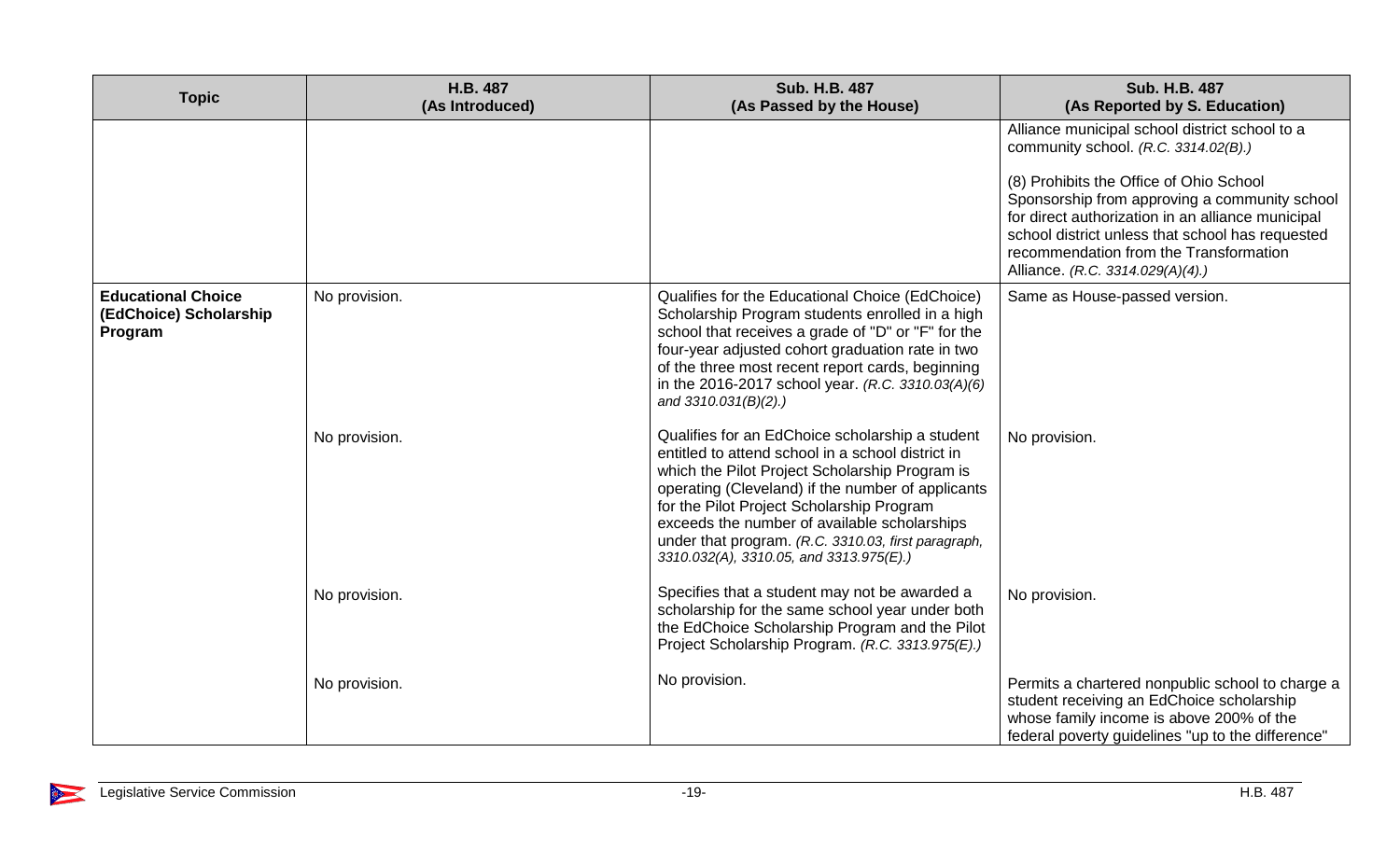| <b>Topic</b>                                                   | H.B. 487<br>(As Introduced) | <b>Sub. H.B. 487</b><br>(As Passed by the House)                                                                                                                                                                                                                                                                                                                                                           | <b>Sub. H.B. 487</b><br>(As Reported by S. Education)                                                                                                                                                                                |
|----------------------------------------------------------------|-----------------------------|------------------------------------------------------------------------------------------------------------------------------------------------------------------------------------------------------------------------------------------------------------------------------------------------------------------------------------------------------------------------------------------------------------|--------------------------------------------------------------------------------------------------------------------------------------------------------------------------------------------------------------------------------------|
|                                                                |                             |                                                                                                                                                                                                                                                                                                                                                                                                            | Alliance municipal school district school to a<br>community school. (R.C. 3314.02(B).)<br>(8) Prohibits the Office of Ohio School                                                                                                    |
|                                                                |                             |                                                                                                                                                                                                                                                                                                                                                                                                            | Sponsorship from approving a community school<br>for direct authorization in an alliance municipal<br>school district unless that school has requested<br>recommendation from the Transformation<br>Alliance. (R.C. 3314.029(A)(4).) |
| <b>Educational Choice</b><br>(EdChoice) Scholarship<br>Program | No provision.               | Qualifies for the Educational Choice (EdChoice)<br>Scholarship Program students enrolled in a high<br>school that receives a grade of "D" or "F" for the<br>four-year adjusted cohort graduation rate in two<br>of the three most recent report cards, beginning<br>in the 2016-2017 school year. (R.C. 3310.03(A)(6)<br>and $3310.031(B)(2)$ .)                                                           | Same as House-passed version.                                                                                                                                                                                                        |
|                                                                | No provision.               | Qualifies for an EdChoice scholarship a student<br>entitled to attend school in a school district in<br>which the Pilot Project Scholarship Program is<br>operating (Cleveland) if the number of applicants<br>for the Pilot Project Scholarship Program<br>exceeds the number of available scholarships<br>under that program. (R.C. 3310.03, first paragraph,<br>3310.032(A), 3310.05, and 3313.975(E).) | No provision.                                                                                                                                                                                                                        |
|                                                                | No provision.               | Specifies that a student may not be awarded a<br>scholarship for the same school year under both<br>the EdChoice Scholarship Program and the Pilot<br>Project Scholarship Program. (R.C. 3313.975(E).)                                                                                                                                                                                                     | No provision.                                                                                                                                                                                                                        |
|                                                                | No provision.               | No provision.                                                                                                                                                                                                                                                                                                                                                                                              | Permits a chartered nonpublic school to charge a<br>student receiving an EdChoice scholarship<br>whose family income is above 200% of the<br>federal poverty guidelines "up to the difference"                                       |

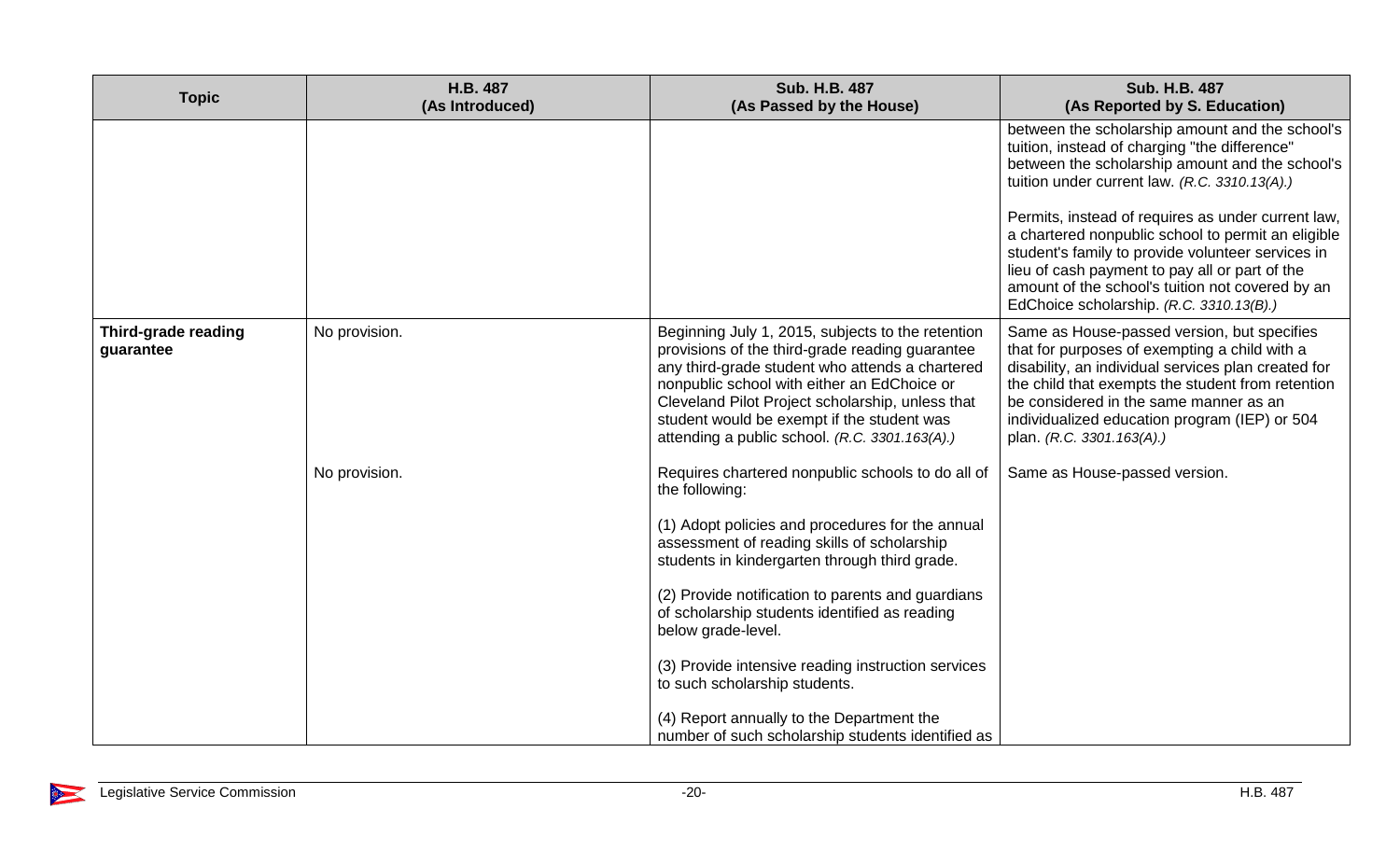| <b>Topic</b>                     | H.B. 487<br>(As Introduced) | <b>Sub. H.B. 487</b><br>(As Passed by the House)                                                                                                                                                                                                                                                                                                                                                                                                                                                                                             | <b>Sub. H.B. 487</b><br>(As Reported by S. Education)                                                                                                                                                                                                                                                                                                                                                                                                                                                                   |
|----------------------------------|-----------------------------|----------------------------------------------------------------------------------------------------------------------------------------------------------------------------------------------------------------------------------------------------------------------------------------------------------------------------------------------------------------------------------------------------------------------------------------------------------------------------------------------------------------------------------------------|-------------------------------------------------------------------------------------------------------------------------------------------------------------------------------------------------------------------------------------------------------------------------------------------------------------------------------------------------------------------------------------------------------------------------------------------------------------------------------------------------------------------------|
|                                  |                             |                                                                                                                                                                                                                                                                                                                                                                                                                                                                                                                                              | between the scholarship amount and the school's<br>tuition, instead of charging "the difference"<br>between the scholarship amount and the school's<br>tuition under current law. (R.C. 3310.13(A).)<br>Permits, instead of requires as under current law,<br>a chartered nonpublic school to permit an eligible<br>student's family to provide volunteer services in<br>lieu of cash payment to pay all or part of the<br>amount of the school's tuition not covered by an<br>EdChoice scholarship. (R.C. 3310.13(B).) |
| Third-grade reading<br>guarantee | No provision.               | Beginning July 1, 2015, subjects to the retention<br>provisions of the third-grade reading guarantee<br>any third-grade student who attends a chartered<br>nonpublic school with either an EdChoice or<br>Cleveland Pilot Project scholarship, unless that<br>student would be exempt if the student was<br>attending a public school. (R.C. 3301.163(A).)                                                                                                                                                                                   | Same as House-passed version, but specifies<br>that for purposes of exempting a child with a<br>disability, an individual services plan created for<br>the child that exempts the student from retention<br>be considered in the same manner as an<br>individualized education program (IEP) or 504<br>plan. (R.C. 3301.163(A).)                                                                                                                                                                                        |
|                                  | No provision.               | Requires chartered nonpublic schools to do all of<br>the following:<br>(1) Adopt policies and procedures for the annual<br>assessment of reading skills of scholarship<br>students in kindergarten through third grade.<br>(2) Provide notification to parents and guardians<br>of scholarship students identified as reading<br>below grade-level.<br>(3) Provide intensive reading instruction services<br>to such scholarship students.<br>(4) Report annually to the Department the<br>number of such scholarship students identified as | Same as House-passed version.                                                                                                                                                                                                                                                                                                                                                                                                                                                                                           |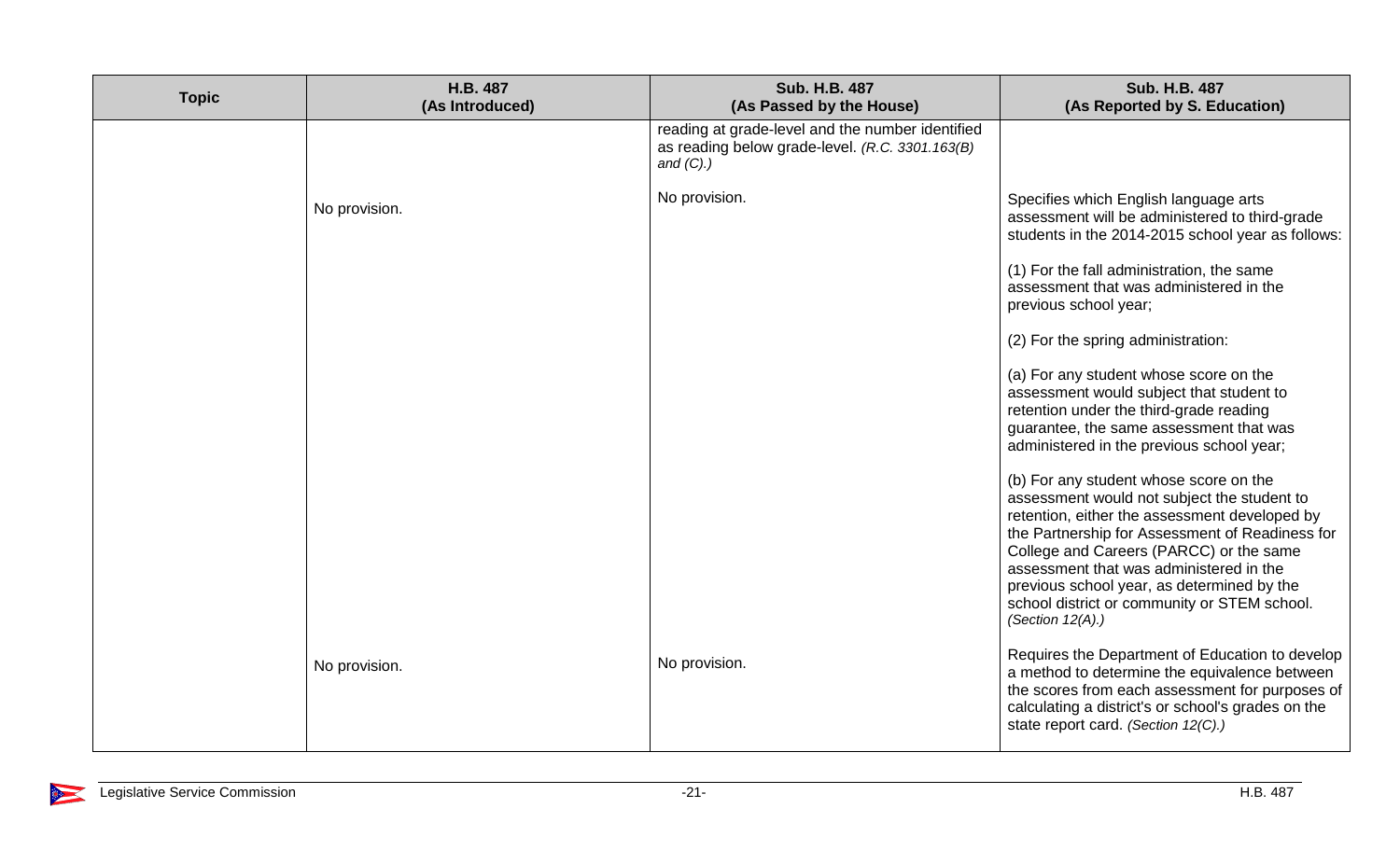| <b>Topic</b> | H.B. 487<br>(As Introduced) | <b>Sub. H.B. 487</b><br>(As Passed by the House)                                                                    | <b>Sub. H.B. 487</b><br>(As Reported by S. Education)                                                                                                                                                                                                                                                                                                                                                |
|--------------|-----------------------------|---------------------------------------------------------------------------------------------------------------------|------------------------------------------------------------------------------------------------------------------------------------------------------------------------------------------------------------------------------------------------------------------------------------------------------------------------------------------------------------------------------------------------------|
|              |                             | reading at grade-level and the number identified<br>as reading below grade-level. (R.C. 3301.163(B)<br>and $(C)$ .) |                                                                                                                                                                                                                                                                                                                                                                                                      |
|              | No provision.               | No provision.                                                                                                       | Specifies which English language arts<br>assessment will be administered to third-grade<br>students in the 2014-2015 school year as follows:                                                                                                                                                                                                                                                         |
|              |                             |                                                                                                                     | (1) For the fall administration, the same<br>assessment that was administered in the<br>previous school year;                                                                                                                                                                                                                                                                                        |
|              |                             |                                                                                                                     | (2) For the spring administration:                                                                                                                                                                                                                                                                                                                                                                   |
|              |                             |                                                                                                                     | (a) For any student whose score on the<br>assessment would subject that student to<br>retention under the third-grade reading<br>guarantee, the same assessment that was<br>administered in the previous school year;                                                                                                                                                                                |
|              |                             |                                                                                                                     | (b) For any student whose score on the<br>assessment would not subject the student to<br>retention, either the assessment developed by<br>the Partnership for Assessment of Readiness for<br>College and Careers (PARCC) or the same<br>assessment that was administered in the<br>previous school year, as determined by the<br>school district or community or STEM school.<br>(Section $12(A)$ .) |
|              | No provision.               | No provision.                                                                                                       | Requires the Department of Education to develop<br>a method to determine the equivalence between<br>the scores from each assessment for purposes of<br>calculating a district's or school's grades on the<br>state report card. (Section 12(C).)                                                                                                                                                     |

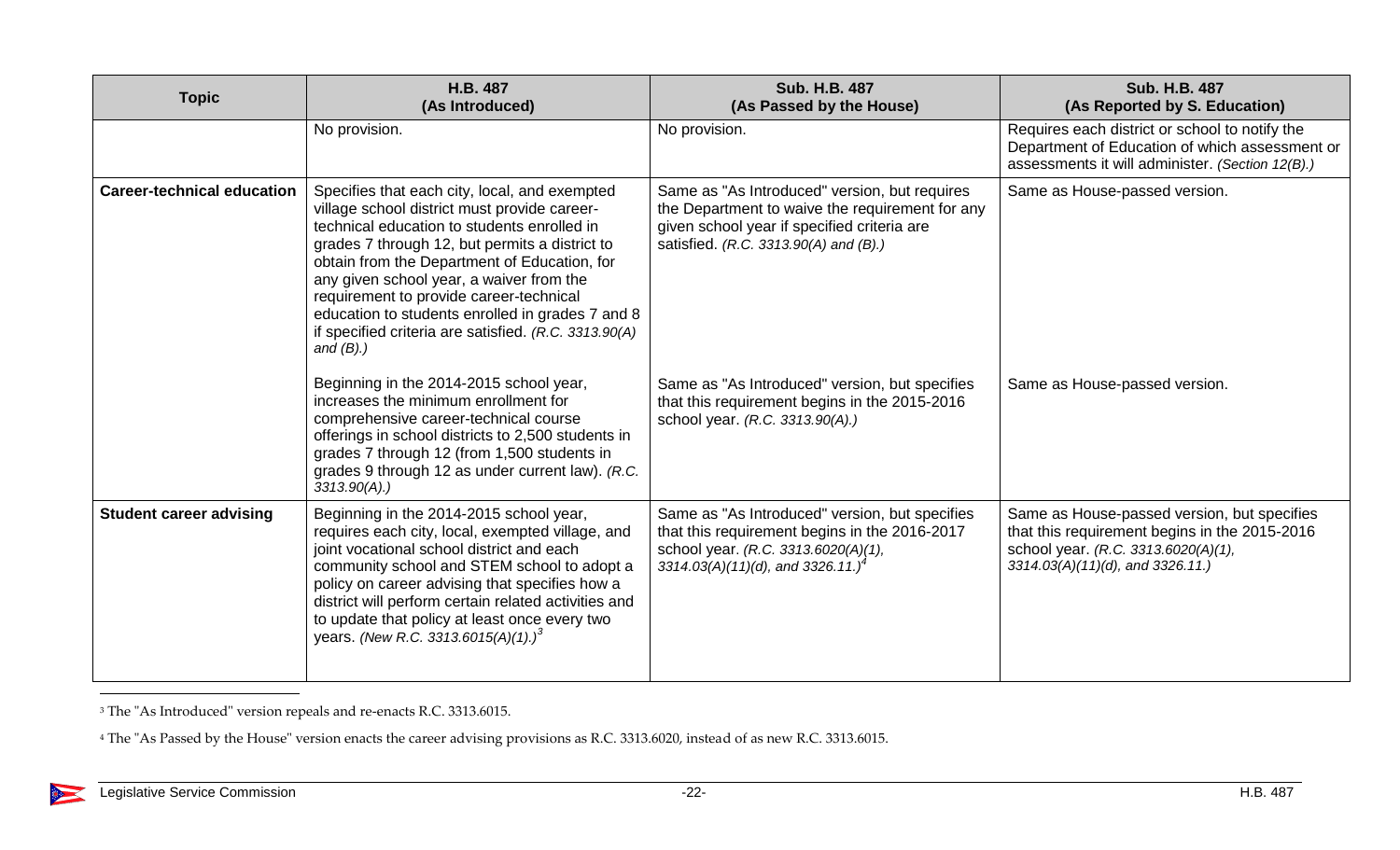| <b>Topic</b>                      | H.B. 487<br>(As Introduced)                                                                                                                                                                                                                                                                                                                                                                                                                                        | Sub. H.B. 487<br>(As Passed by the House)                                                                                                                                                  | <b>Sub. H.B. 487</b><br>(As Reported by S. Education)                                                                                                                   |
|-----------------------------------|--------------------------------------------------------------------------------------------------------------------------------------------------------------------------------------------------------------------------------------------------------------------------------------------------------------------------------------------------------------------------------------------------------------------------------------------------------------------|--------------------------------------------------------------------------------------------------------------------------------------------------------------------------------------------|-------------------------------------------------------------------------------------------------------------------------------------------------------------------------|
|                                   | No provision.                                                                                                                                                                                                                                                                                                                                                                                                                                                      | No provision.                                                                                                                                                                              | Requires each district or school to notify the<br>Department of Education of which assessment or<br>assessments it will administer. (Section 12(B).)                    |
| <b>Career-technical education</b> | Specifies that each city, local, and exempted<br>village school district must provide career-<br>technical education to students enrolled in<br>grades 7 through 12, but permits a district to<br>obtain from the Department of Education, for<br>any given school year, a waiver from the<br>requirement to provide career-technical<br>education to students enrolled in grades 7 and 8<br>if specified criteria are satisfied. (R.C. 3313.90(A)<br>and $(B)$ .) | Same as "As Introduced" version, but requires<br>the Department to waive the requirement for any<br>given school year if specified criteria are<br>satisfied. (R.C. 3313.90(A) and (B).)   | Same as House-passed version.                                                                                                                                           |
|                                   | Beginning in the 2014-2015 school year,<br>increases the minimum enrollment for<br>comprehensive career-technical course<br>offerings in school districts to 2,500 students in<br>grades 7 through 12 (from 1,500 students in<br>grades 9 through 12 as under current law). (R.C.<br>$3313.90(A)$ .)                                                                                                                                                               | Same as "As Introduced" version, but specifies<br>that this requirement begins in the 2015-2016<br>school year. (R.C. 3313.90(A).)                                                         | Same as House-passed version.                                                                                                                                           |
| <b>Student career advising</b>    | Beginning in the 2014-2015 school year,<br>requires each city, local, exempted village, and<br>joint vocational school district and each<br>community school and STEM school to adopt a<br>policy on career advising that specifies how a<br>district will perform certain related activities and<br>to update that policy at least once every two<br>years. (New R.C. 3313.6015(A)(1).) <sup>3</sup>                                                              | Same as "As Introduced" version, but specifies<br>that this requirement begins in the 2016-2017<br>school year. (R.C. 3313.6020(A)(1),<br>$3314.03(A)(11)(d)$ , and 3326.11.) <sup>4</sup> | Same as House-passed version, but specifies<br>that this requirement begins in the 2015-2016<br>school year. (R.C. 3313.6020(A)(1),<br>3314.03(A)(11)(d), and 3326.11.) |

<sup>3</sup> The "As Introduced" version repeals and re-enacts R.C. 3313.6015.

<sup>4</sup> The "As Passed by the House" version enacts the career advising provisions as R.C. 3313.6020, instead of as new R.C. 3313.6015.

 $\overline{a}$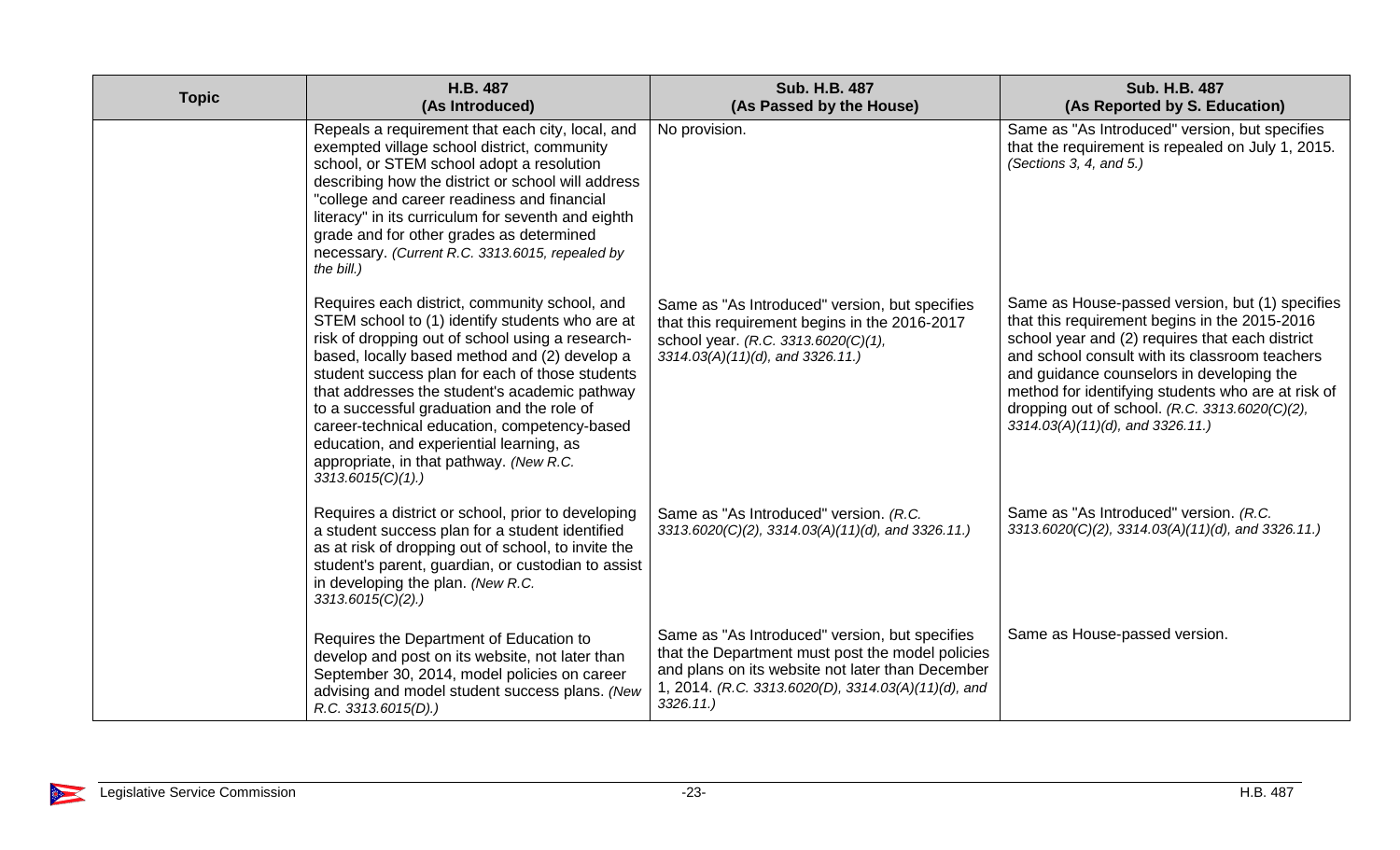| <b>Topic</b> | H.B. 487<br>(As Introduced)                                                                                                                                                                                                                                                                                                                                                                                                                                                                                            | <b>Sub. H.B. 487</b><br>(As Passed by the House)                                                                                                                                                                              | <b>Sub. H.B. 487</b><br>(As Reported by S. Education)                                                                                                                                                                                                                                                                                                                                            |
|--------------|------------------------------------------------------------------------------------------------------------------------------------------------------------------------------------------------------------------------------------------------------------------------------------------------------------------------------------------------------------------------------------------------------------------------------------------------------------------------------------------------------------------------|-------------------------------------------------------------------------------------------------------------------------------------------------------------------------------------------------------------------------------|--------------------------------------------------------------------------------------------------------------------------------------------------------------------------------------------------------------------------------------------------------------------------------------------------------------------------------------------------------------------------------------------------|
|              | Repeals a requirement that each city, local, and<br>exempted village school district, community<br>school, or STEM school adopt a resolution<br>describing how the district or school will address<br>"college and career readiness and financial<br>literacy" in its curriculum for seventh and eighth<br>grade and for other grades as determined<br>necessary. (Current R.C. 3313.6015, repealed by<br>the bill.)                                                                                                   | No provision.                                                                                                                                                                                                                 | Same as "As Introduced" version, but specifies<br>that the requirement is repealed on July 1, 2015.<br>(Sections 3, 4, and $5$ .)                                                                                                                                                                                                                                                                |
|              | Requires each district, community school, and<br>STEM school to (1) identify students who are at<br>risk of dropping out of school using a research-<br>based, locally based method and (2) develop a<br>student success plan for each of those students<br>that addresses the student's academic pathway<br>to a successful graduation and the role of<br>career-technical education, competency-based<br>education, and experiential learning, as<br>appropriate, in that pathway. (New R.C.<br>$3313.6015(C)(1)$ .) | Same as "As Introduced" version, but specifies<br>that this requirement begins in the 2016-2017<br>school year. (R.C. 3313.6020(C)(1),<br>3314.03(A)(11)(d), and 3326.11.)                                                    | Same as House-passed version, but (1) specifies<br>that this requirement begins in the 2015-2016<br>school year and (2) requires that each district<br>and school consult with its classroom teachers<br>and guidance counselors in developing the<br>method for identifying students who are at risk of<br>dropping out of school. $(R.C. 3313.6020(C)(2),$<br>3314.03(A)(11)(d), and 3326.11.) |
|              | Requires a district or school, prior to developing<br>a student success plan for a student identified<br>as at risk of dropping out of school, to invite the<br>student's parent, guardian, or custodian to assist<br>in developing the plan. (New R.C.<br>$3313.6015(C)(2)$ .)                                                                                                                                                                                                                                        | Same as "As Introduced" version. (R.C.<br>$3313.6020(C)(2)$ , $3314.03(A)(11)(d)$ , and $3326.11$ .)                                                                                                                          | Same as "As Introduced" version. (R.C.<br>$3313.6020(C)(2)$ , $3314.03(A)(11)(d)$ , and $3326.11$ .)                                                                                                                                                                                                                                                                                             |
|              | Requires the Department of Education to<br>develop and post on its website, not later than<br>September 30, 2014, model policies on career<br>advising and model student success plans. (New<br>R.C. 3313.6015(D).                                                                                                                                                                                                                                                                                                     | Same as "As Introduced" version, but specifies<br>that the Department must post the model policies<br>and plans on its website not later than December<br>1, 2014. (R.C. 3313.6020(D), 3314.03(A)(11)(d), and<br>$3326.11$ .) | Same as House-passed version.                                                                                                                                                                                                                                                                                                                                                                    |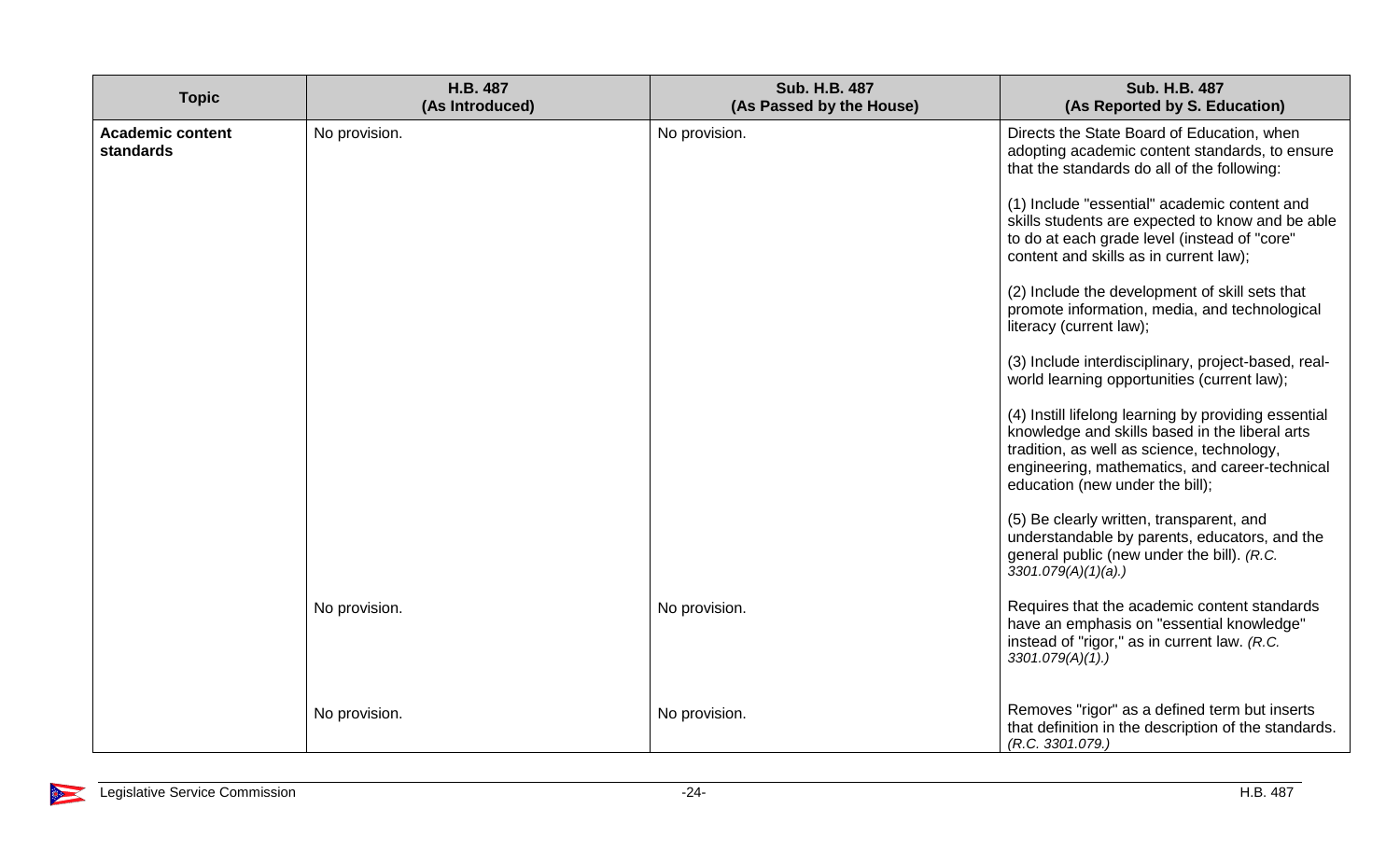| <b>Topic</b>                         | H.B. 487<br>(As Introduced) | <b>Sub. H.B. 487</b><br>(As Passed by the House) | <b>Sub. H.B. 487</b><br>(As Reported by S. Education)                                                                                                                                                                                     |
|--------------------------------------|-----------------------------|--------------------------------------------------|-------------------------------------------------------------------------------------------------------------------------------------------------------------------------------------------------------------------------------------------|
| <b>Academic content</b><br>standards | No provision.               | No provision.                                    | Directs the State Board of Education, when<br>adopting academic content standards, to ensure<br>that the standards do all of the following:                                                                                               |
|                                      |                             |                                                  | (1) Include "essential" academic content and<br>skills students are expected to know and be able<br>to do at each grade level (instead of "core"<br>content and skills as in current law);                                                |
|                                      |                             |                                                  | (2) Include the development of skill sets that<br>promote information, media, and technological<br>literacy (current law);                                                                                                                |
|                                      |                             |                                                  | (3) Include interdisciplinary, project-based, real-<br>world learning opportunities (current law);                                                                                                                                        |
|                                      |                             |                                                  | (4) Instill lifelong learning by providing essential<br>knowledge and skills based in the liberal arts<br>tradition, as well as science, technology,<br>engineering, mathematics, and career-technical<br>education (new under the bill); |
|                                      |                             |                                                  | (5) Be clearly written, transparent, and<br>understandable by parents, educators, and the<br>general public (new under the bill). (R.C.<br>$3301.079(A)(1)(a)$ .)                                                                         |
|                                      | No provision.               | No provision.                                    | Requires that the academic content standards<br>have an emphasis on "essential knowledge"<br>instead of "rigor," as in current law. (R.C.<br>3301.079(A)(1).                                                                              |
|                                      | No provision.               | No provision.                                    | Removes "rigor" as a defined term but inserts<br>that definition in the description of the standards.<br>(R.C. 3301.079.)                                                                                                                 |

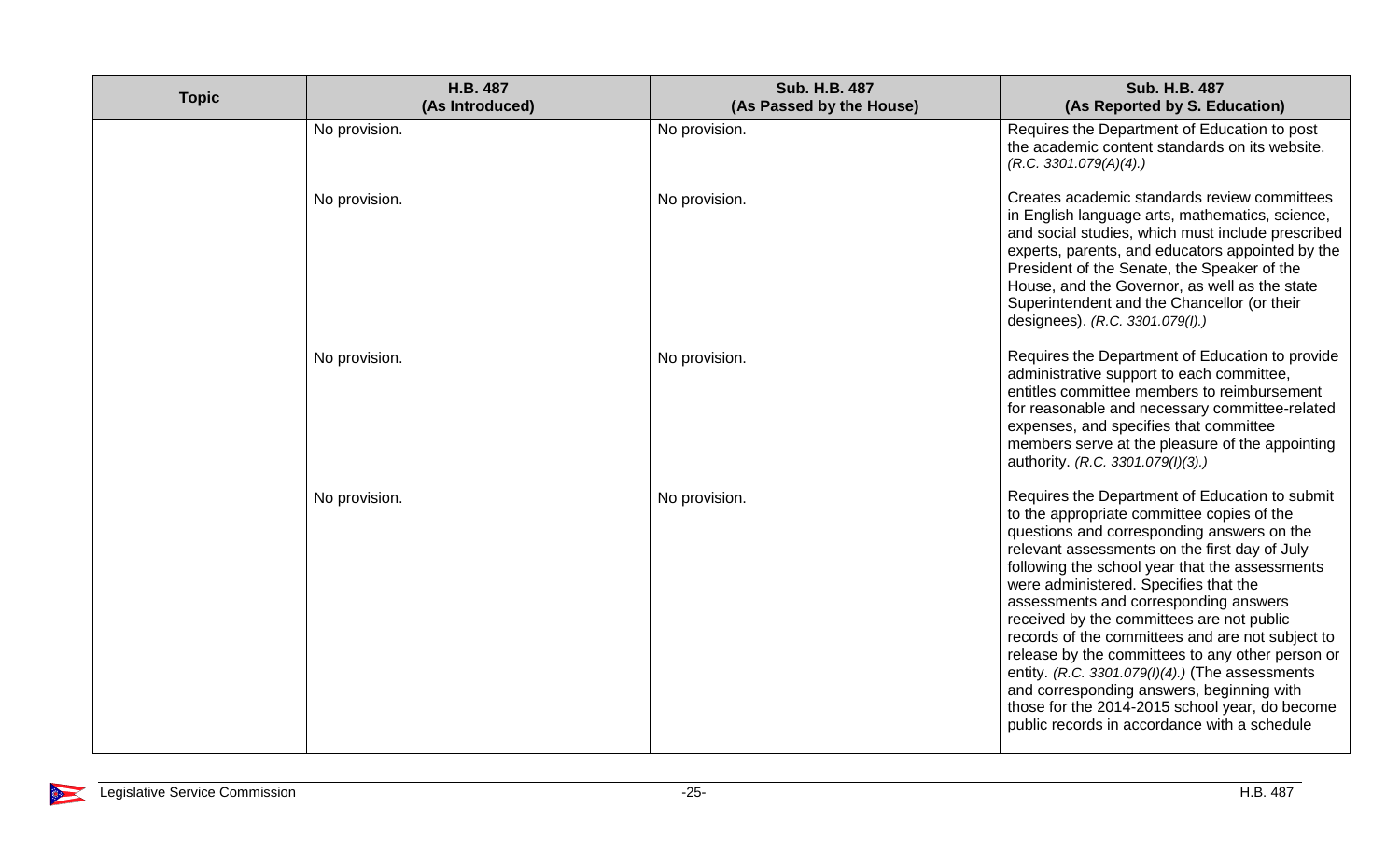| <b>Topic</b> | H.B. 487<br>(As Introduced) | <b>Sub. H.B. 487</b><br>(As Passed by the House) | <b>Sub. H.B. 487</b><br>(As Reported by S. Education)                                                                                                                                                                                                                                                                                                                                                                                                                                                                                                                                                                                                                                  |
|--------------|-----------------------------|--------------------------------------------------|----------------------------------------------------------------------------------------------------------------------------------------------------------------------------------------------------------------------------------------------------------------------------------------------------------------------------------------------------------------------------------------------------------------------------------------------------------------------------------------------------------------------------------------------------------------------------------------------------------------------------------------------------------------------------------------|
|              | No provision.               | No provision.                                    | Requires the Department of Education to post<br>the academic content standards on its website.<br>(R.C. 3301.079(A)(4))                                                                                                                                                                                                                                                                                                                                                                                                                                                                                                                                                                |
|              | No provision.               | No provision.                                    | Creates academic standards review committees<br>in English language arts, mathematics, science,<br>and social studies, which must include prescribed<br>experts, parents, and educators appointed by the<br>President of the Senate, the Speaker of the<br>House, and the Governor, as well as the state<br>Superintendent and the Chancellor (or their<br>designees). (R.C. 3301.079(I).)                                                                                                                                                                                                                                                                                             |
|              | No provision.               | No provision.                                    | Requires the Department of Education to provide<br>administrative support to each committee,<br>entitles committee members to reimbursement<br>for reasonable and necessary committee-related<br>expenses, and specifies that committee<br>members serve at the pleasure of the appointing<br>authority. (R.C. 3301.079(I)(3).)                                                                                                                                                                                                                                                                                                                                                        |
|              | No provision.               | No provision.                                    | Requires the Department of Education to submit<br>to the appropriate committee copies of the<br>questions and corresponding answers on the<br>relevant assessments on the first day of July<br>following the school year that the assessments<br>were administered. Specifies that the<br>assessments and corresponding answers<br>received by the committees are not public<br>records of the committees and are not subject to<br>release by the committees to any other person or<br>entity. (R.C. 3301.079(I)(4).) (The assessments<br>and corresponding answers, beginning with<br>those for the 2014-2015 school year, do become<br>public records in accordance with a schedule |

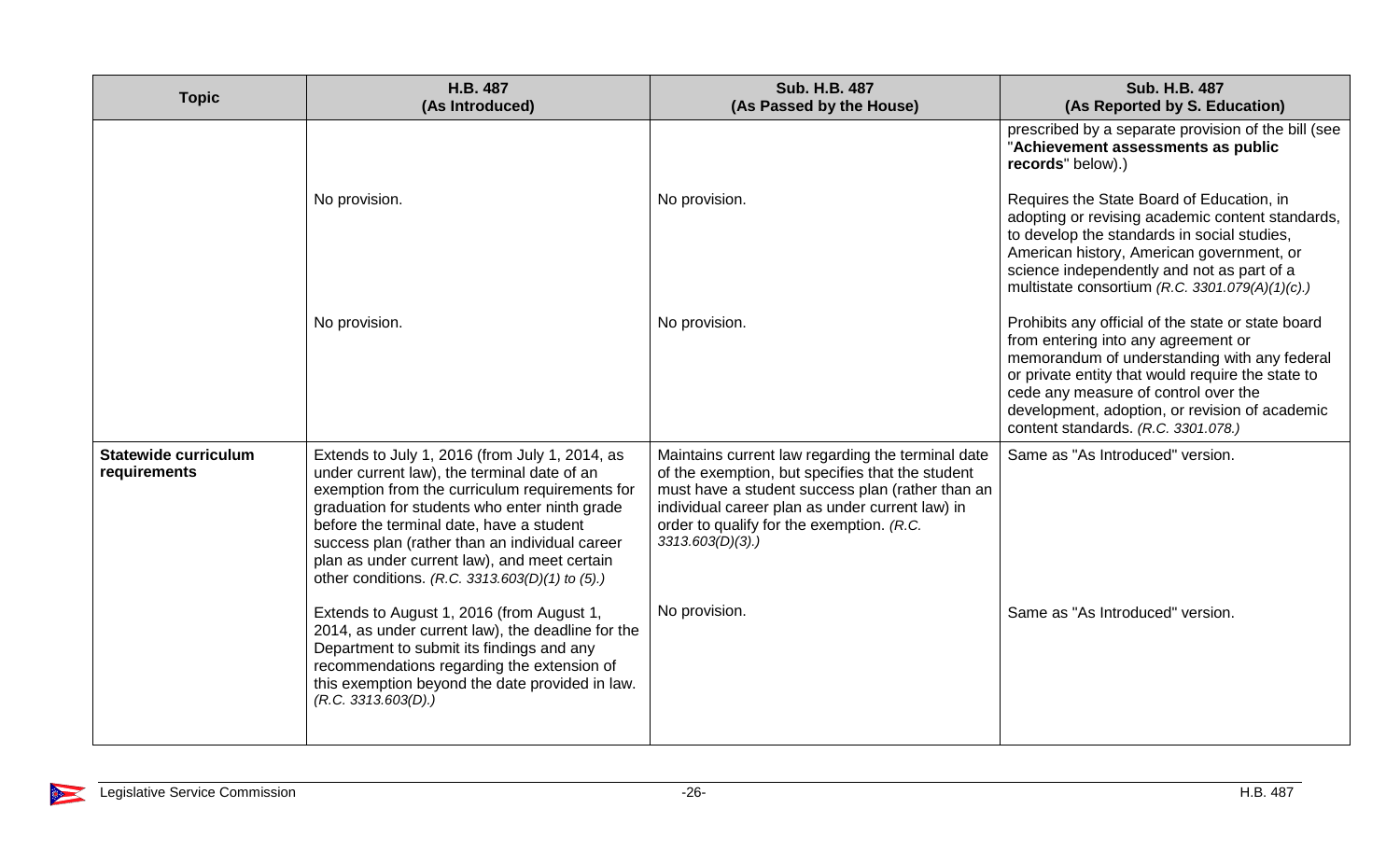| <b>Topic</b>                                | H.B. 487<br>(As Introduced)                                                                                                                                                                                                                                                                                                                                                                       | <b>Sub. H.B. 487</b><br>(As Passed by the House)                                                                                                                                                                                                                             | <b>Sub. H.B. 487</b><br>(As Reported by S. Education)                                                                                                                                                                                                                                                                           |
|---------------------------------------------|---------------------------------------------------------------------------------------------------------------------------------------------------------------------------------------------------------------------------------------------------------------------------------------------------------------------------------------------------------------------------------------------------|------------------------------------------------------------------------------------------------------------------------------------------------------------------------------------------------------------------------------------------------------------------------------|---------------------------------------------------------------------------------------------------------------------------------------------------------------------------------------------------------------------------------------------------------------------------------------------------------------------------------|
|                                             |                                                                                                                                                                                                                                                                                                                                                                                                   |                                                                                                                                                                                                                                                                              | prescribed by a separate provision of the bill (see<br>"Achievement assessments as public<br>records" below).)                                                                                                                                                                                                                  |
|                                             | No provision.                                                                                                                                                                                                                                                                                                                                                                                     | No provision.                                                                                                                                                                                                                                                                | Requires the State Board of Education, in<br>adopting or revising academic content standards,<br>to develop the standards in social studies,<br>American history, American government, or<br>science independently and not as part of a<br>multistate consortium (R.C. 3301.079(A)(1)(c).)                                      |
|                                             | No provision.                                                                                                                                                                                                                                                                                                                                                                                     | No provision.                                                                                                                                                                                                                                                                | Prohibits any official of the state or state board<br>from entering into any agreement or<br>memorandum of understanding with any federal<br>or private entity that would require the state to<br>cede any measure of control over the<br>development, adoption, or revision of academic<br>content standards. (R.C. 3301.078.) |
| <b>Statewide curriculum</b><br>requirements | Extends to July 1, 2016 (from July 1, 2014, as<br>under current law), the terminal date of an<br>exemption from the curriculum requirements for<br>graduation for students who enter ninth grade<br>before the terminal date, have a student<br>success plan (rather than an individual career<br>plan as under current law), and meet certain<br>other conditions. (R.C. 3313.603(D)(1) to (5).) | Maintains current law regarding the terminal date<br>of the exemption, but specifies that the student<br>must have a student success plan (rather than an<br>individual career plan as under current law) in<br>order to qualify for the exemption. (R.C.<br>3313.603(D)(3). | Same as "As Introduced" version.                                                                                                                                                                                                                                                                                                |
|                                             | Extends to August 1, 2016 (from August 1,<br>2014, as under current law), the deadline for the<br>Department to submit its findings and any<br>recommendations regarding the extension of<br>this exemption beyond the date provided in law.<br>(R.C. 3313.603(D))                                                                                                                                | No provision.                                                                                                                                                                                                                                                                | Same as "As Introduced" version.                                                                                                                                                                                                                                                                                                |

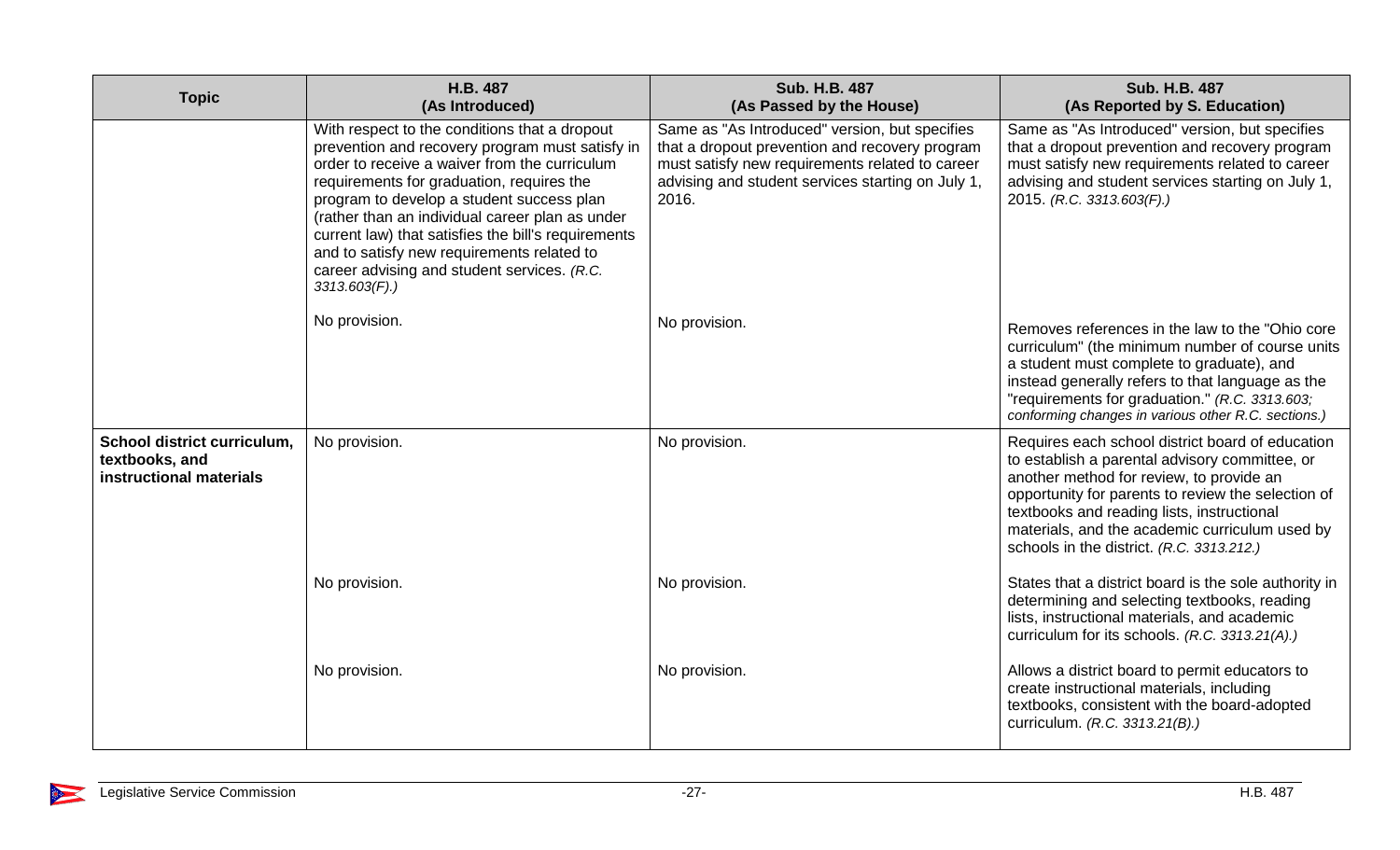| <b>Topic</b>                                                             | H.B. 487<br>(As Introduced)                                                                                                                                                                                                                                                                                                                                                                                                                                            | <b>Sub. H.B. 487</b><br>(As Passed by the House)                                                                                                                                                                  | <b>Sub. H.B. 487</b><br>(As Reported by S. Education)                                                                                                                                                                                                                                                                                             |
|--------------------------------------------------------------------------|------------------------------------------------------------------------------------------------------------------------------------------------------------------------------------------------------------------------------------------------------------------------------------------------------------------------------------------------------------------------------------------------------------------------------------------------------------------------|-------------------------------------------------------------------------------------------------------------------------------------------------------------------------------------------------------------------|---------------------------------------------------------------------------------------------------------------------------------------------------------------------------------------------------------------------------------------------------------------------------------------------------------------------------------------------------|
|                                                                          | With respect to the conditions that a dropout<br>prevention and recovery program must satisfy in<br>order to receive a waiver from the curriculum<br>requirements for graduation, requires the<br>program to develop a student success plan<br>(rather than an individual career plan as under<br>current law) that satisfies the bill's requirements<br>and to satisfy new requirements related to<br>career advising and student services. (R.C.<br>$3313.603(F)$ .) | Same as "As Introduced" version, but specifies<br>that a dropout prevention and recovery program<br>must satisfy new requirements related to career<br>advising and student services starting on July 1,<br>2016. | Same as "As Introduced" version, but specifies<br>that a dropout prevention and recovery program<br>must satisfy new requirements related to career<br>advising and student services starting on July 1,<br>2015. (R.C. 3313.603(F).)                                                                                                             |
|                                                                          | No provision.                                                                                                                                                                                                                                                                                                                                                                                                                                                          | No provision.                                                                                                                                                                                                     | Removes references in the law to the "Ohio core"<br>curriculum" (the minimum number of course units<br>a student must complete to graduate), and<br>instead generally refers to that language as the<br>"requirements for graduation." (R.C. 3313.603;<br>conforming changes in various other R.C. sections.)                                     |
| School district curriculum,<br>textbooks, and<br>instructional materials | No provision.                                                                                                                                                                                                                                                                                                                                                                                                                                                          | No provision.                                                                                                                                                                                                     | Requires each school district board of education<br>to establish a parental advisory committee, or<br>another method for review, to provide an<br>opportunity for parents to review the selection of<br>textbooks and reading lists, instructional<br>materials, and the academic curriculum used by<br>schools in the district. (R.C. 3313.212.) |
|                                                                          | No provision.                                                                                                                                                                                                                                                                                                                                                                                                                                                          | No provision.                                                                                                                                                                                                     | States that a district board is the sole authority in<br>determining and selecting textbooks, reading<br>lists, instructional materials, and academic<br>curriculum for its schools. (R.C. 3313.21(A).)                                                                                                                                           |
|                                                                          | No provision.                                                                                                                                                                                                                                                                                                                                                                                                                                                          | No provision.                                                                                                                                                                                                     | Allows a district board to permit educators to<br>create instructional materials, including<br>textbooks, consistent with the board-adopted<br>curriculum. (R.C. 3313.21(B).)                                                                                                                                                                     |

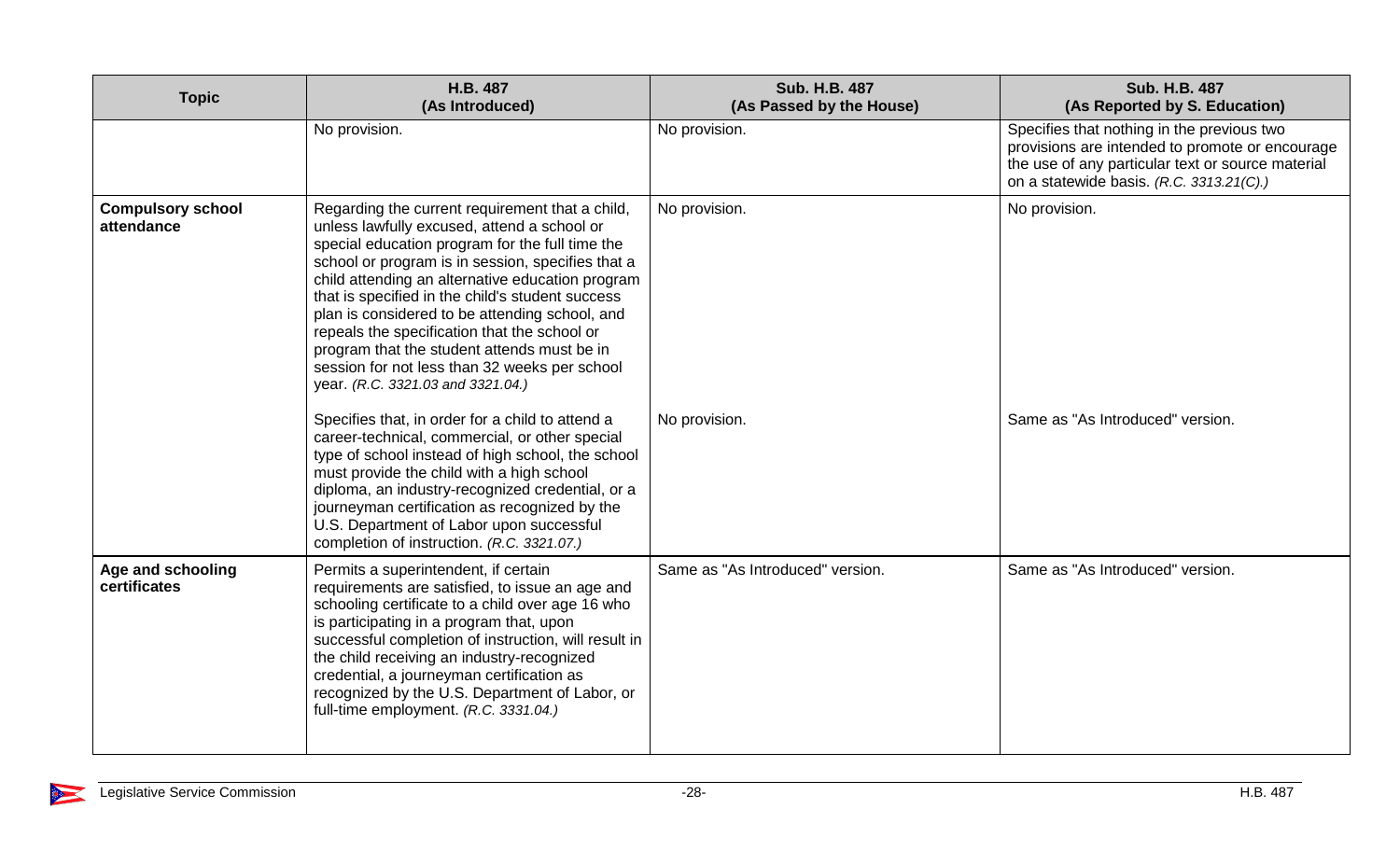| <b>Topic</b>                           | H.B. 487<br>(As Introduced)                                                                                                                                                                                                                                                                                                                                                                                                                                                                                                                           | Sub. H.B. 487<br>(As Passed by the House) | <b>Sub. H.B. 487</b><br>(As Reported by S. Education)                                                                                                                                          |
|----------------------------------------|-------------------------------------------------------------------------------------------------------------------------------------------------------------------------------------------------------------------------------------------------------------------------------------------------------------------------------------------------------------------------------------------------------------------------------------------------------------------------------------------------------------------------------------------------------|-------------------------------------------|------------------------------------------------------------------------------------------------------------------------------------------------------------------------------------------------|
|                                        | No provision.                                                                                                                                                                                                                                                                                                                                                                                                                                                                                                                                         | No provision.                             | Specifies that nothing in the previous two<br>provisions are intended to promote or encourage<br>the use of any particular text or source material<br>on a statewide basis. (R.C. 3313.21(C).) |
| <b>Compulsory school</b><br>attendance | Regarding the current requirement that a child,<br>unless lawfully excused, attend a school or<br>special education program for the full time the<br>school or program is in session, specifies that a<br>child attending an alternative education program<br>that is specified in the child's student success<br>plan is considered to be attending school, and<br>repeals the specification that the school or<br>program that the student attends must be in<br>session for not less than 32 weeks per school<br>year. (R.C. 3321.03 and 3321.04.) | No provision.                             | No provision.                                                                                                                                                                                  |
|                                        | Specifies that, in order for a child to attend a<br>career-technical, commercial, or other special<br>type of school instead of high school, the school<br>must provide the child with a high school<br>diploma, an industry-recognized credential, or a<br>journeyman certification as recognized by the<br>U.S. Department of Labor upon successful<br>completion of instruction. (R.C. 3321.07.)                                                                                                                                                   | No provision.                             | Same as "As Introduced" version.                                                                                                                                                               |
| Age and schooling<br>certificates      | Permits a superintendent, if certain<br>requirements are satisfied, to issue an age and<br>schooling certificate to a child over age 16 who<br>is participating in a program that, upon<br>successful completion of instruction, will result in<br>the child receiving an industry-recognized<br>credential, a journeyman certification as<br>recognized by the U.S. Department of Labor, or<br>full-time employment. (R.C. 3331.04.)                                                                                                                 | Same as "As Introduced" version.          | Same as "As Introduced" version.                                                                                                                                                               |

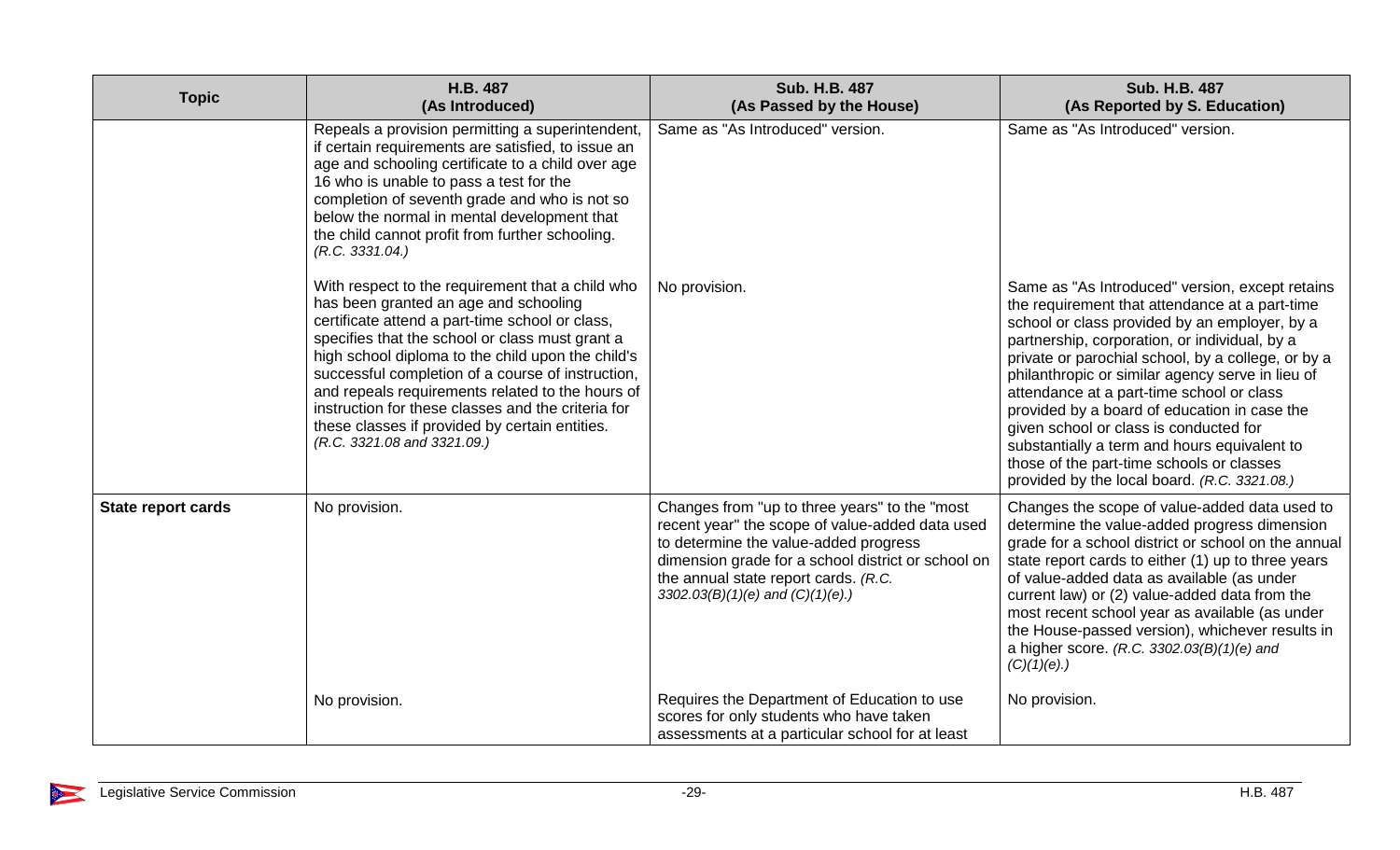| <b>Topic</b>              | H.B. 487<br>(As Introduced)                                                                                                                                                                                                                                                                                                                                                                                                                                                                          | <b>Sub. H.B. 487</b><br>(As Passed by the House)                                                                                                                                                                                                                               | Sub. H.B. 487<br>(As Reported by S. Education)                                                                                                                                                                                                                                                                                                                                                                                                                                                                                                                                                    |
|---------------------------|------------------------------------------------------------------------------------------------------------------------------------------------------------------------------------------------------------------------------------------------------------------------------------------------------------------------------------------------------------------------------------------------------------------------------------------------------------------------------------------------------|--------------------------------------------------------------------------------------------------------------------------------------------------------------------------------------------------------------------------------------------------------------------------------|---------------------------------------------------------------------------------------------------------------------------------------------------------------------------------------------------------------------------------------------------------------------------------------------------------------------------------------------------------------------------------------------------------------------------------------------------------------------------------------------------------------------------------------------------------------------------------------------------|
|                           | Repeals a provision permitting a superintendent,<br>if certain requirements are satisfied, to issue an<br>age and schooling certificate to a child over age<br>16 who is unable to pass a test for the<br>completion of seventh grade and who is not so<br>below the normal in mental development that<br>the child cannot profit from further schooling.<br>(R.C. 3331.04.)                                                                                                                         | Same as "As Introduced" version.                                                                                                                                                                                                                                               | Same as "As Introduced" version.                                                                                                                                                                                                                                                                                                                                                                                                                                                                                                                                                                  |
|                           | With respect to the requirement that a child who<br>has been granted an age and schooling<br>certificate attend a part-time school or class,<br>specifies that the school or class must grant a<br>high school diploma to the child upon the child's<br>successful completion of a course of instruction,<br>and repeals requirements related to the hours of<br>instruction for these classes and the criteria for<br>these classes if provided by certain entities.<br>(R.C. 3321.08 and 3321.09.) | No provision.                                                                                                                                                                                                                                                                  | Same as "As Introduced" version, except retains<br>the requirement that attendance at a part-time<br>school or class provided by an employer, by a<br>partnership, corporation, or individual, by a<br>private or parochial school, by a college, or by a<br>philanthropic or similar agency serve in lieu of<br>attendance at a part-time school or class<br>provided by a board of education in case the<br>given school or class is conducted for<br>substantially a term and hours equivalent to<br>those of the part-time schools or classes<br>provided by the local board. (R.C. 3321.08.) |
| <b>State report cards</b> | No provision.                                                                                                                                                                                                                                                                                                                                                                                                                                                                                        | Changes from "up to three years" to the "most<br>recent year" the scope of value-added data used<br>to determine the value-added progress<br>dimension grade for a school district or school on<br>the annual state report cards. (R.C.<br>3302.03(B)(1)(e) and $(C)(1)(e)$ .) | Changes the scope of value-added data used to<br>determine the value-added progress dimension<br>grade for a school district or school on the annual<br>state report cards to either (1) up to three years<br>of value-added data as available (as under<br>current law) or (2) value-added data from the<br>most recent school year as available (as under<br>the House-passed version), whichever results in<br>a higher score. (R.C. 3302.03(B)(1)(e) and<br>$(C)(1)(e)$ .)                                                                                                                    |
|                           | No provision.                                                                                                                                                                                                                                                                                                                                                                                                                                                                                        | Requires the Department of Education to use<br>scores for only students who have taken<br>assessments at a particular school for at least                                                                                                                                      | No provision.                                                                                                                                                                                                                                                                                                                                                                                                                                                                                                                                                                                     |

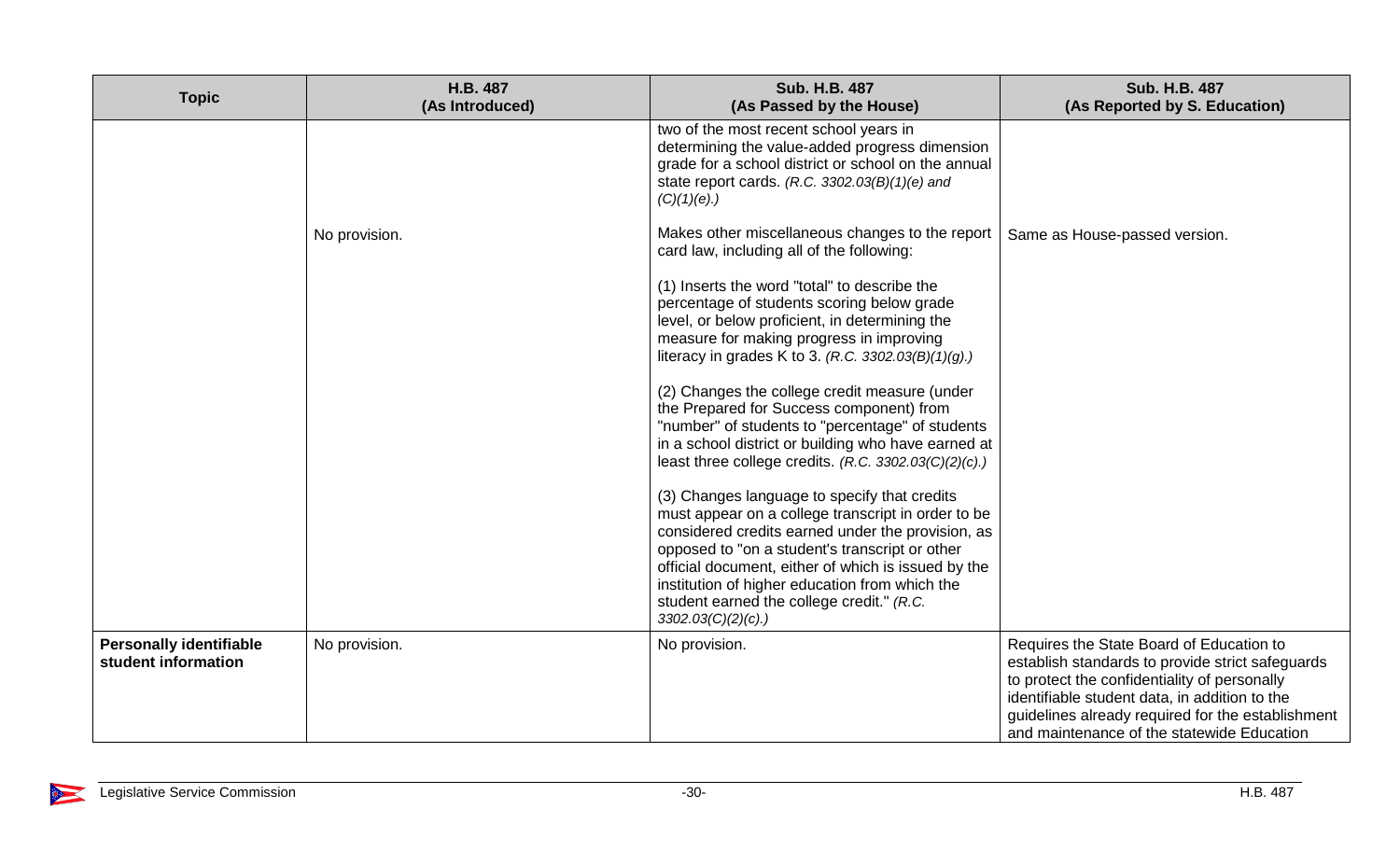| <b>Topic</b>                                          | H.B. 487<br>(As Introduced) | Sub. H.B. 487<br>(As Passed by the House)                                                                                                                                                                                                                                                                                                                                                | <b>Sub. H.B. 487</b><br>(As Reported by S. Education)                                                                                                                                                                                                                                            |
|-------------------------------------------------------|-----------------------------|------------------------------------------------------------------------------------------------------------------------------------------------------------------------------------------------------------------------------------------------------------------------------------------------------------------------------------------------------------------------------------------|--------------------------------------------------------------------------------------------------------------------------------------------------------------------------------------------------------------------------------------------------------------------------------------------------|
|                                                       |                             | two of the most recent school years in<br>determining the value-added progress dimension<br>grade for a school district or school on the annual<br>state report cards. (R.C. $3302.03(B)(1)(e)$ and<br>$(C)(1)(e)$ .)                                                                                                                                                                    |                                                                                                                                                                                                                                                                                                  |
|                                                       | No provision.               | Makes other miscellaneous changes to the report<br>card law, including all of the following:                                                                                                                                                                                                                                                                                             | Same as House-passed version.                                                                                                                                                                                                                                                                    |
|                                                       |                             | (1) Inserts the word "total" to describe the<br>percentage of students scoring below grade<br>level, or below proficient, in determining the<br>measure for making progress in improving<br>literacy in grades K to 3. (R.C. 3302.03(B)(1)(g).)                                                                                                                                          |                                                                                                                                                                                                                                                                                                  |
|                                                       |                             | (2) Changes the college credit measure (under<br>the Prepared for Success component) from<br>"number" of students to "percentage" of students<br>in a school district or building who have earned at<br>least three college credits. $(R.C. 3302.03(C)(2)(c))$                                                                                                                           |                                                                                                                                                                                                                                                                                                  |
|                                                       |                             | (3) Changes language to specify that credits<br>must appear on a college transcript in order to be<br>considered credits earned under the provision, as<br>opposed to "on a student's transcript or other<br>official document, either of which is issued by the<br>institution of higher education from which the<br>student earned the college credit." (R.C.<br>$3302.03(C)(2)(c)$ .) |                                                                                                                                                                                                                                                                                                  |
| <b>Personally identifiable</b><br>student information | No provision.               | No provision.                                                                                                                                                                                                                                                                                                                                                                            | Requires the State Board of Education to<br>establish standards to provide strict safeguards<br>to protect the confidentiality of personally<br>identifiable student data, in addition to the<br>guidelines already required for the establishment<br>and maintenance of the statewide Education |

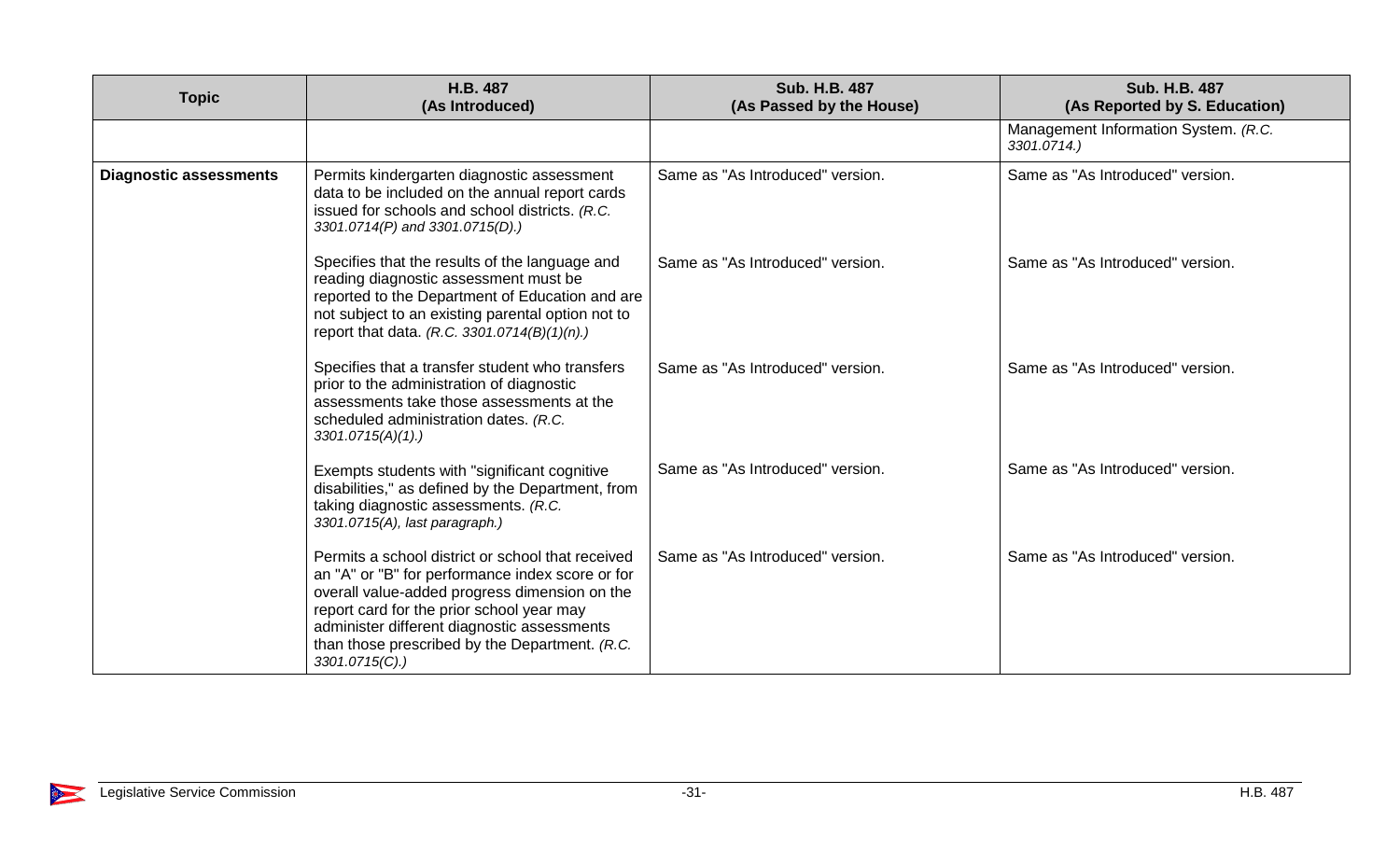| <b>Topic</b>                  | H.B. 487<br>(As Introduced)                                                                                                                                                                                                                                                                                           | <b>Sub. H.B. 487</b><br>(As Passed by the House) | <b>Sub. H.B. 487</b><br>(As Reported by S. Education) |
|-------------------------------|-----------------------------------------------------------------------------------------------------------------------------------------------------------------------------------------------------------------------------------------------------------------------------------------------------------------------|--------------------------------------------------|-------------------------------------------------------|
|                               |                                                                                                                                                                                                                                                                                                                       |                                                  | Management Information System. (R.C.<br>3301.0714.)   |
| <b>Diagnostic assessments</b> | Permits kindergarten diagnostic assessment<br>data to be included on the annual report cards<br>issued for schools and school districts. (R.C.<br>3301.0714(P) and 3301.0715(D).)                                                                                                                                     | Same as "As Introduced" version.                 | Same as "As Introduced" version.                      |
|                               | Specifies that the results of the language and<br>reading diagnostic assessment must be<br>reported to the Department of Education and are<br>not subject to an existing parental option not to<br>report that data. (R.C. 3301.0714(B)(1)(n).)                                                                       | Same as "As Introduced" version.                 | Same as "As Introduced" version.                      |
|                               | Specifies that a transfer student who transfers<br>prior to the administration of diagnostic<br>assessments take those assessments at the<br>scheduled administration dates. (R.C.<br>$3301.0715(A)(1)$ .)                                                                                                            | Same as "As Introduced" version.                 | Same as "As Introduced" version.                      |
|                               | Exempts students with "significant cognitive"<br>disabilities," as defined by the Department, from<br>taking diagnostic assessments. (R.C.<br>3301.0715(A), last paragraph.)                                                                                                                                          | Same as "As Introduced" version.                 | Same as "As Introduced" version.                      |
|                               | Permits a school district or school that received<br>an "A" or "B" for performance index score or for<br>overall value-added progress dimension on the<br>report card for the prior school year may<br>administer different diagnostic assessments<br>than those prescribed by the Department. (R.C.<br>3301.0715(C). | Same as "As Introduced" version.                 | Same as "As Introduced" version.                      |

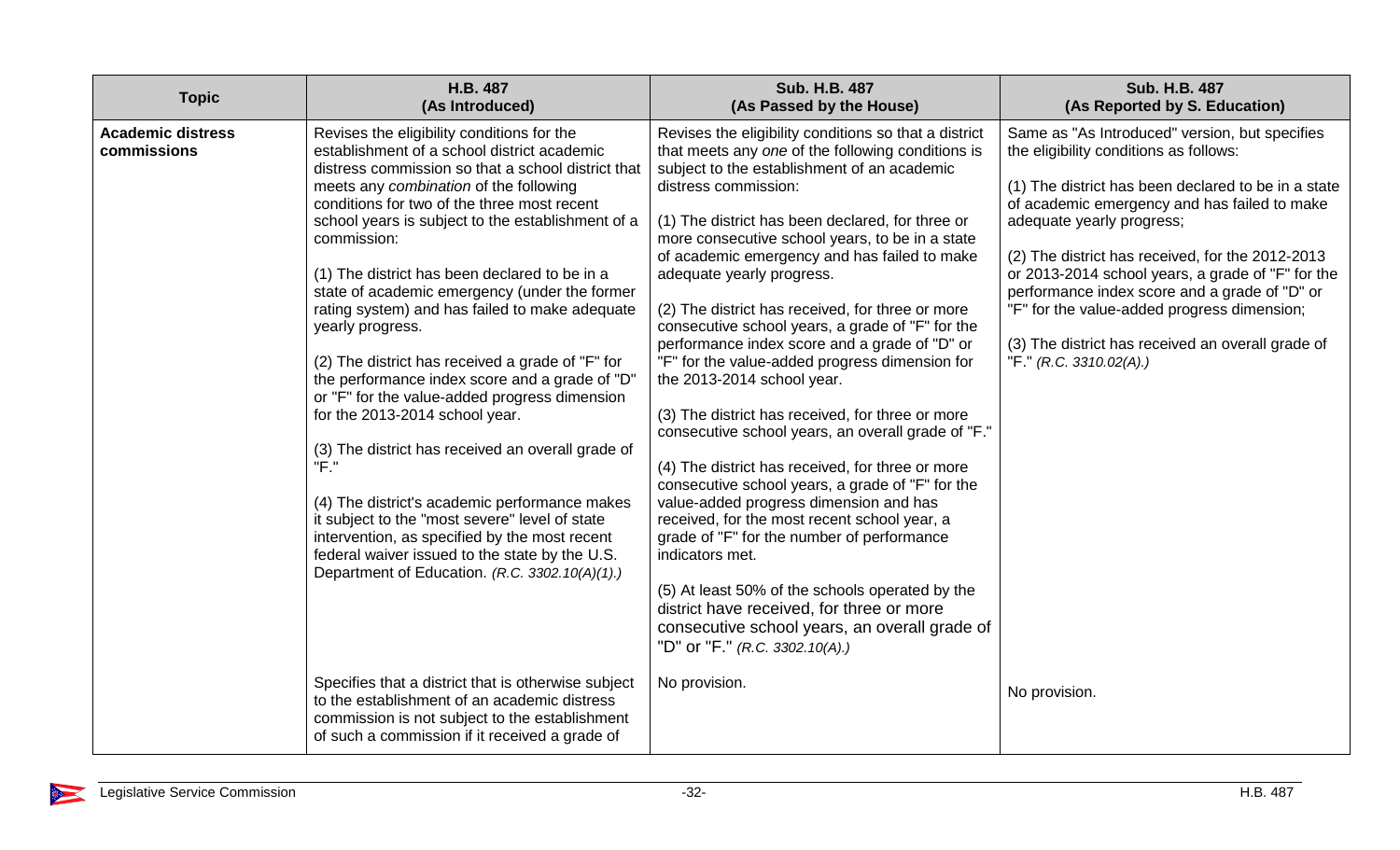| <b>Topic</b>                            | H.B. 487<br>(As Introduced)                                                                                                                                                                                                                                                                                                                                                                                                                                                                                                                                                                                                                                                                                                                                                                                                                                                                                                                                                                        | <b>Sub. H.B. 487</b><br>(As Passed by the House)                                                                                                                                                                                                                                                                                                                                                                                                                                                                                                                                                                                                                                                                                                                                                                                                                                                                                                                                                                                                                                                                                                                               | <b>Sub. H.B. 487</b><br>(As Reported by S. Education)                                                                                                                                                                                                                                                                                                                                                                                                                                                                 |
|-----------------------------------------|----------------------------------------------------------------------------------------------------------------------------------------------------------------------------------------------------------------------------------------------------------------------------------------------------------------------------------------------------------------------------------------------------------------------------------------------------------------------------------------------------------------------------------------------------------------------------------------------------------------------------------------------------------------------------------------------------------------------------------------------------------------------------------------------------------------------------------------------------------------------------------------------------------------------------------------------------------------------------------------------------|--------------------------------------------------------------------------------------------------------------------------------------------------------------------------------------------------------------------------------------------------------------------------------------------------------------------------------------------------------------------------------------------------------------------------------------------------------------------------------------------------------------------------------------------------------------------------------------------------------------------------------------------------------------------------------------------------------------------------------------------------------------------------------------------------------------------------------------------------------------------------------------------------------------------------------------------------------------------------------------------------------------------------------------------------------------------------------------------------------------------------------------------------------------------------------|-----------------------------------------------------------------------------------------------------------------------------------------------------------------------------------------------------------------------------------------------------------------------------------------------------------------------------------------------------------------------------------------------------------------------------------------------------------------------------------------------------------------------|
| <b>Academic distress</b><br>commissions | Revises the eligibility conditions for the<br>establishment of a school district academic<br>distress commission so that a school district that<br>meets any combination of the following<br>conditions for two of the three most recent<br>school years is subject to the establishment of a<br>commission:<br>(1) The district has been declared to be in a<br>state of academic emergency (under the former<br>rating system) and has failed to make adequate<br>yearly progress.<br>(2) The district has received a grade of "F" for<br>the performance index score and a grade of "D'<br>or "F" for the value-added progress dimension<br>for the 2013-2014 school year.<br>(3) The district has received an overall grade of<br>"F."<br>(4) The district's academic performance makes<br>it subject to the "most severe" level of state<br>intervention, as specified by the most recent<br>federal waiver issued to the state by the U.S.<br>Department of Education. (R.C. 3302.10(A)(1).) | Revises the eligibility conditions so that a district<br>that meets any one of the following conditions is<br>subject to the establishment of an academic<br>distress commission:<br>(1) The district has been declared, for three or<br>more consecutive school years, to be in a state<br>of academic emergency and has failed to make<br>adequate yearly progress.<br>(2) The district has received, for three or more<br>consecutive school years, a grade of "F" for the<br>performance index score and a grade of "D" or<br>"F" for the value-added progress dimension for<br>the 2013-2014 school year.<br>(3) The district has received, for three or more<br>consecutive school years, an overall grade of "F."<br>(4) The district has received, for three or more<br>consecutive school years, a grade of "F" for the<br>value-added progress dimension and has<br>received, for the most recent school year, a<br>grade of "F" for the number of performance<br>indicators met.<br>(5) At least 50% of the schools operated by the<br>district have received, for three or more<br>consecutive school years, an overall grade of<br>"D" or "F." (R.C. 3302.10(A).) | Same as "As Introduced" version, but specifies<br>the eligibility conditions as follows:<br>(1) The district has been declared to be in a state<br>of academic emergency and has failed to make<br>adequate yearly progress;<br>(2) The district has received, for the 2012-2013<br>or 2013-2014 school years, a grade of "F" for the<br>performance index score and a grade of "D" or<br>"F" for the value-added progress dimension;<br>(3) The district has received an overall grade of<br>"F." (R.C. 3310.02(A).) |
|                                         | Specifies that a district that is otherwise subject<br>to the establishment of an academic distress<br>commission is not subject to the establishment<br>of such a commission if it received a grade of                                                                                                                                                                                                                                                                                                                                                                                                                                                                                                                                                                                                                                                                                                                                                                                            | No provision.                                                                                                                                                                                                                                                                                                                                                                                                                                                                                                                                                                                                                                                                                                                                                                                                                                                                                                                                                                                                                                                                                                                                                                  | No provision.                                                                                                                                                                                                                                                                                                                                                                                                                                                                                                         |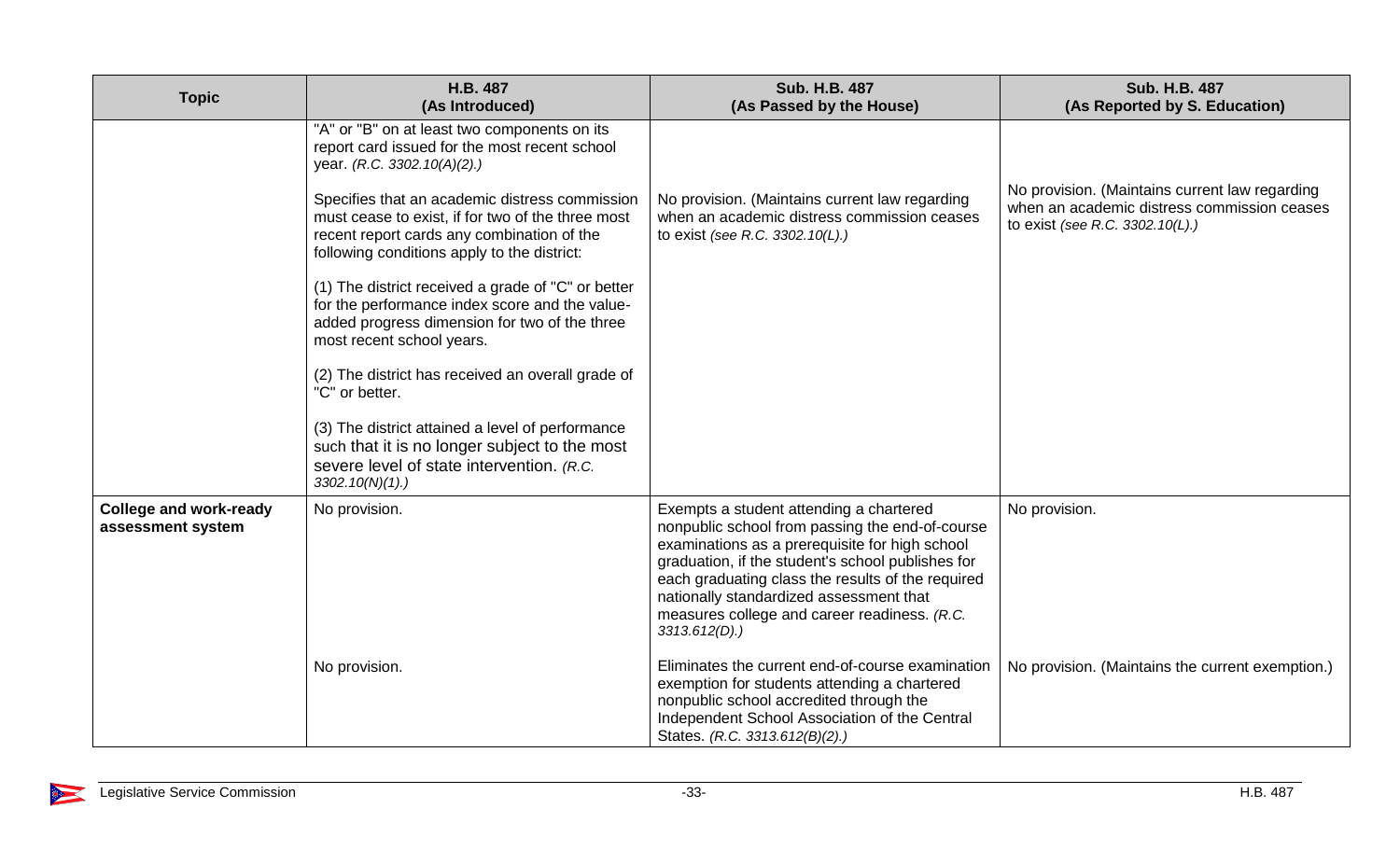| <b>Topic</b>                                       | H.B. 487<br>(As Introduced)                                                                                                                                                                                                                                                                                                                                                                                                                                                                                                                                                                                                                                                                                                                                           | Sub. H.B. 487<br>(As Passed by the House)                                                                                                                                                                                                                                                                                                                                                                                                                                                                                                                             | <b>Sub. H.B. 487</b><br>(As Reported by S. Education)                                                                            |
|----------------------------------------------------|-----------------------------------------------------------------------------------------------------------------------------------------------------------------------------------------------------------------------------------------------------------------------------------------------------------------------------------------------------------------------------------------------------------------------------------------------------------------------------------------------------------------------------------------------------------------------------------------------------------------------------------------------------------------------------------------------------------------------------------------------------------------------|-----------------------------------------------------------------------------------------------------------------------------------------------------------------------------------------------------------------------------------------------------------------------------------------------------------------------------------------------------------------------------------------------------------------------------------------------------------------------------------------------------------------------------------------------------------------------|----------------------------------------------------------------------------------------------------------------------------------|
|                                                    | "A" or "B" on at least two components on its<br>report card issued for the most recent school<br>year. (R.C. 3302.10(A)(2).)<br>Specifies that an academic distress commission<br>must cease to exist, if for two of the three most<br>recent report cards any combination of the<br>following conditions apply to the district:<br>(1) The district received a grade of "C" or better<br>for the performance index score and the value-<br>added progress dimension for two of the three<br>most recent school years.<br>(2) The district has received an overall grade of<br>"C" or better.<br>(3) The district attained a level of performance<br>such that it is no longer subject to the most<br>severe level of state intervention. (R.C.<br>$3302.10(N)(1)$ .) | No provision. (Maintains current law regarding<br>when an academic distress commission ceases<br>to exist (see R.C. 3302.10(L).)                                                                                                                                                                                                                                                                                                                                                                                                                                      | No provision. (Maintains current law regarding<br>when an academic distress commission ceases<br>to exist (see R.C. 3302.10(L).) |
| <b>College and work-ready</b><br>assessment system | No provision.<br>No provision.                                                                                                                                                                                                                                                                                                                                                                                                                                                                                                                                                                                                                                                                                                                                        | Exempts a student attending a chartered<br>nonpublic school from passing the end-of-course<br>examinations as a prerequisite for high school<br>graduation, if the student's school publishes for<br>each graduating class the results of the required<br>nationally standardized assessment that<br>measures college and career readiness. (R.C.<br>$3313.612(D)$ .)<br>Eliminates the current end-of-course examination<br>exemption for students attending a chartered<br>nonpublic school accredited through the<br>Independent School Association of the Central | No provision.<br>No provision. (Maintains the current exemption.)                                                                |

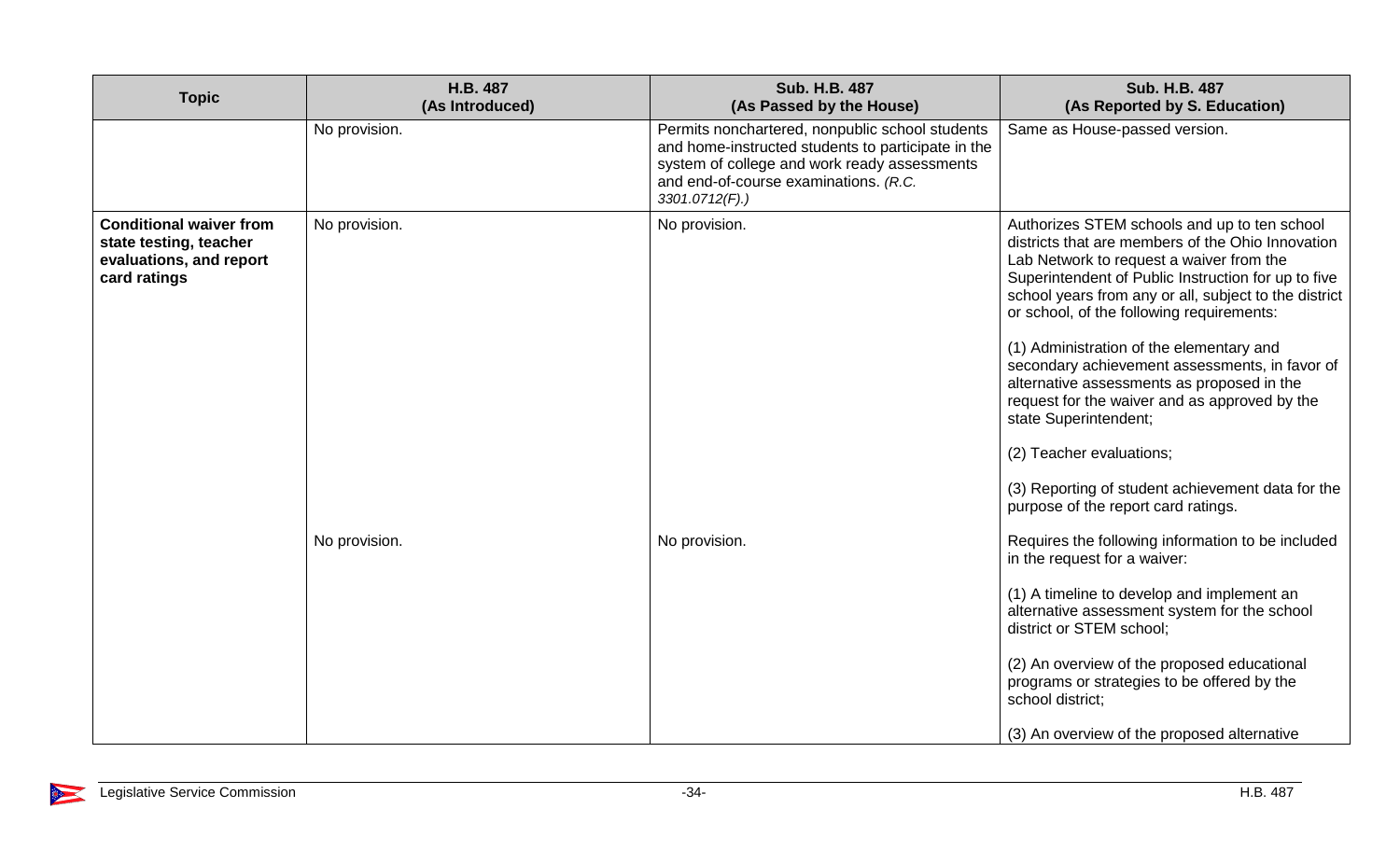| <b>Topic</b>                                                                                        | H.B. 487<br>(As Introduced) | Sub. H.B. 487<br>(As Passed by the House)                                                                                                                                                                           | <b>Sub. H.B. 487</b><br>(As Reported by S. Education)                                                                                                                                                                                                                                                                                                                                                                                                                                                                                                                                                                                                    |
|-----------------------------------------------------------------------------------------------------|-----------------------------|---------------------------------------------------------------------------------------------------------------------------------------------------------------------------------------------------------------------|----------------------------------------------------------------------------------------------------------------------------------------------------------------------------------------------------------------------------------------------------------------------------------------------------------------------------------------------------------------------------------------------------------------------------------------------------------------------------------------------------------------------------------------------------------------------------------------------------------------------------------------------------------|
|                                                                                                     | No provision.               | Permits nonchartered, nonpublic school students<br>and home-instructed students to participate in the<br>system of college and work ready assessments<br>and end-of-course examinations. (R.C.<br>$3301.0712(F)$ .) | Same as House-passed version.                                                                                                                                                                                                                                                                                                                                                                                                                                                                                                                                                                                                                            |
| <b>Conditional waiver from</b><br>state testing, teacher<br>evaluations, and report<br>card ratings | No provision.               | No provision.                                                                                                                                                                                                       | Authorizes STEM schools and up to ten school<br>districts that are members of the Ohio Innovation<br>Lab Network to request a waiver from the<br>Superintendent of Public Instruction for up to five<br>school years from any or all, subject to the district<br>or school, of the following requirements:<br>(1) Administration of the elementary and<br>secondary achievement assessments, in favor of<br>alternative assessments as proposed in the<br>request for the waiver and as approved by the<br>state Superintendent;<br>(2) Teacher evaluations;<br>(3) Reporting of student achievement data for the<br>purpose of the report card ratings. |
|                                                                                                     | No provision.               | No provision.                                                                                                                                                                                                       | Requires the following information to be included<br>in the request for a waiver:<br>(1) A timeline to develop and implement an<br>alternative assessment system for the school<br>district or STEM school;<br>(2) An overview of the proposed educational<br>programs or strategies to be offered by the<br>school district;<br>(3) An overview of the proposed alternative                                                                                                                                                                                                                                                                             |

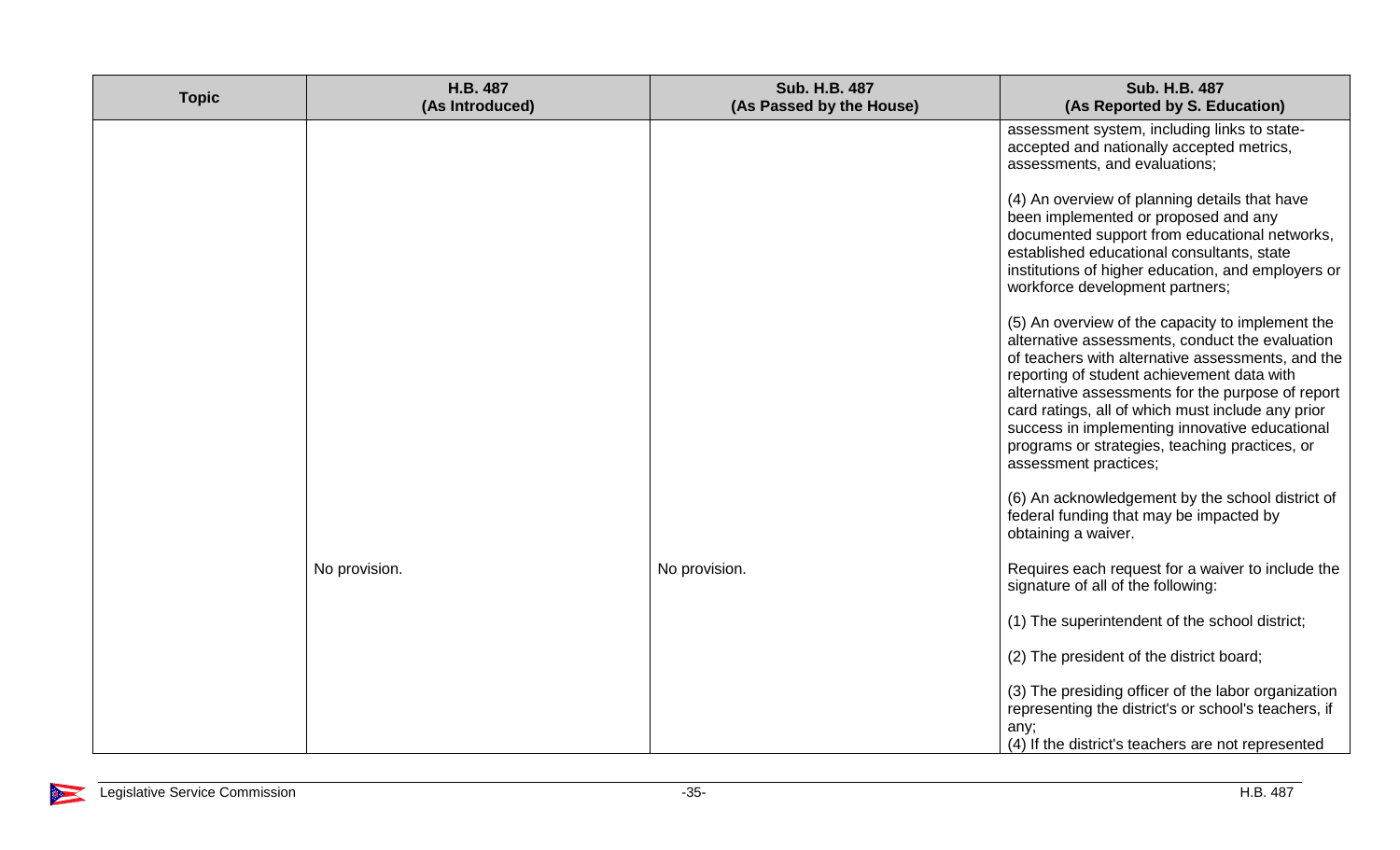| <b>Topic</b> | H.B. 487<br>(As Introduced) | <b>Sub. H.B. 487</b><br>(As Passed by the House) | <b>Sub. H.B. 487</b><br>(As Reported by S. Education)                                                                                                                                                                                                                                                                                                                                                                                         |
|--------------|-----------------------------|--------------------------------------------------|-----------------------------------------------------------------------------------------------------------------------------------------------------------------------------------------------------------------------------------------------------------------------------------------------------------------------------------------------------------------------------------------------------------------------------------------------|
|              |                             |                                                  | assessment system, including links to state-<br>accepted and nationally accepted metrics,<br>assessments, and evaluations;                                                                                                                                                                                                                                                                                                                    |
|              |                             |                                                  | (4) An overview of planning details that have<br>been implemented or proposed and any<br>documented support from educational networks,<br>established educational consultants, state<br>institutions of higher education, and employers or<br>workforce development partners;                                                                                                                                                                 |
|              |                             |                                                  | (5) An overview of the capacity to implement the<br>alternative assessments, conduct the evaluation<br>of teachers with alternative assessments, and the<br>reporting of student achievement data with<br>alternative assessments for the purpose of report<br>card ratings, all of which must include any prior<br>success in implementing innovative educational<br>programs or strategies, teaching practices, or<br>assessment practices; |
|              |                             |                                                  | (6) An acknowledgement by the school district of<br>federal funding that may be impacted by<br>obtaining a waiver.                                                                                                                                                                                                                                                                                                                            |
|              | No provision.               | No provision.                                    | Requires each request for a waiver to include the<br>signature of all of the following:                                                                                                                                                                                                                                                                                                                                                       |
|              |                             |                                                  | (1) The superintendent of the school district;                                                                                                                                                                                                                                                                                                                                                                                                |
|              |                             |                                                  | (2) The president of the district board;                                                                                                                                                                                                                                                                                                                                                                                                      |
|              |                             |                                                  | (3) The presiding officer of the labor organization<br>representing the district's or school's teachers, if<br>any;<br>(4) If the district's teachers are not represented                                                                                                                                                                                                                                                                     |

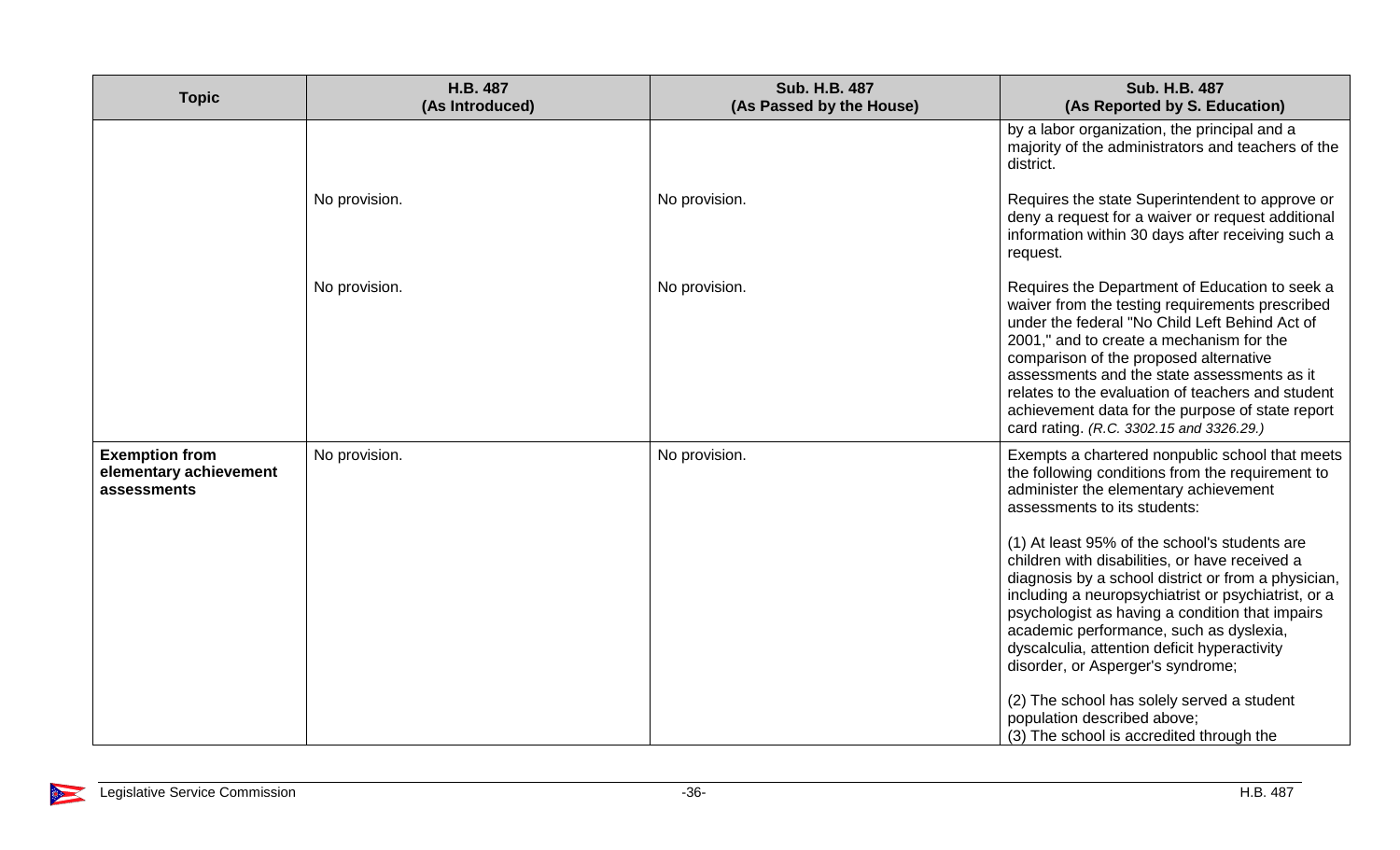| <b>Topic</b>                                                   | <b>H.B. 487</b><br>(As Introduced) | Sub. H.B. 487<br>(As Passed by the House) | Sub. H.B. 487<br>(As Reported by S. Education)                                                                                                                                                                                                                                                                                                                                                                                                                                                                                                                                                                                                                                                            |
|----------------------------------------------------------------|------------------------------------|-------------------------------------------|-----------------------------------------------------------------------------------------------------------------------------------------------------------------------------------------------------------------------------------------------------------------------------------------------------------------------------------------------------------------------------------------------------------------------------------------------------------------------------------------------------------------------------------------------------------------------------------------------------------------------------------------------------------------------------------------------------------|
|                                                                |                                    |                                           | by a labor organization, the principal and a<br>majority of the administrators and teachers of the<br>district.                                                                                                                                                                                                                                                                                                                                                                                                                                                                                                                                                                                           |
|                                                                | No provision.                      | No provision.                             | Requires the state Superintendent to approve or<br>deny a request for a waiver or request additional<br>information within 30 days after receiving such a<br>request.                                                                                                                                                                                                                                                                                                                                                                                                                                                                                                                                     |
|                                                                | No provision.                      | No provision.                             | Requires the Department of Education to seek a<br>waiver from the testing requirements prescribed<br>under the federal "No Child Left Behind Act of<br>2001," and to create a mechanism for the<br>comparison of the proposed alternative<br>assessments and the state assessments as it<br>relates to the evaluation of teachers and student<br>achievement data for the purpose of state report<br>card rating. (R.C. 3302.15 and 3326.29.)                                                                                                                                                                                                                                                             |
| <b>Exemption from</b><br>elementary achievement<br>assessments | No provision.                      | No provision.                             | Exempts a chartered nonpublic school that meets<br>the following conditions from the requirement to<br>administer the elementary achievement<br>assessments to its students:<br>(1) At least 95% of the school's students are<br>children with disabilities, or have received a<br>diagnosis by a school district or from a physician,<br>including a neuropsychiatrist or psychiatrist, or a<br>psychologist as having a condition that impairs<br>academic performance, such as dyslexia,<br>dyscalculia, attention deficit hyperactivity<br>disorder, or Asperger's syndrome;<br>(2) The school has solely served a student<br>population described above;<br>(3) The school is accredited through the |

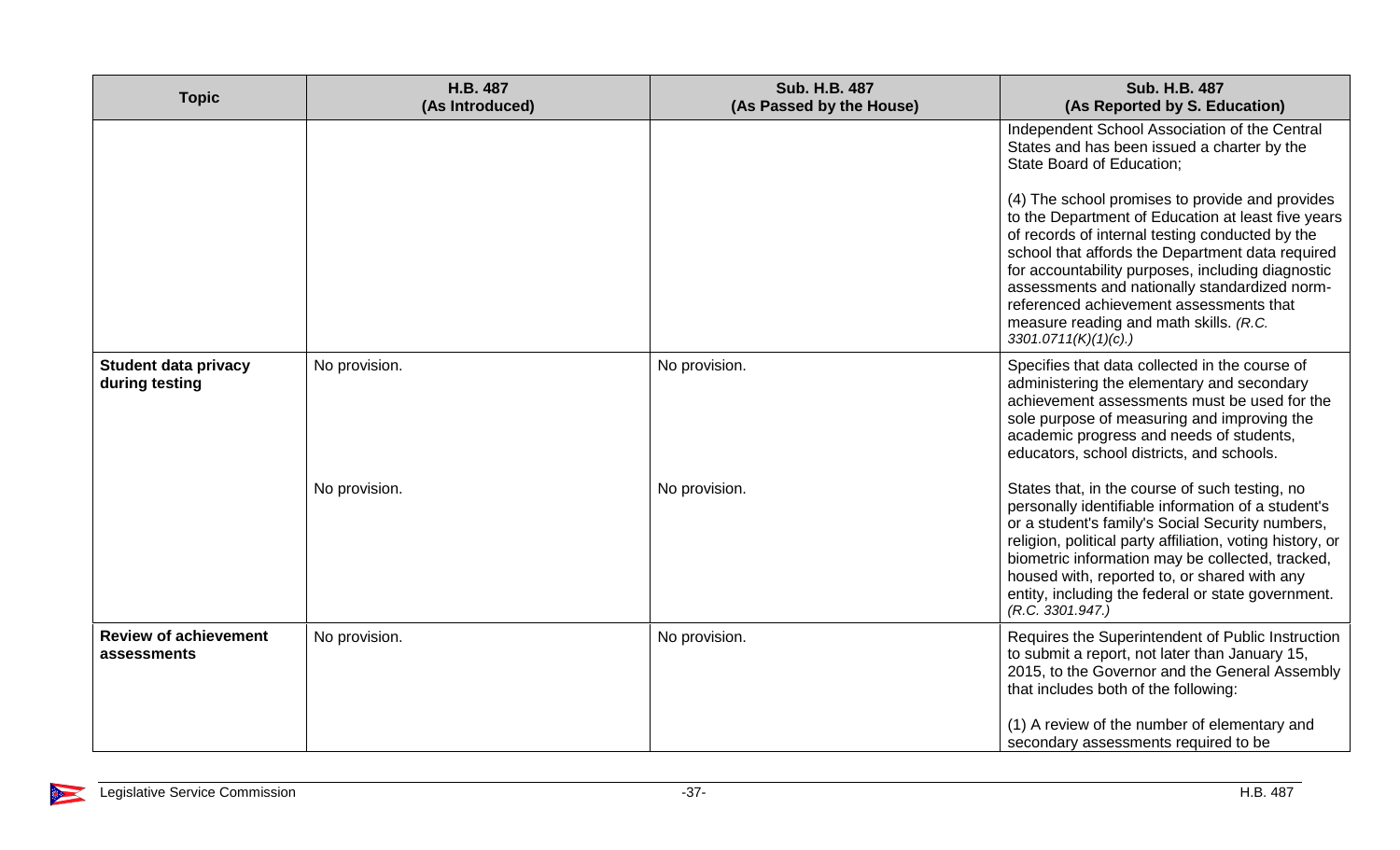| <b>Topic</b>                                  | H.B. 487<br>(As Introduced) | <b>Sub. H.B. 487</b><br>(As Passed by the House) | <b>Sub. H.B. 487</b><br>(As Reported by S. Education)                                                                                                                                                                                                                                                                                                                                                                          |
|-----------------------------------------------|-----------------------------|--------------------------------------------------|--------------------------------------------------------------------------------------------------------------------------------------------------------------------------------------------------------------------------------------------------------------------------------------------------------------------------------------------------------------------------------------------------------------------------------|
|                                               |                             |                                                  | Independent School Association of the Central<br>States and has been issued a charter by the<br>State Board of Education;                                                                                                                                                                                                                                                                                                      |
|                                               |                             |                                                  | (4) The school promises to provide and provides<br>to the Department of Education at least five years<br>of records of internal testing conducted by the<br>school that affords the Department data required<br>for accountability purposes, including diagnostic<br>assessments and nationally standardized norm-<br>referenced achievement assessments that<br>measure reading and math skills. (R.C.<br>3301.0711(K)(1)(c). |
| <b>Student data privacy</b><br>during testing | No provision.               | No provision.                                    | Specifies that data collected in the course of<br>administering the elementary and secondary<br>achievement assessments must be used for the<br>sole purpose of measuring and improving the<br>academic progress and needs of students,<br>educators, school districts, and schools.                                                                                                                                           |
|                                               | No provision.               | No provision.                                    | States that, in the course of such testing, no<br>personally identifiable information of a student's<br>or a student's family's Social Security numbers,<br>religion, political party affiliation, voting history, or<br>biometric information may be collected, tracked,<br>housed with, reported to, or shared with any<br>entity, including the federal or state government.<br>(R.C. 3301.947.)                            |
| <b>Review of achievement</b><br>assessments   | No provision.               | No provision.                                    | Requires the Superintendent of Public Instruction<br>to submit a report, not later than January 15,<br>2015, to the Governor and the General Assembly<br>that includes both of the following:<br>(1) A review of the number of elementary and<br>secondary assessments required to be                                                                                                                                          |

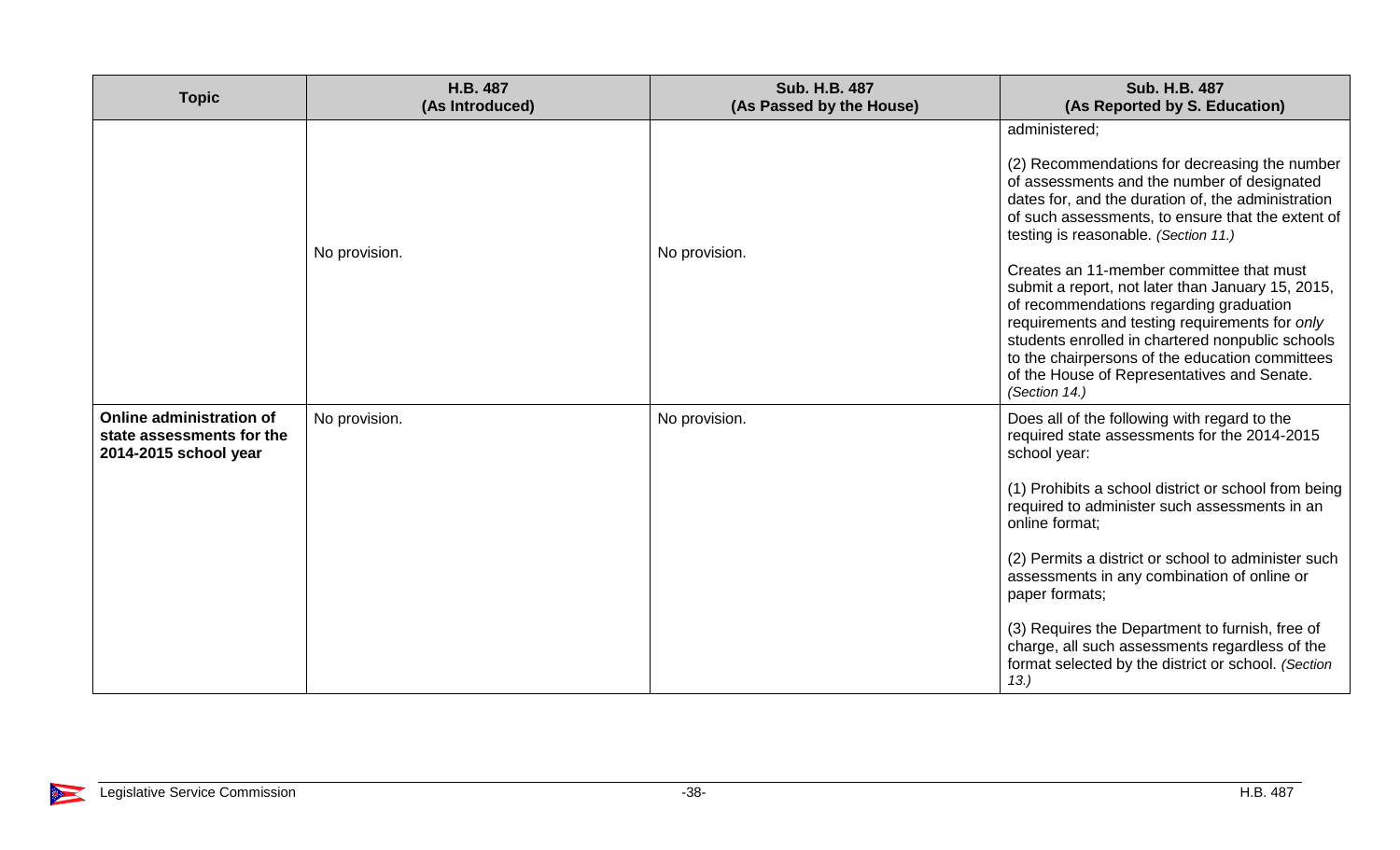| <b>Topic</b>                                                                   | H.B. 487<br>(As Introduced) | <b>Sub. H.B. 487</b><br>(As Passed by the House) | <b>Sub. H.B. 487</b><br>(As Reported by S. Education)                                                                                                                                                                                                                                                                                                                                                                                                                                                                                                                                                                                 |
|--------------------------------------------------------------------------------|-----------------------------|--------------------------------------------------|---------------------------------------------------------------------------------------------------------------------------------------------------------------------------------------------------------------------------------------------------------------------------------------------------------------------------------------------------------------------------------------------------------------------------------------------------------------------------------------------------------------------------------------------------------------------------------------------------------------------------------------|
|                                                                                | No provision.               | No provision.                                    | administered;<br>(2) Recommendations for decreasing the number<br>of assessments and the number of designated<br>dates for, and the duration of, the administration<br>of such assessments, to ensure that the extent of<br>testing is reasonable. (Section 11.)<br>Creates an 11-member committee that must<br>submit a report, not later than January 15, 2015,<br>of recommendations regarding graduation<br>requirements and testing requirements for only<br>students enrolled in chartered nonpublic schools<br>to the chairpersons of the education committees<br>of the House of Representatives and Senate.<br>(Section 14.) |
| Online administration of<br>state assessments for the<br>2014-2015 school year | No provision.               | No provision.                                    | Does all of the following with regard to the<br>required state assessments for the 2014-2015<br>school year:<br>(1) Prohibits a school district or school from being<br>required to administer such assessments in an<br>online format:<br>(2) Permits a district or school to administer such<br>assessments in any combination of online or<br>paper formats;<br>(3) Requires the Department to furnish, free of<br>charge, all such assessments regardless of the<br>format selected by the district or school. (Section<br>13.                                                                                                    |

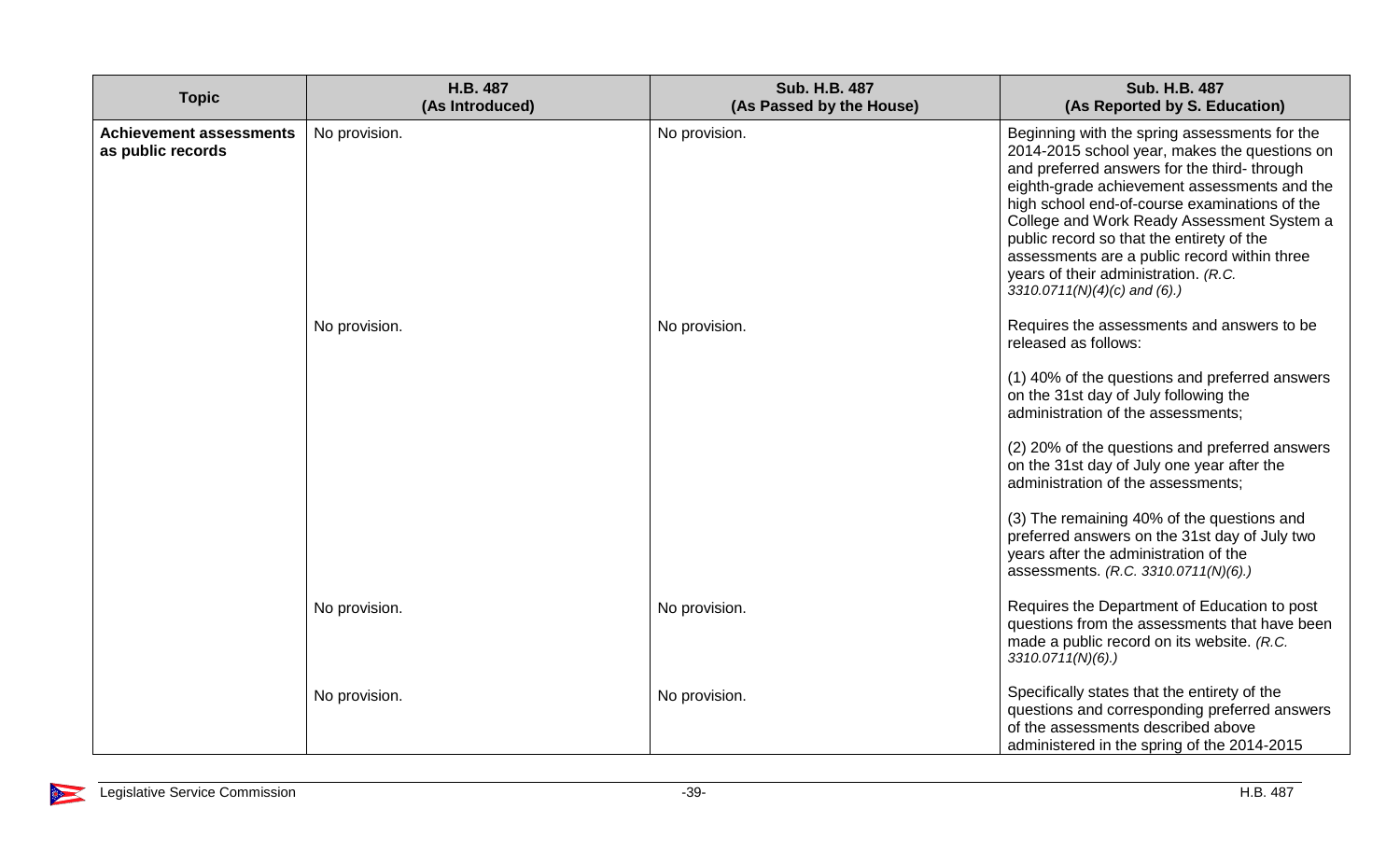| <b>Topic</b>                                        | <b>H.B. 487</b><br>(As Introduced) | <b>Sub. H.B. 487</b><br>(As Passed by the House) | <b>Sub. H.B. 487</b><br>(As Reported by S. Education)                                                                                                                                                                                                                                                                                                                                                                                                                                                                                    |
|-----------------------------------------------------|------------------------------------|--------------------------------------------------|------------------------------------------------------------------------------------------------------------------------------------------------------------------------------------------------------------------------------------------------------------------------------------------------------------------------------------------------------------------------------------------------------------------------------------------------------------------------------------------------------------------------------------------|
| <b>Achievement assessments</b><br>as public records | No provision.<br>No provision.     | No provision.<br>No provision.                   | Beginning with the spring assessments for the<br>2014-2015 school year, makes the questions on<br>and preferred answers for the third- through<br>eighth-grade achievement assessments and the<br>high school end-of-course examinations of the<br>College and Work Ready Assessment System a<br>public record so that the entirety of the<br>assessments are a public record within three<br>years of their administration. (R.C.<br>3310.0711(N)(4)(c) and (6).)<br>Requires the assessments and answers to be<br>released as follows: |
|                                                     |                                    |                                                  | (1) 40% of the questions and preferred answers<br>on the 31st day of July following the<br>administration of the assessments;<br>(2) 20% of the questions and preferred answers<br>on the 31st day of July one year after the<br>administration of the assessments;<br>(3) The remaining 40% of the questions and<br>preferred answers on the 31st day of July two<br>years after the administration of the<br>assessments. (R.C. 3310.0711(N)(6).)                                                                                      |
|                                                     | No provision.                      | No provision.                                    | Requires the Department of Education to post<br>questions from the assessments that have been<br>made a public record on its website. (R.C.<br>$3310.0711(N)(6)$ .)                                                                                                                                                                                                                                                                                                                                                                      |
|                                                     | No provision.                      | No provision.                                    | Specifically states that the entirety of the<br>questions and corresponding preferred answers<br>of the assessments described above<br>administered in the spring of the 2014-2015                                                                                                                                                                                                                                                                                                                                                       |

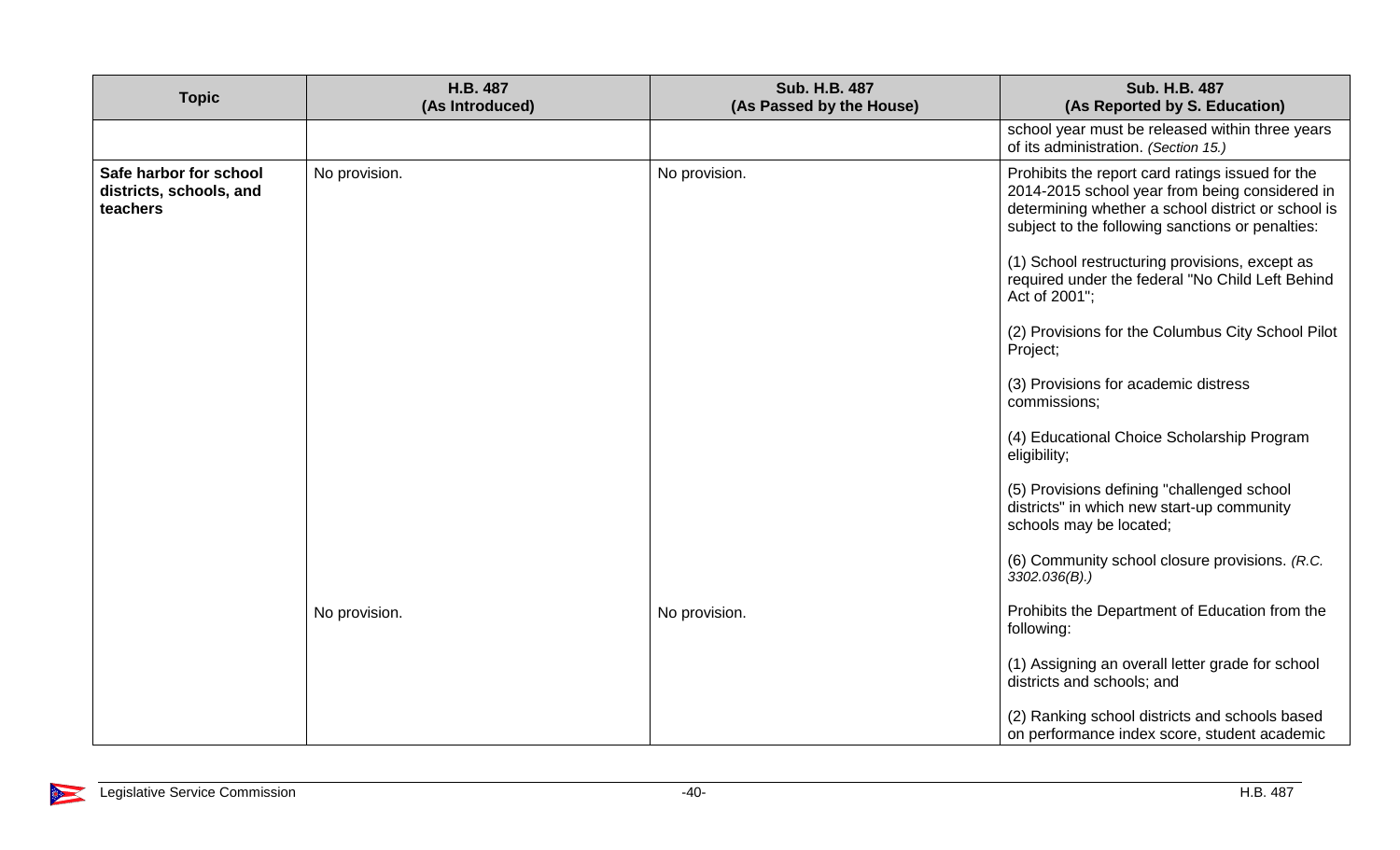| <b>Topic</b>                                                  | H.B. 487<br>(As Introduced) | <b>Sub. H.B. 487</b><br>(As Passed by the House) | <b>Sub. H.B. 487</b><br>(As Reported by S. Education)                                                                                                                                                        |
|---------------------------------------------------------------|-----------------------------|--------------------------------------------------|--------------------------------------------------------------------------------------------------------------------------------------------------------------------------------------------------------------|
|                                                               |                             |                                                  | school year must be released within three years<br>of its administration. (Section 15.)                                                                                                                      |
| Safe harbor for school<br>districts, schools, and<br>teachers | No provision.               | No provision.                                    | Prohibits the report card ratings issued for the<br>2014-2015 school year from being considered in<br>determining whether a school district or school is<br>subject to the following sanctions or penalties: |
|                                                               |                             |                                                  | (1) School restructuring provisions, except as<br>required under the federal "No Child Left Behind<br>Act of 2001";                                                                                          |
|                                                               |                             |                                                  | (2) Provisions for the Columbus City School Pilot<br>Project;                                                                                                                                                |
|                                                               |                             |                                                  | (3) Provisions for academic distress<br>commissions;                                                                                                                                                         |
|                                                               |                             |                                                  | (4) Educational Choice Scholarship Program<br>eligibility;                                                                                                                                                   |
|                                                               |                             |                                                  | (5) Provisions defining "challenged school<br>districts" in which new start-up community<br>schools may be located;                                                                                          |
|                                                               |                             |                                                  | (6) Community school closure provisions. (R.C.<br>$3302.036(B)$ .)                                                                                                                                           |
|                                                               | No provision.               | No provision.                                    | Prohibits the Department of Education from the<br>following:                                                                                                                                                 |
|                                                               |                             |                                                  | (1) Assigning an overall letter grade for school<br>districts and schools; and                                                                                                                               |
|                                                               |                             |                                                  | (2) Ranking school districts and schools based<br>on performance index score, student academic                                                                                                               |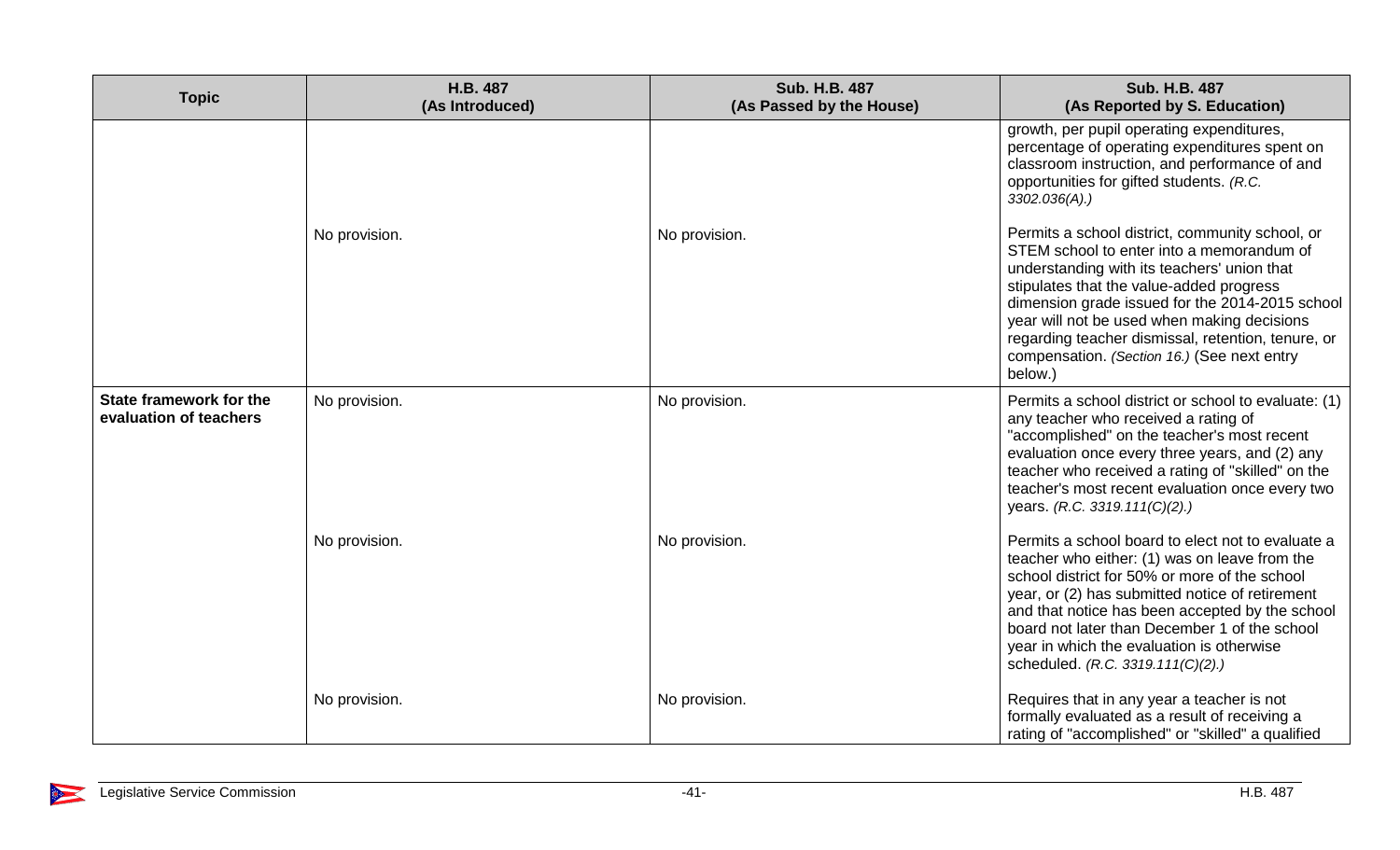| <b>Topic</b>                                      | H.B. 487<br>(As Introduced) | <b>Sub. H.B. 487</b><br>(As Passed by the House) | <b>Sub. H.B. 487</b><br>(As Reported by S. Education)                                                                                                                                                                                                                                                                                                                                                     |
|---------------------------------------------------|-----------------------------|--------------------------------------------------|-----------------------------------------------------------------------------------------------------------------------------------------------------------------------------------------------------------------------------------------------------------------------------------------------------------------------------------------------------------------------------------------------------------|
|                                                   |                             |                                                  | growth, per pupil operating expenditures,<br>percentage of operating expenditures spent on<br>classroom instruction, and performance of and<br>opportunities for gifted students. (R.C.<br>$3302.036(A)$ .)                                                                                                                                                                                               |
|                                                   | No provision.               | No provision.                                    | Permits a school district, community school, or<br>STEM school to enter into a memorandum of<br>understanding with its teachers' union that<br>stipulates that the value-added progress<br>dimension grade issued for the 2014-2015 school<br>year will not be used when making decisions<br>regarding teacher dismissal, retention, tenure, or<br>compensation. (Section 16.) (See next entry<br>below.) |
| State framework for the<br>evaluation of teachers | No provision.               | No provision.                                    | Permits a school district or school to evaluate: (1)<br>any teacher who received a rating of<br>"accomplished" on the teacher's most recent<br>evaluation once every three years, and (2) any<br>teacher who received a rating of "skilled" on the<br>teacher's most recent evaluation once every two<br>years. (R.C. 3319.111(C)(2).)                                                                    |
|                                                   | No provision.               | No provision.                                    | Permits a school board to elect not to evaluate a<br>teacher who either: (1) was on leave from the<br>school district for 50% or more of the school<br>year, or (2) has submitted notice of retirement<br>and that notice has been accepted by the school<br>board not later than December 1 of the school<br>year in which the evaluation is otherwise<br>scheduled. (R.C. 3319.111(C)(2).)              |
|                                                   | No provision.               | No provision.                                    | Requires that in any year a teacher is not<br>formally evaluated as a result of receiving a<br>rating of "accomplished" or "skilled" a qualified                                                                                                                                                                                                                                                          |

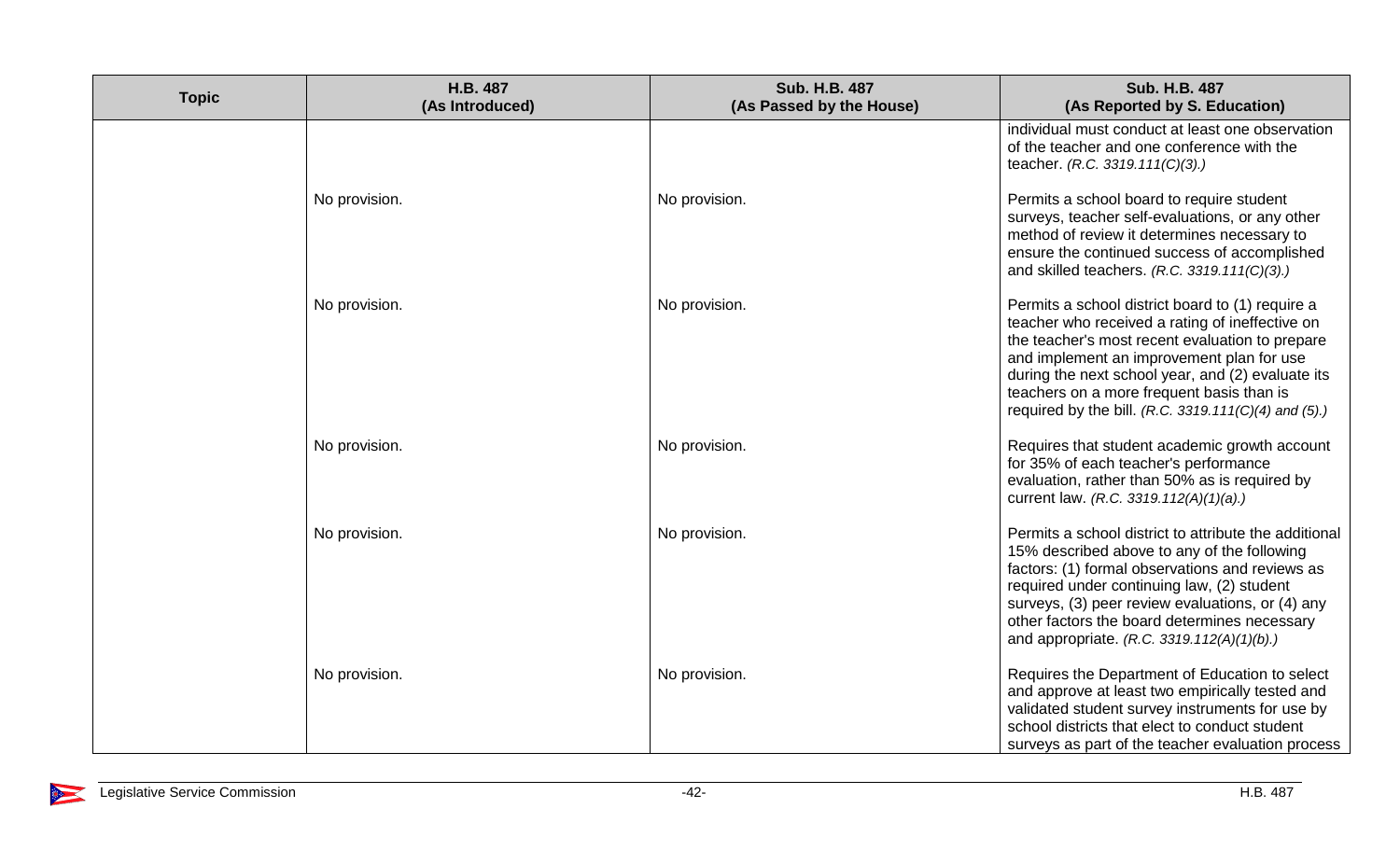| <b>Topic</b> | H.B. 487<br>(As Introduced) | <b>Sub. H.B. 487</b><br>(As Passed by the House) | <b>Sub. H.B. 487</b><br>(As Reported by S. Education)                                                                                                                                                                                                                                                                                                         |
|--------------|-----------------------------|--------------------------------------------------|---------------------------------------------------------------------------------------------------------------------------------------------------------------------------------------------------------------------------------------------------------------------------------------------------------------------------------------------------------------|
|              |                             |                                                  | individual must conduct at least one observation<br>of the teacher and one conference with the<br>teacher. (R.C. 3319.111(C)(3).)                                                                                                                                                                                                                             |
|              | No provision.               | No provision.                                    | Permits a school board to require student<br>surveys, teacher self-evaluations, or any other<br>method of review it determines necessary to<br>ensure the continued success of accomplished<br>and skilled teachers. (R.C. 3319.111(C)(3).)                                                                                                                   |
|              | No provision.               | No provision.                                    | Permits a school district board to (1) require a<br>teacher who received a rating of ineffective on<br>the teacher's most recent evaluation to prepare<br>and implement an improvement plan for use<br>during the next school year, and (2) evaluate its<br>teachers on a more frequent basis than is<br>required by the bill. (R.C. 3319.111(C)(4) and (5).) |
|              | No provision.               | No provision.                                    | Requires that student academic growth account<br>for 35% of each teacher's performance<br>evaluation, rather than 50% as is required by<br>current law. (R.C. 3319.112(A)(1)(a).)                                                                                                                                                                             |
|              | No provision.               | No provision.                                    | Permits a school district to attribute the additional<br>15% described above to any of the following<br>factors: (1) formal observations and reviews as<br>required under continuing law, (2) student<br>surveys, (3) peer review evaluations, or (4) any<br>other factors the board determines necessary<br>and appropriate. (R.C. 3319.112(A)(1)(b).)       |
|              | No provision.               | No provision.                                    | Requires the Department of Education to select<br>and approve at least two empirically tested and<br>validated student survey instruments for use by<br>school districts that elect to conduct student<br>surveys as part of the teacher evaluation process                                                                                                   |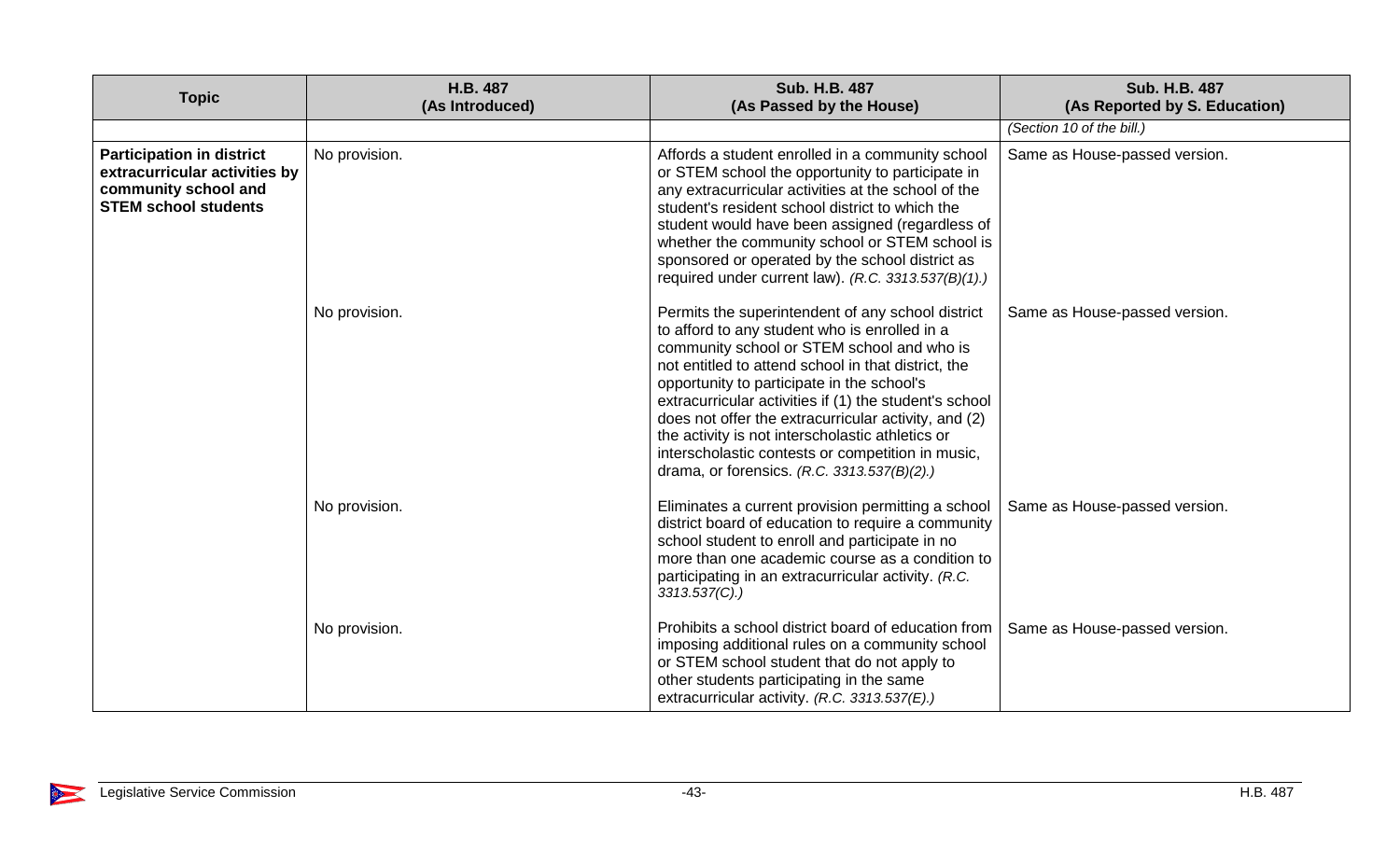| <b>Topic</b>                                                                                                             | H.B. 487<br>(As Introduced) | Sub. H.B. 487<br>(As Passed by the House)                                                                                                                                                                                                                                                                                                                                                                                                                                                                                       | <b>Sub. H.B. 487</b><br>(As Reported by S. Education) |
|--------------------------------------------------------------------------------------------------------------------------|-----------------------------|---------------------------------------------------------------------------------------------------------------------------------------------------------------------------------------------------------------------------------------------------------------------------------------------------------------------------------------------------------------------------------------------------------------------------------------------------------------------------------------------------------------------------------|-------------------------------------------------------|
|                                                                                                                          |                             |                                                                                                                                                                                                                                                                                                                                                                                                                                                                                                                                 | (Section 10 of the bill.)                             |
| <b>Participation in district</b><br>extracurricular activities by<br>community school and<br><b>STEM school students</b> | No provision.               | Affords a student enrolled in a community school<br>or STEM school the opportunity to participate in<br>any extracurricular activities at the school of the<br>student's resident school district to which the<br>student would have been assigned (regardless of<br>whether the community school or STEM school is<br>sponsored or operated by the school district as<br>required under current law). (R.C. 3313.537(B)(1).)                                                                                                   | Same as House-passed version.                         |
|                                                                                                                          | No provision.               | Permits the superintendent of any school district<br>to afford to any student who is enrolled in a<br>community school or STEM school and who is<br>not entitled to attend school in that district, the<br>opportunity to participate in the school's<br>extracurricular activities if (1) the student's school<br>does not offer the extracurricular activity, and (2)<br>the activity is not interscholastic athletics or<br>interscholastic contests or competition in music,<br>drama, or forensics. (R.C. 3313.537(B)(2).) | Same as House-passed version.                         |
|                                                                                                                          | No provision.               | Eliminates a current provision permitting a school<br>district board of education to require a community<br>school student to enroll and participate in no<br>more than one academic course as a condition to<br>participating in an extracurricular activity. (R.C.<br>3313.537(C).                                                                                                                                                                                                                                            | Same as House-passed version.                         |
|                                                                                                                          | No provision.               | Prohibits a school district board of education from<br>imposing additional rules on a community school<br>or STEM school student that do not apply to<br>other students participating in the same<br>extracurricular activity. (R.C. 3313.537(E).)                                                                                                                                                                                                                                                                              | Same as House-passed version.                         |

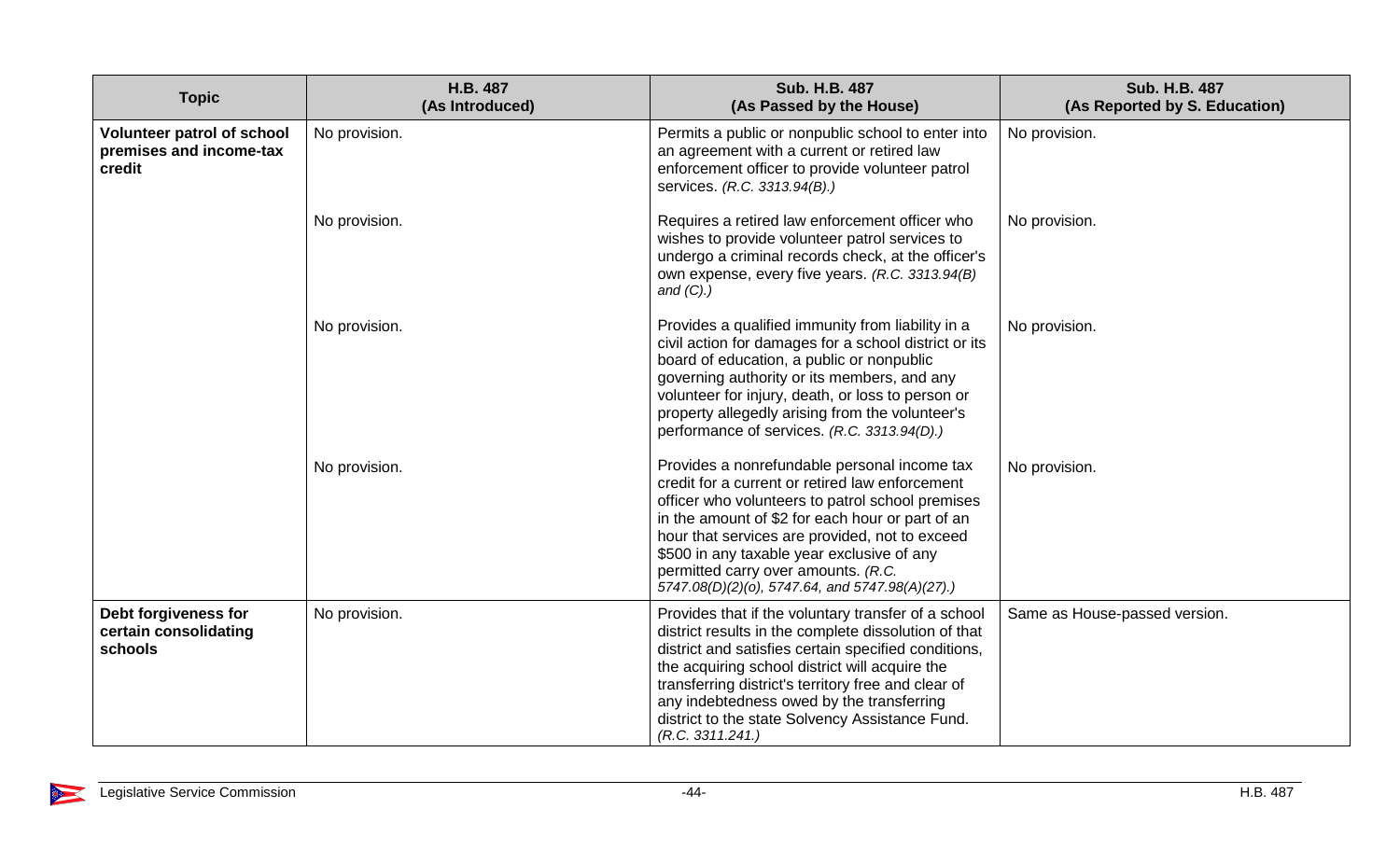| <b>Topic</b>                                                           | <b>H.B. 487</b><br>(As Introduced) | <b>Sub. H.B. 487</b><br>(As Passed by the House)                                                                                                                                                                                                                                                                                                                                                  | <b>Sub. H.B. 487</b><br>(As Reported by S. Education) |
|------------------------------------------------------------------------|------------------------------------|---------------------------------------------------------------------------------------------------------------------------------------------------------------------------------------------------------------------------------------------------------------------------------------------------------------------------------------------------------------------------------------------------|-------------------------------------------------------|
| <b>Volunteer patrol of school</b><br>premises and income-tax<br>credit | No provision.                      | Permits a public or nonpublic school to enter into<br>an agreement with a current or retired law<br>enforcement officer to provide volunteer patrol<br>services. (R.C. 3313.94(B).)                                                                                                                                                                                                               | No provision.                                         |
|                                                                        | No provision.                      | Requires a retired law enforcement officer who<br>wishes to provide volunteer patrol services to<br>undergo a criminal records check, at the officer's<br>own expense, every five years. (R.C. 3313.94(B)<br>and $(C)$ .)                                                                                                                                                                         | No provision.                                         |
|                                                                        | No provision.                      | Provides a qualified immunity from liability in a<br>civil action for damages for a school district or its<br>board of education, a public or nonpublic<br>governing authority or its members, and any<br>volunteer for injury, death, or loss to person or<br>property allegedly arising from the volunteer's<br>performance of services. (R.C. 3313.94(D).)                                     | No provision.                                         |
|                                                                        | No provision.                      | Provides a nonrefundable personal income tax<br>credit for a current or retired law enforcement<br>officer who volunteers to patrol school premises<br>in the amount of \$2 for each hour or part of an<br>hour that services are provided, not to exceed<br>\$500 in any taxable year exclusive of any<br>permitted carry over amounts. (R.C.<br>5747.08(D)(2)(o), 5747.64, and 5747.98(A)(27).) | No provision.                                         |
| Debt forgiveness for<br>certain consolidating<br><b>schools</b>        | No provision.                      | Provides that if the voluntary transfer of a school<br>district results in the complete dissolution of that<br>district and satisfies certain specified conditions,<br>the acquiring school district will acquire the<br>transferring district's territory free and clear of<br>any indebtedness owed by the transferring<br>district to the state Solvency Assistance Fund.<br>(R.C. 3311.241.)  | Same as House-passed version.                         |

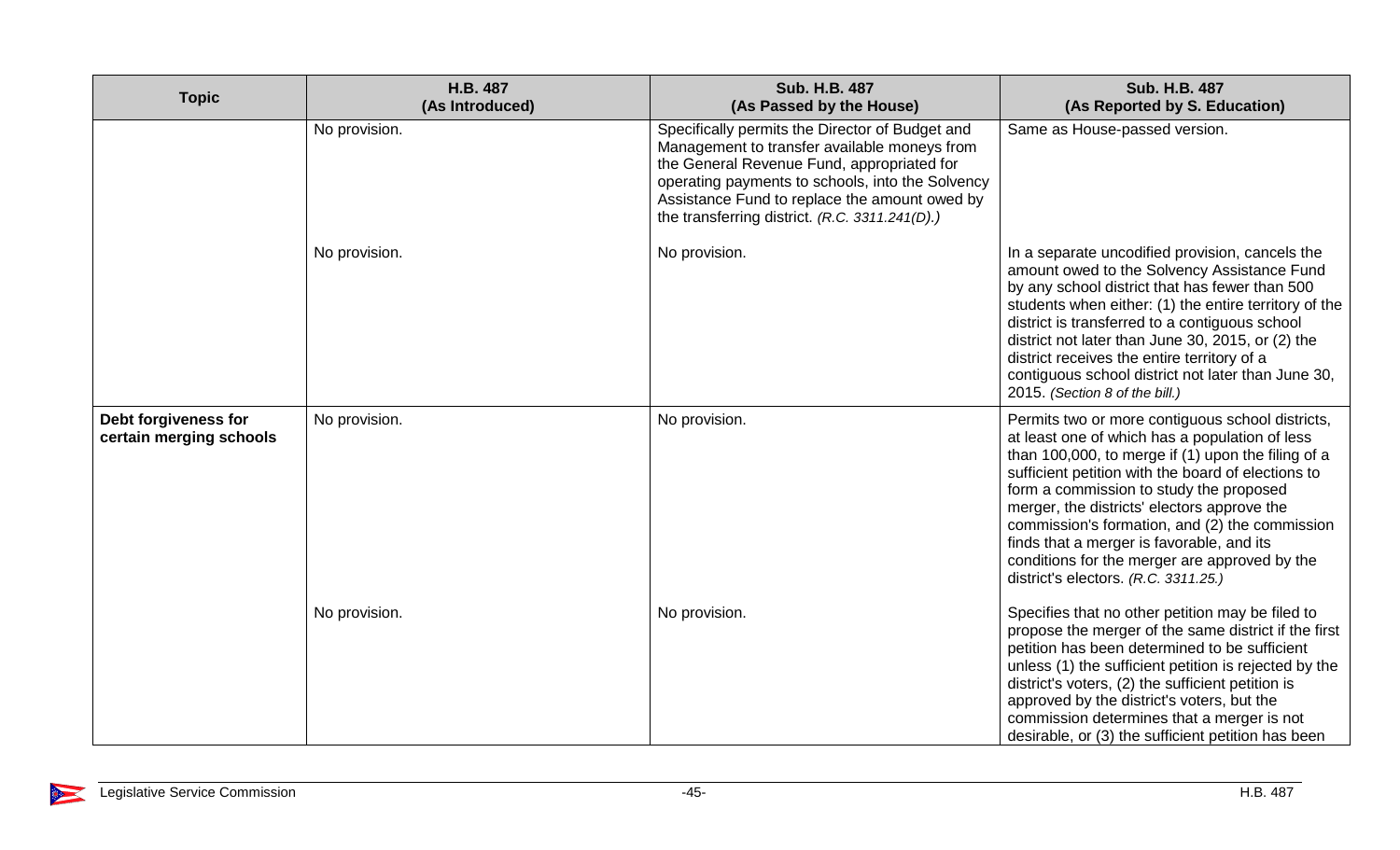| <b>Topic</b>                                    | H.B. 487<br>(As Introduced) | <b>Sub. H.B. 487</b><br>(As Passed by the House)                                                                                                                                                                                                                                                     | Sub. H.B. 487<br>(As Reported by S. Education)                                                                                                                                                                                                                                                                                                                                                                                                                                                   |
|-------------------------------------------------|-----------------------------|------------------------------------------------------------------------------------------------------------------------------------------------------------------------------------------------------------------------------------------------------------------------------------------------------|--------------------------------------------------------------------------------------------------------------------------------------------------------------------------------------------------------------------------------------------------------------------------------------------------------------------------------------------------------------------------------------------------------------------------------------------------------------------------------------------------|
|                                                 | No provision.               | Specifically permits the Director of Budget and<br>Management to transfer available moneys from<br>the General Revenue Fund, appropriated for<br>operating payments to schools, into the Solvency<br>Assistance Fund to replace the amount owed by<br>the transferring district. (R.C. 3311.241(D).) | Same as House-passed version.                                                                                                                                                                                                                                                                                                                                                                                                                                                                    |
|                                                 | No provision.               | No provision.                                                                                                                                                                                                                                                                                        | In a separate uncodified provision, cancels the<br>amount owed to the Solvency Assistance Fund<br>by any school district that has fewer than 500<br>students when either: (1) the entire territory of the<br>district is transferred to a contiguous school<br>district not later than June 30, 2015, or (2) the<br>district receives the entire territory of a<br>contiguous school district not later than June 30,<br>2015. (Section 8 of the bill.)                                          |
| Debt forgiveness for<br>certain merging schools | No provision.               | No provision.                                                                                                                                                                                                                                                                                        | Permits two or more contiguous school districts,<br>at least one of which has a population of less<br>than 100,000, to merge if (1) upon the filing of a<br>sufficient petition with the board of elections to<br>form a commission to study the proposed<br>merger, the districts' electors approve the<br>commission's formation, and (2) the commission<br>finds that a merger is favorable, and its<br>conditions for the merger are approved by the<br>district's electors. (R.C. 3311.25.) |
|                                                 | No provision.               | No provision.                                                                                                                                                                                                                                                                                        | Specifies that no other petition may be filed to<br>propose the merger of the same district if the first<br>petition has been determined to be sufficient<br>unless (1) the sufficient petition is rejected by the<br>district's voters, (2) the sufficient petition is<br>approved by the district's voters, but the<br>commission determines that a merger is not<br>desirable, or (3) the sufficient petition has been                                                                        |

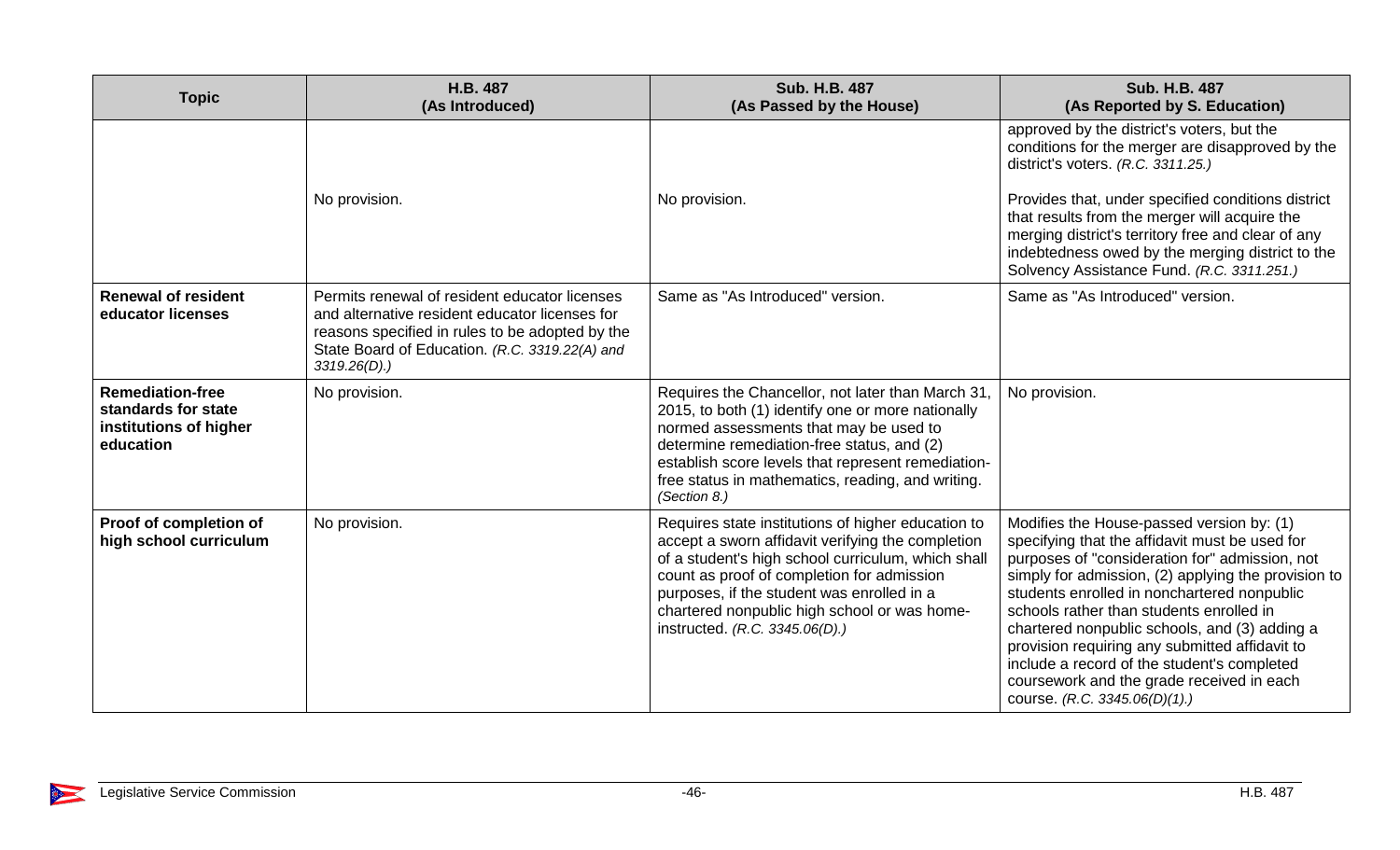| <b>Topic</b>                                                                          | H.B. 487<br>(As Introduced)                                                                                                                                                                                             | <b>Sub. H.B. 487</b><br>(As Passed by the House)                                                                                                                                                                                                                                                                                            | <b>Sub. H.B. 487</b><br>(As Reported by S. Education)                                                                                                                                                                                                                                                                                                                                                                                                                                                                           |
|---------------------------------------------------------------------------------------|-------------------------------------------------------------------------------------------------------------------------------------------------------------------------------------------------------------------------|---------------------------------------------------------------------------------------------------------------------------------------------------------------------------------------------------------------------------------------------------------------------------------------------------------------------------------------------|---------------------------------------------------------------------------------------------------------------------------------------------------------------------------------------------------------------------------------------------------------------------------------------------------------------------------------------------------------------------------------------------------------------------------------------------------------------------------------------------------------------------------------|
|                                                                                       |                                                                                                                                                                                                                         |                                                                                                                                                                                                                                                                                                                                             | approved by the district's voters, but the<br>conditions for the merger are disapproved by the<br>district's voters. (R.C. 3311.25.)                                                                                                                                                                                                                                                                                                                                                                                            |
|                                                                                       | No provision.                                                                                                                                                                                                           | No provision.                                                                                                                                                                                                                                                                                                                               | Provides that, under specified conditions district<br>that results from the merger will acquire the<br>merging district's territory free and clear of any<br>indebtedness owed by the merging district to the<br>Solvency Assistance Fund. (R.C. 3311.251.)                                                                                                                                                                                                                                                                     |
| <b>Renewal of resident</b><br>educator licenses                                       | Permits renewal of resident educator licenses<br>and alternative resident educator licenses for<br>reasons specified in rules to be adopted by the<br>State Board of Education. (R.C. 3319.22(A) and<br>$3319.26(D)$ .) | Same as "As Introduced" version.                                                                                                                                                                                                                                                                                                            | Same as "As Introduced" version.                                                                                                                                                                                                                                                                                                                                                                                                                                                                                                |
| <b>Remediation-free</b><br>standards for state<br>institutions of higher<br>education | No provision.                                                                                                                                                                                                           | Requires the Chancellor, not later than March 31,<br>2015, to both (1) identify one or more nationally<br>normed assessments that may be used to<br>determine remediation-free status, and (2)<br>establish score levels that represent remediation-<br>free status in mathematics, reading, and writing.<br>(Section 8.)                   | No provision.                                                                                                                                                                                                                                                                                                                                                                                                                                                                                                                   |
| Proof of completion of<br>high school curriculum                                      | No provision.                                                                                                                                                                                                           | Requires state institutions of higher education to<br>accept a sworn affidavit verifying the completion<br>of a student's high school curriculum, which shall<br>count as proof of completion for admission<br>purposes, if the student was enrolled in a<br>chartered nonpublic high school or was home-<br>instructed. (R.C. 3345.06(D).) | Modifies the House-passed version by: (1)<br>specifying that the affidavit must be used for<br>purposes of "consideration for" admission, not<br>simply for admission, (2) applying the provision to<br>students enrolled in nonchartered nonpublic<br>schools rather than students enrolled in<br>chartered nonpublic schools, and (3) adding a<br>provision requiring any submitted affidavit to<br>include a record of the student's completed<br>coursework and the grade received in each<br>course. (R.C. 3345.06(D)(1).) |

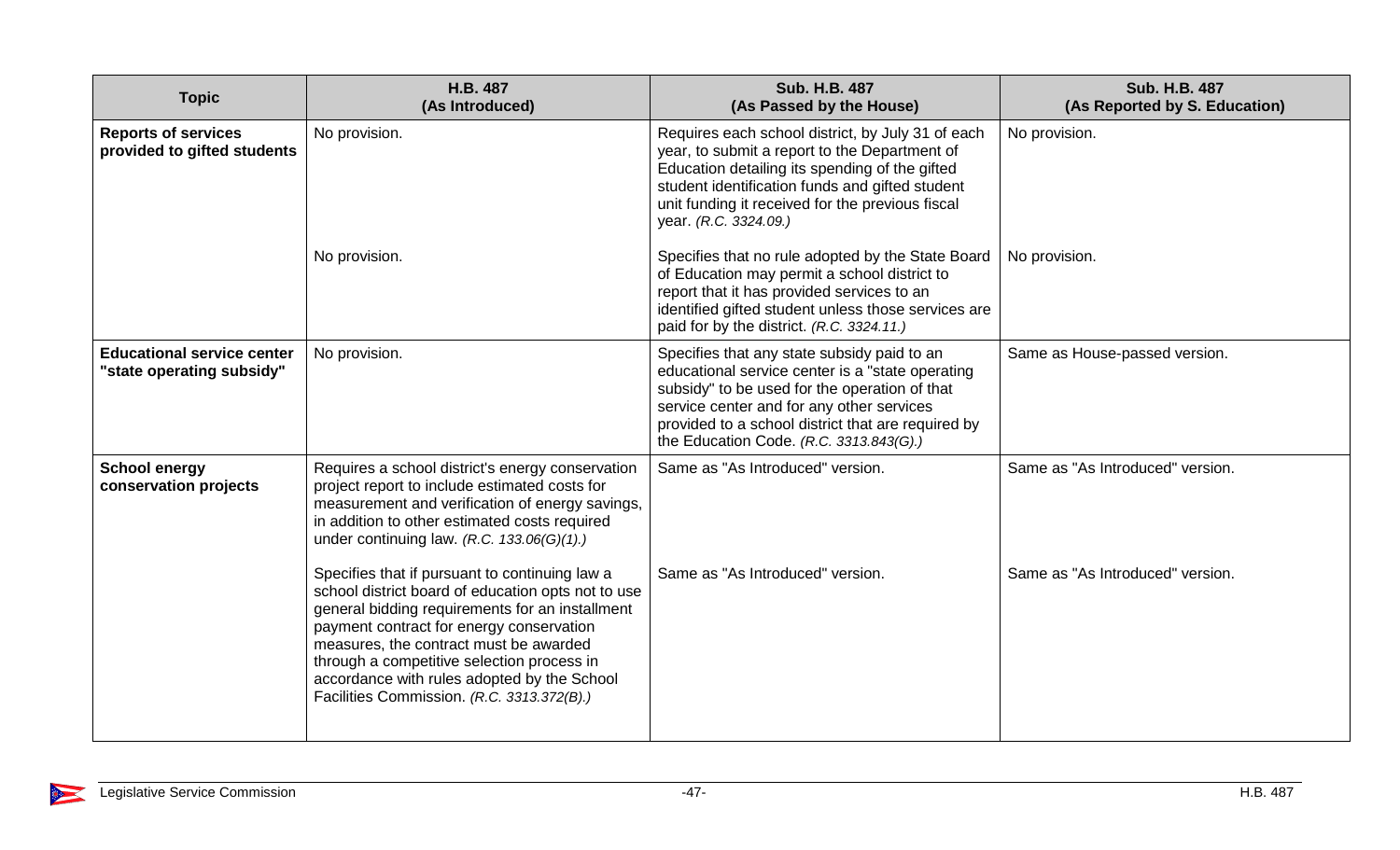| <b>Topic</b>                                                   | H.B. 487<br>(As Introduced)                                                                                                                                                                                                                                                                                                                                                              | <b>Sub. H.B. 487</b><br>(As Passed by the House)                                                                                                                                                                                                                                               | <b>Sub. H.B. 487</b><br>(As Reported by S. Education) |
|----------------------------------------------------------------|------------------------------------------------------------------------------------------------------------------------------------------------------------------------------------------------------------------------------------------------------------------------------------------------------------------------------------------------------------------------------------------|------------------------------------------------------------------------------------------------------------------------------------------------------------------------------------------------------------------------------------------------------------------------------------------------|-------------------------------------------------------|
| <b>Reports of services</b><br>provided to gifted students      | No provision.                                                                                                                                                                                                                                                                                                                                                                            | Requires each school district, by July 31 of each<br>year, to submit a report to the Department of<br>Education detailing its spending of the gifted<br>student identification funds and gifted student<br>unit funding it received for the previous fiscal<br>year. (R.C. 3324.09.)           | No provision.                                         |
|                                                                | No provision.                                                                                                                                                                                                                                                                                                                                                                            | Specifies that no rule adopted by the State Board<br>of Education may permit a school district to<br>report that it has provided services to an<br>identified gifted student unless those services are<br>paid for by the district. (R.C. 3324.11.)                                            | No provision.                                         |
| <b>Educational service center</b><br>"state operating subsidy" | No provision.                                                                                                                                                                                                                                                                                                                                                                            | Specifies that any state subsidy paid to an<br>educational service center is a "state operating<br>subsidy" to be used for the operation of that<br>service center and for any other services<br>provided to a school district that are required by<br>the Education Code. (R.C. 3313.843(G).) | Same as House-passed version.                         |
| <b>School energy</b><br>conservation projects                  | Requires a school district's energy conservation<br>project report to include estimated costs for<br>measurement and verification of energy savings,<br>in addition to other estimated costs required<br>under continuing law. (R.C. $133.06(G)(1)$ .)                                                                                                                                   | Same as "As Introduced" version.                                                                                                                                                                                                                                                               | Same as "As Introduced" version.                      |
|                                                                | Specifies that if pursuant to continuing law a<br>school district board of education opts not to use<br>general bidding requirements for an installment<br>payment contract for energy conservation<br>measures, the contract must be awarded<br>through a competitive selection process in<br>accordance with rules adopted by the School<br>Facilities Commission. (R.C. 3313.372(B).) | Same as "As Introduced" version.                                                                                                                                                                                                                                                               | Same as "As Introduced" version.                      |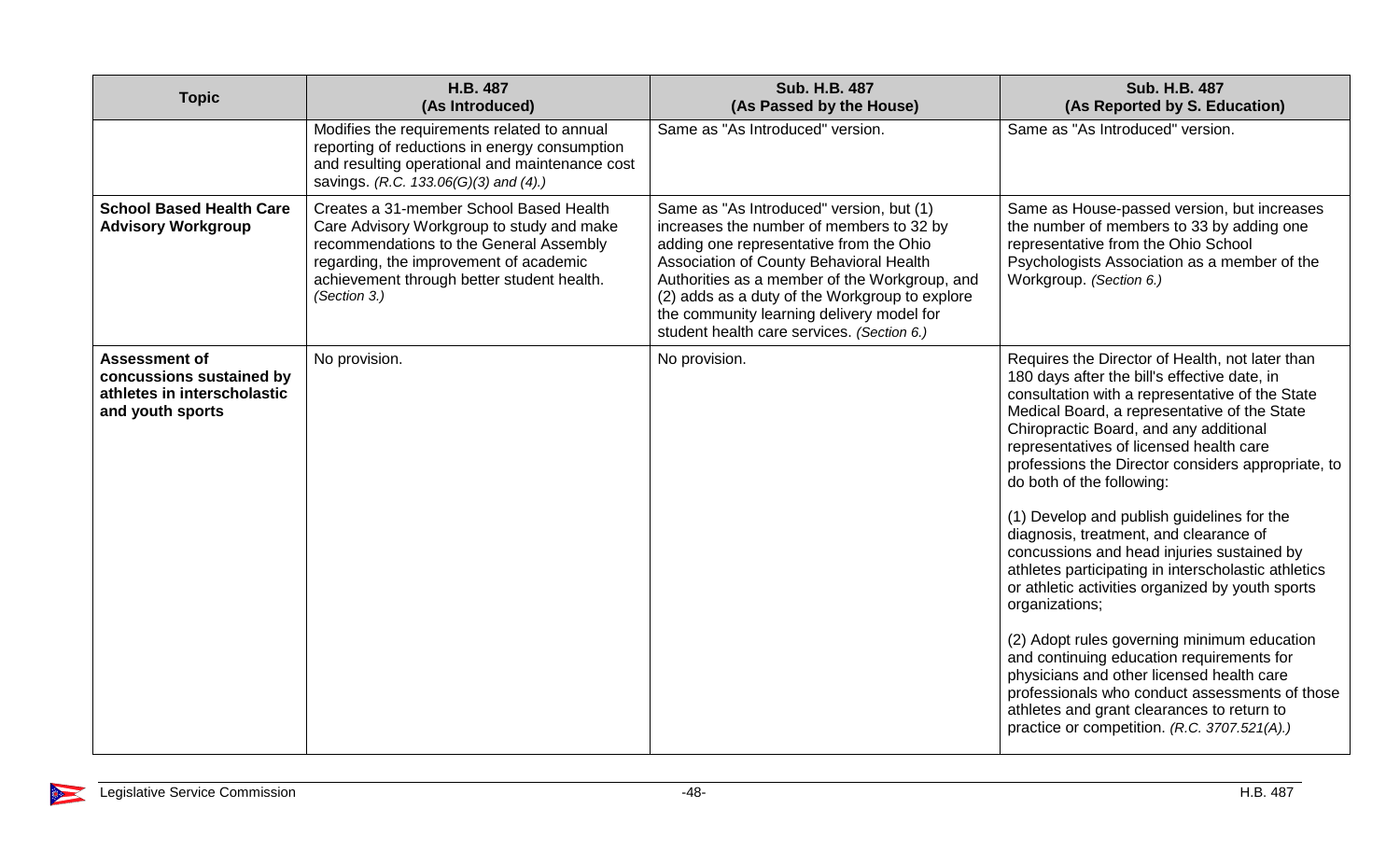| <b>Topic</b>                                                                                        | H.B. 487<br>(As Introduced)                                                                                                                                                                                                             | <b>Sub. H.B. 487</b><br>(As Passed by the House)                                                                                                                                                                                                                                                                                                                         | <b>Sub. H.B. 487</b><br>(As Reported by S. Education)                                                                                                                                                                                                                                                                                                                                                                                                                                                                                                                                                                                                                                                                                                                                                                                                                                                                                  |
|-----------------------------------------------------------------------------------------------------|-----------------------------------------------------------------------------------------------------------------------------------------------------------------------------------------------------------------------------------------|--------------------------------------------------------------------------------------------------------------------------------------------------------------------------------------------------------------------------------------------------------------------------------------------------------------------------------------------------------------------------|----------------------------------------------------------------------------------------------------------------------------------------------------------------------------------------------------------------------------------------------------------------------------------------------------------------------------------------------------------------------------------------------------------------------------------------------------------------------------------------------------------------------------------------------------------------------------------------------------------------------------------------------------------------------------------------------------------------------------------------------------------------------------------------------------------------------------------------------------------------------------------------------------------------------------------------|
|                                                                                                     | Modifies the requirements related to annual<br>reporting of reductions in energy consumption<br>and resulting operational and maintenance cost<br>savings. (R.C. 133.06(G)(3) and (4).)                                                 | Same as "As Introduced" version.                                                                                                                                                                                                                                                                                                                                         | Same as "As Introduced" version.                                                                                                                                                                                                                                                                                                                                                                                                                                                                                                                                                                                                                                                                                                                                                                                                                                                                                                       |
| <b>School Based Health Care</b><br><b>Advisory Workgroup</b>                                        | Creates a 31-member School Based Health<br>Care Advisory Workgroup to study and make<br>recommendations to the General Assembly<br>regarding, the improvement of academic<br>achievement through better student health.<br>(Section 3.) | Same as "As Introduced" version, but (1)<br>increases the number of members to 32 by<br>adding one representative from the Ohio<br>Association of County Behavioral Health<br>Authorities as a member of the Workgroup, and<br>(2) adds as a duty of the Workgroup to explore<br>the community learning delivery model for<br>student health care services. (Section 6.) | Same as House-passed version, but increases<br>the number of members to 33 by adding one<br>representative from the Ohio School<br>Psychologists Association as a member of the<br>Workgroup. (Section 6.)                                                                                                                                                                                                                                                                                                                                                                                                                                                                                                                                                                                                                                                                                                                             |
| <b>Assessment of</b><br>concussions sustained by<br>athletes in interscholastic<br>and youth sports | No provision.                                                                                                                                                                                                                           | No provision.                                                                                                                                                                                                                                                                                                                                                            | Requires the Director of Health, not later than<br>180 days after the bill's effective date, in<br>consultation with a representative of the State<br>Medical Board, a representative of the State<br>Chiropractic Board, and any additional<br>representatives of licensed health care<br>professions the Director considers appropriate, to<br>do both of the following:<br>(1) Develop and publish guidelines for the<br>diagnosis, treatment, and clearance of<br>concussions and head injuries sustained by<br>athletes participating in interscholastic athletics<br>or athletic activities organized by youth sports<br>organizations;<br>(2) Adopt rules governing minimum education<br>and continuing education requirements for<br>physicians and other licensed health care<br>professionals who conduct assessments of those<br>athletes and grant clearances to return to<br>practice or competition. (R.C. 3707.521(A).) |

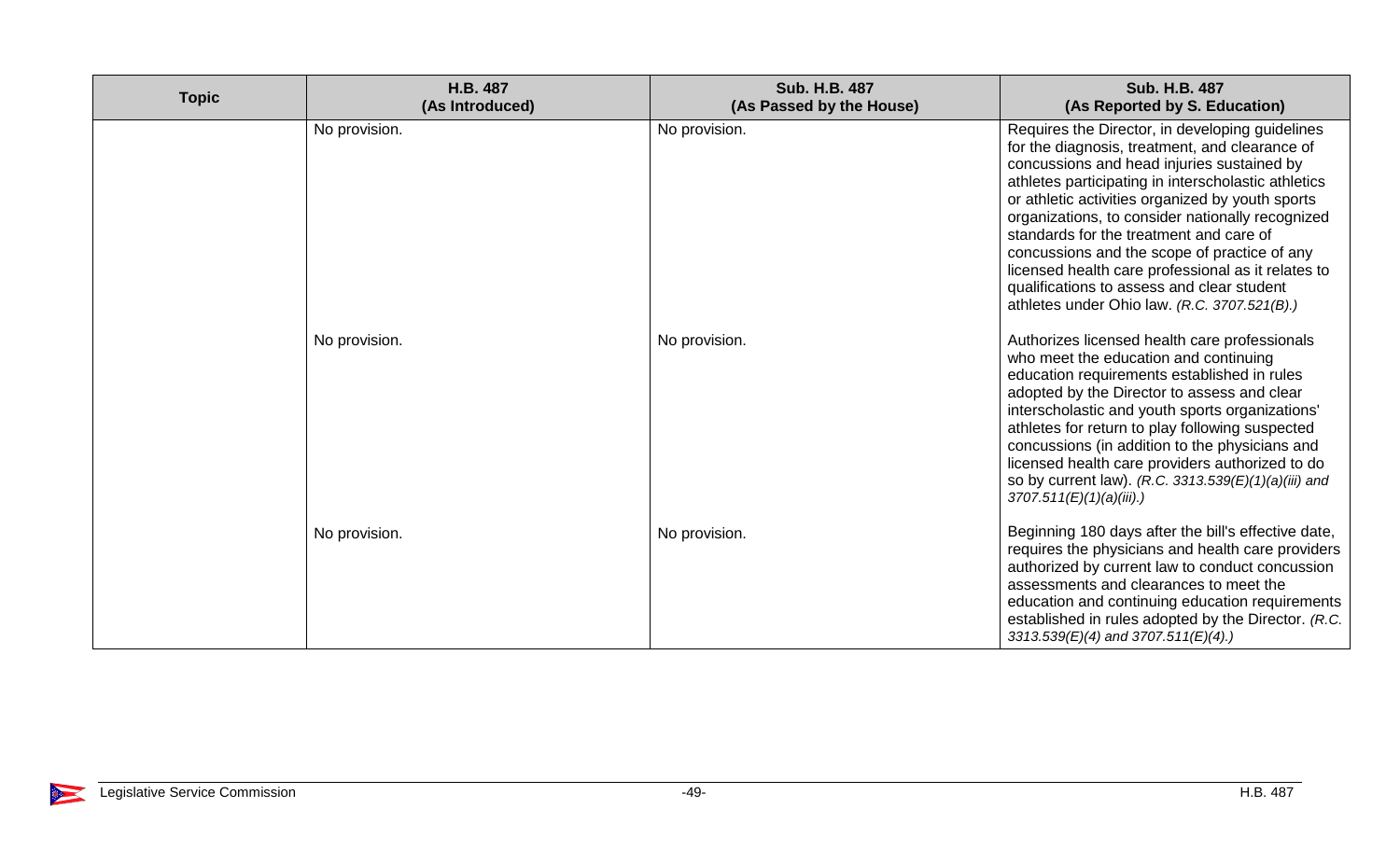| <b>Topic</b> | H.B. 487<br>(As Introduced) | Sub. H.B. 487<br>(As Passed by the House) | Sub. H.B. 487<br>(As Reported by S. Education)                                                                                                                                                                                                                                                                                                                                                                                                                                                                                                                |
|--------------|-----------------------------|-------------------------------------------|---------------------------------------------------------------------------------------------------------------------------------------------------------------------------------------------------------------------------------------------------------------------------------------------------------------------------------------------------------------------------------------------------------------------------------------------------------------------------------------------------------------------------------------------------------------|
|              | No provision.               | No provision.                             | Requires the Director, in developing guidelines<br>for the diagnosis, treatment, and clearance of<br>concussions and head injuries sustained by<br>athletes participating in interscholastic athletics<br>or athletic activities organized by youth sports<br>organizations, to consider nationally recognized<br>standards for the treatment and care of<br>concussions and the scope of practice of any<br>licensed health care professional as it relates to<br>qualifications to assess and clear student<br>athletes under Ohio law. (R.C. 3707.521(B).) |
|              | No provision.               | No provision.                             | Authorizes licensed health care professionals<br>who meet the education and continuing<br>education requirements established in rules<br>adopted by the Director to assess and clear<br>interscholastic and youth sports organizations'<br>athletes for return to play following suspected<br>concussions (in addition to the physicians and<br>licensed health care providers authorized to do<br>so by current law). (R.C. 3313.539(E)(1)(a)(iii) and<br>3707.511(E)(1)(a)(iii).                                                                            |
|              | No provision.               | No provision.                             | Beginning 180 days after the bill's effective date,<br>requires the physicians and health care providers<br>authorized by current law to conduct concussion<br>assessments and clearances to meet the<br>education and continuing education requirements<br>established in rules adopted by the Director. (R.C.<br>3313.539(E)(4) and 3707.511(E)(4).)                                                                                                                                                                                                        |

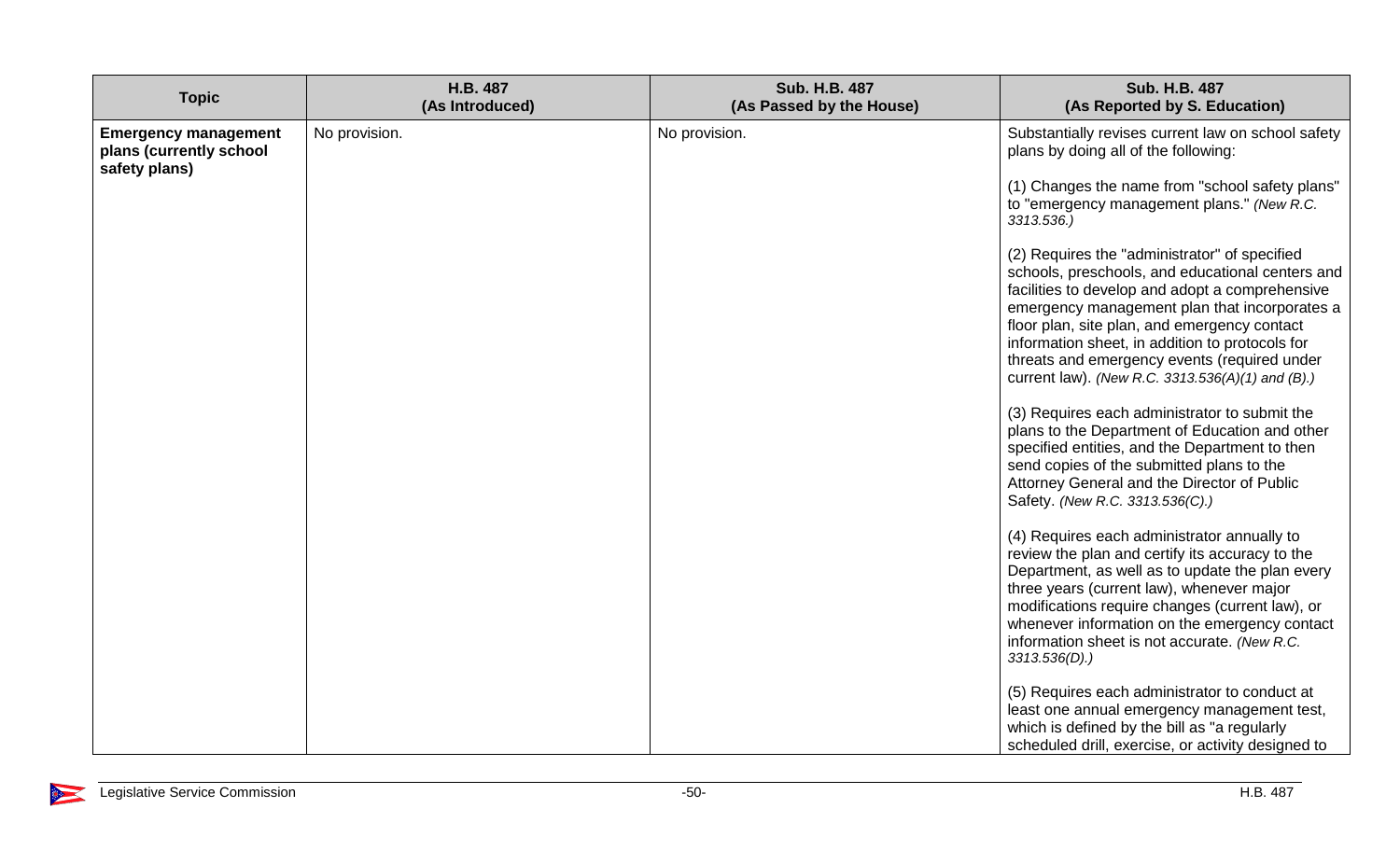| <b>Topic</b>                                                            | H.B. 487<br>(As Introduced) | <b>Sub. H.B. 487</b><br>(As Passed by the House) | <b>Sub. H.B. 487</b><br>(As Reported by S. Education)                                                                                                                                                                                                                                                                                                                                                                                                                                                                                                                                                          |
|-------------------------------------------------------------------------|-----------------------------|--------------------------------------------------|----------------------------------------------------------------------------------------------------------------------------------------------------------------------------------------------------------------------------------------------------------------------------------------------------------------------------------------------------------------------------------------------------------------------------------------------------------------------------------------------------------------------------------------------------------------------------------------------------------------|
| <b>Emergency management</b><br>plans (currently school<br>safety plans) | No provision.               | No provision.                                    | Substantially revises current law on school safety<br>plans by doing all of the following:                                                                                                                                                                                                                                                                                                                                                                                                                                                                                                                     |
|                                                                         |                             |                                                  | (1) Changes the name from "school safety plans"<br>to "emergency management plans." (New R.C.<br>3313.536.)                                                                                                                                                                                                                                                                                                                                                                                                                                                                                                    |
|                                                                         |                             |                                                  | (2) Requires the "administrator" of specified<br>schools, preschools, and educational centers and<br>facilities to develop and adopt a comprehensive<br>emergency management plan that incorporates a<br>floor plan, site plan, and emergency contact<br>information sheet, in addition to protocols for<br>threats and emergency events (required under<br>current law). (New R.C. 3313.536(A)(1) and (B).)<br>(3) Requires each administrator to submit the<br>plans to the Department of Education and other<br>specified entities, and the Department to then<br>send copies of the submitted plans to the |
|                                                                         |                             |                                                  | Attorney General and the Director of Public<br>Safety. (New R.C. 3313.536(C).)                                                                                                                                                                                                                                                                                                                                                                                                                                                                                                                                 |
|                                                                         |                             |                                                  | (4) Requires each administrator annually to<br>review the plan and certify its accuracy to the<br>Department, as well as to update the plan every<br>three years (current law), whenever major<br>modifications require changes (current law), or<br>whenever information on the emergency contact<br>information sheet is not accurate. (New R.C.<br>$3313.536(D)$ .)                                                                                                                                                                                                                                         |
|                                                                         |                             |                                                  | (5) Requires each administrator to conduct at<br>least one annual emergency management test,<br>which is defined by the bill as "a regularly<br>scheduled drill, exercise, or activity designed to                                                                                                                                                                                                                                                                                                                                                                                                             |

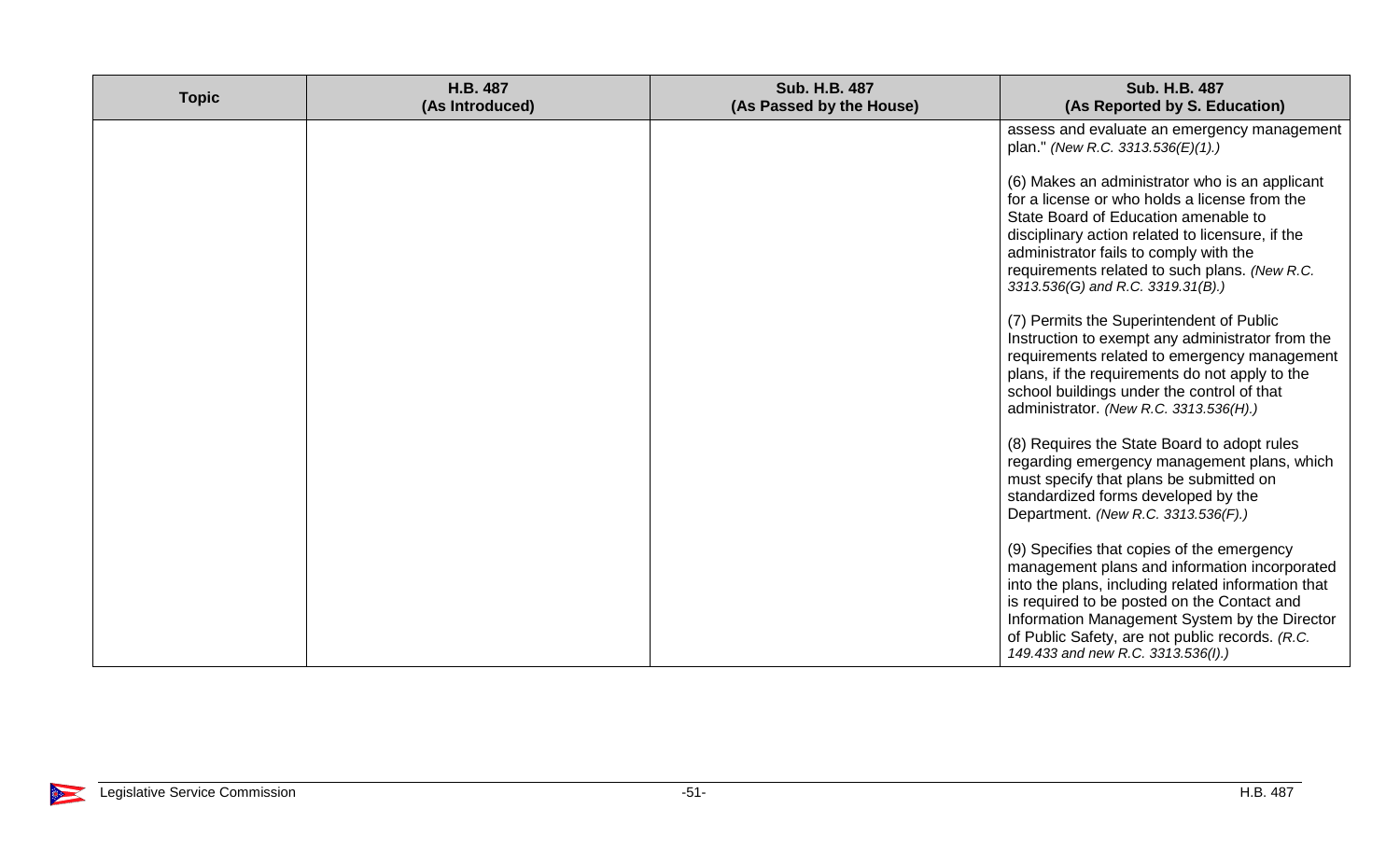| <b>Topic</b> | H.B. 487<br>(As Introduced) | <b>Sub. H.B. 487</b><br>(As Passed by the House) | Sub. H.B. 487<br>(As Reported by S. Education)                                                                                                                                                                                                                                                                                             |
|--------------|-----------------------------|--------------------------------------------------|--------------------------------------------------------------------------------------------------------------------------------------------------------------------------------------------------------------------------------------------------------------------------------------------------------------------------------------------|
|              |                             |                                                  | assess and evaluate an emergency management<br>plan." (New R.C. 3313.536(E)(1).)                                                                                                                                                                                                                                                           |
|              |                             |                                                  | (6) Makes an administrator who is an applicant<br>for a license or who holds a license from the<br>State Board of Education amenable to<br>disciplinary action related to licensure, if the<br>administrator fails to comply with the<br>requirements related to such plans. (New R.C.<br>3313.536(G) and R.C. 3319.31(B).)                |
|              |                             |                                                  | (7) Permits the Superintendent of Public<br>Instruction to exempt any administrator from the<br>requirements related to emergency management<br>plans, if the requirements do not apply to the<br>school buildings under the control of that<br>administrator. (New R.C. 3313.536(H).)                                                     |
|              |                             |                                                  | (8) Requires the State Board to adopt rules<br>regarding emergency management plans, which<br>must specify that plans be submitted on<br>standardized forms developed by the<br>Department. (New R.C. 3313.536(F).)                                                                                                                        |
|              |                             |                                                  | (9) Specifies that copies of the emergency<br>management plans and information incorporated<br>into the plans, including related information that<br>is required to be posted on the Contact and<br>Information Management System by the Director<br>of Public Safety, are not public records. (R.C.<br>149.433 and new R.C. 3313.536(I).) |

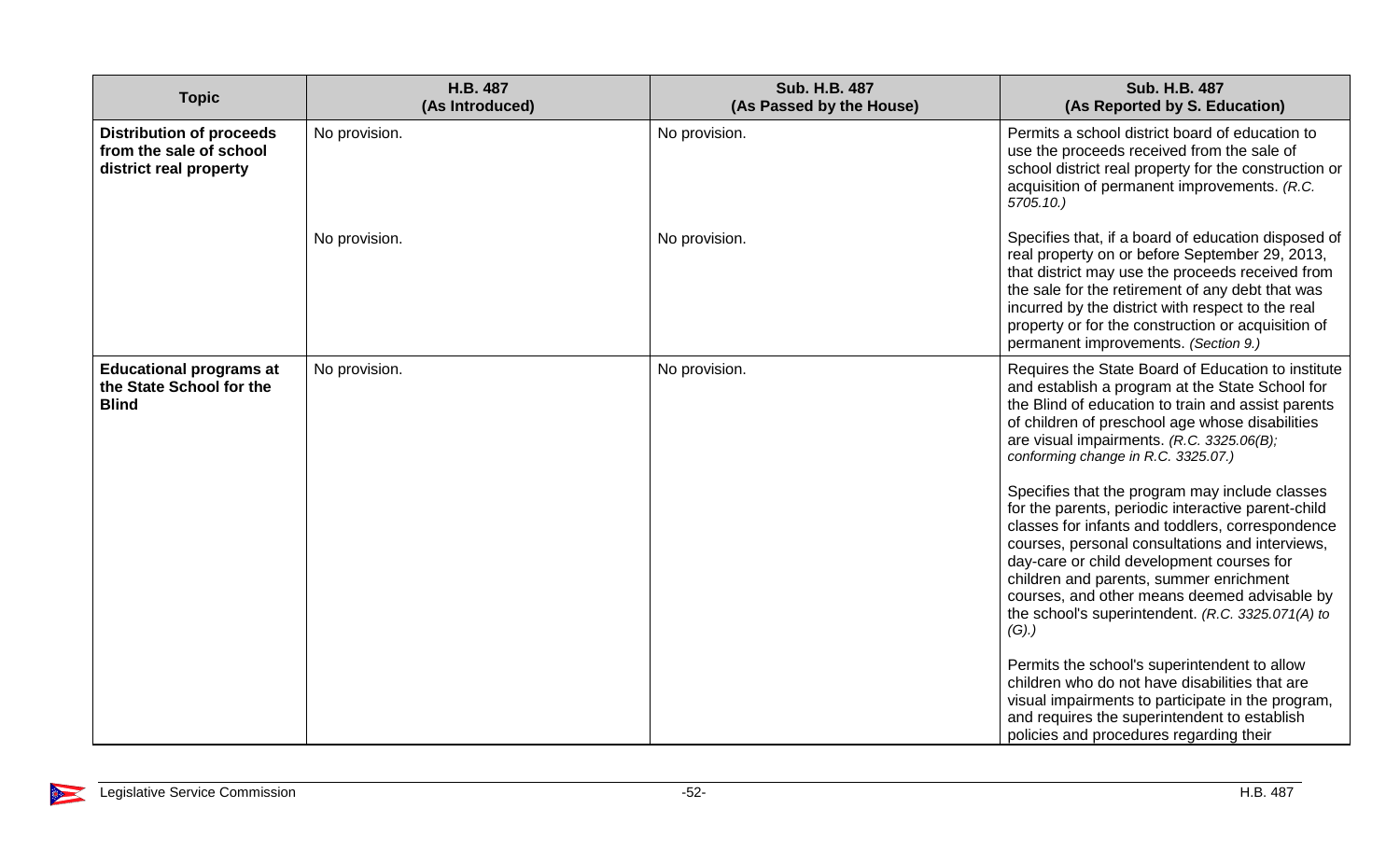| <b>Topic</b>                                                                         | H.B. 487<br>(As Introduced) | <b>Sub. H.B. 487</b><br>(As Passed by the House) | <b>Sub. H.B. 487</b><br>(As Reported by S. Education)                                                                                                                                                                                                                                                                                                                                                                                                                                                                                                                                                                                                                                                                                                                                                                                                                                                                                                                    |
|--------------------------------------------------------------------------------------|-----------------------------|--------------------------------------------------|--------------------------------------------------------------------------------------------------------------------------------------------------------------------------------------------------------------------------------------------------------------------------------------------------------------------------------------------------------------------------------------------------------------------------------------------------------------------------------------------------------------------------------------------------------------------------------------------------------------------------------------------------------------------------------------------------------------------------------------------------------------------------------------------------------------------------------------------------------------------------------------------------------------------------------------------------------------------------|
| <b>Distribution of proceeds</b><br>from the sale of school<br>district real property | No provision.               | No provision.                                    | Permits a school district board of education to<br>use the proceeds received from the sale of<br>school district real property for the construction or<br>acquisition of permanent improvements. (R.C.<br>$5705.10.$ )                                                                                                                                                                                                                                                                                                                                                                                                                                                                                                                                                                                                                                                                                                                                                   |
|                                                                                      | No provision.               | No provision.                                    | Specifies that, if a board of education disposed of<br>real property on or before September 29, 2013,<br>that district may use the proceeds received from<br>the sale for the retirement of any debt that was<br>incurred by the district with respect to the real<br>property or for the construction or acquisition of<br>permanent improvements. (Section 9.)                                                                                                                                                                                                                                                                                                                                                                                                                                                                                                                                                                                                         |
| <b>Educational programs at</b><br>the State School for the<br><b>Blind</b>           | No provision.               | No provision.                                    | Requires the State Board of Education to institute<br>and establish a program at the State School for<br>the Blind of education to train and assist parents<br>of children of preschool age whose disabilities<br>are visual impairments. (R.C. 3325.06(B);<br>conforming change in R.C. 3325.07.)<br>Specifies that the program may include classes<br>for the parents, periodic interactive parent-child<br>classes for infants and toddlers, correspondence<br>courses, personal consultations and interviews,<br>day-care or child development courses for<br>children and parents, summer enrichment<br>courses, and other means deemed advisable by<br>the school's superintendent. (R.C. 3325.071(A) to<br>(G).<br>Permits the school's superintendent to allow<br>children who do not have disabilities that are<br>visual impairments to participate in the program,<br>and requires the superintendent to establish<br>policies and procedures regarding their |

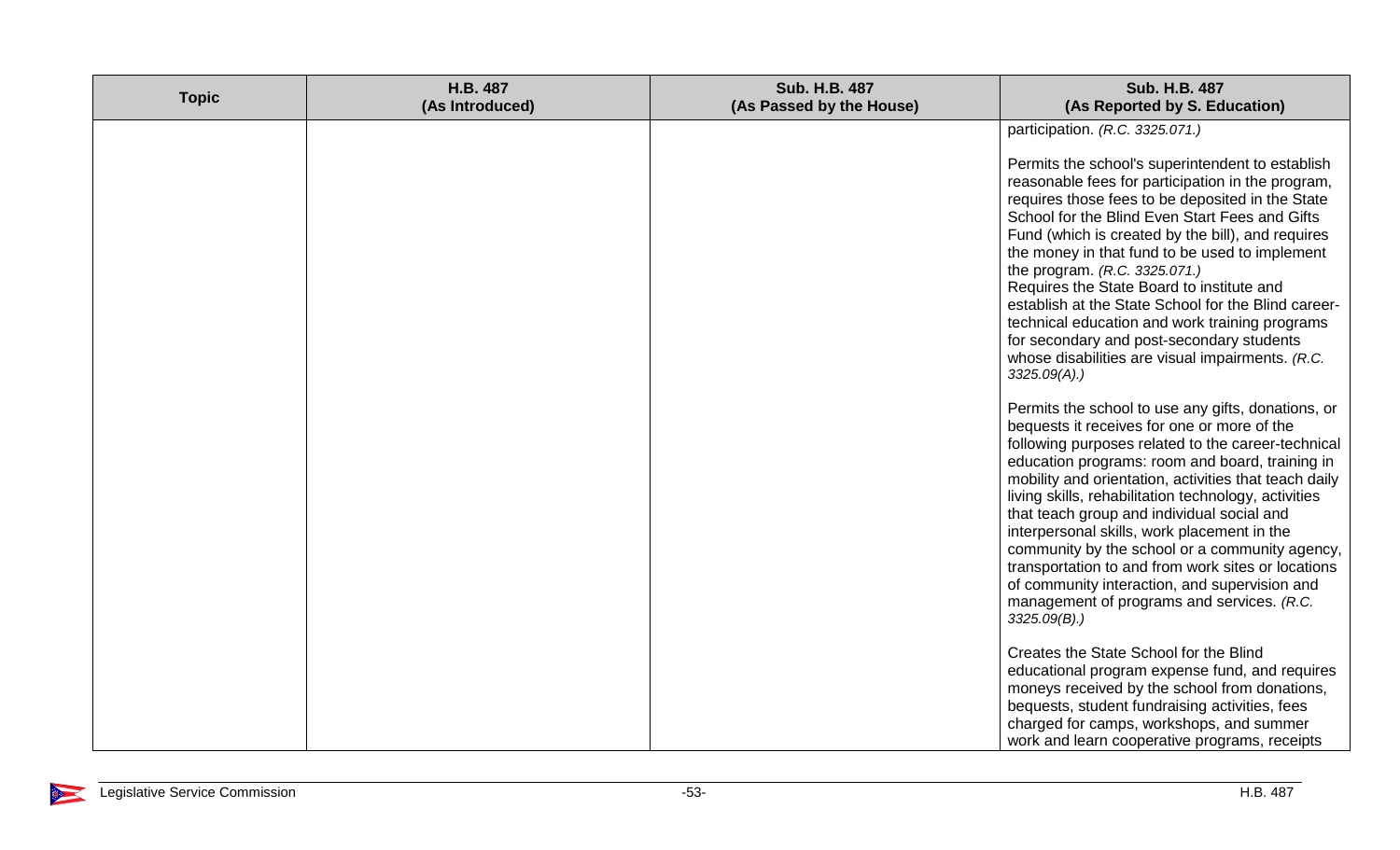| <b>Topic</b> | H.B. 487<br>(As Introduced) | <b>Sub. H.B. 487</b><br>(As Passed by the House) | <b>Sub. H.B. 487</b><br>(As Reported by S. Education)                                                                                                                                                                                                                                                                                                                                                                                                                                                                                                                                                                                                            |
|--------------|-----------------------------|--------------------------------------------------|------------------------------------------------------------------------------------------------------------------------------------------------------------------------------------------------------------------------------------------------------------------------------------------------------------------------------------------------------------------------------------------------------------------------------------------------------------------------------------------------------------------------------------------------------------------------------------------------------------------------------------------------------------------|
|              |                             |                                                  | participation. (R.C. 3325.071.)<br>Permits the school's superintendent to establish<br>reasonable fees for participation in the program,<br>requires those fees to be deposited in the State<br>School for the Blind Even Start Fees and Gifts<br>Fund (which is created by the bill), and requires<br>the money in that fund to be used to implement<br>the program. (R.C. 3325.071.)<br>Requires the State Board to institute and<br>establish at the State School for the Blind career-<br>technical education and work training programs<br>for secondary and post-secondary students<br>whose disabilities are visual impairments. (R.C.<br>$3325.09(A)$ .) |
|              |                             |                                                  | Permits the school to use any gifts, donations, or<br>bequests it receives for one or more of the<br>following purposes related to the career-technical<br>education programs: room and board, training in<br>mobility and orientation, activities that teach daily<br>living skills, rehabilitation technology, activities<br>that teach group and individual social and<br>interpersonal skills, work placement in the<br>community by the school or a community agency,<br>transportation to and from work sites or locations<br>of community interaction, and supervision and<br>management of programs and services. (R.C.<br>$3325.09(B)$ .)               |
|              |                             |                                                  | Creates the State School for the Blind<br>educational program expense fund, and requires<br>moneys received by the school from donations,<br>bequests, student fundraising activities, fees<br>charged for camps, workshops, and summer<br>work and learn cooperative programs, receipts                                                                                                                                                                                                                                                                                                                                                                         |